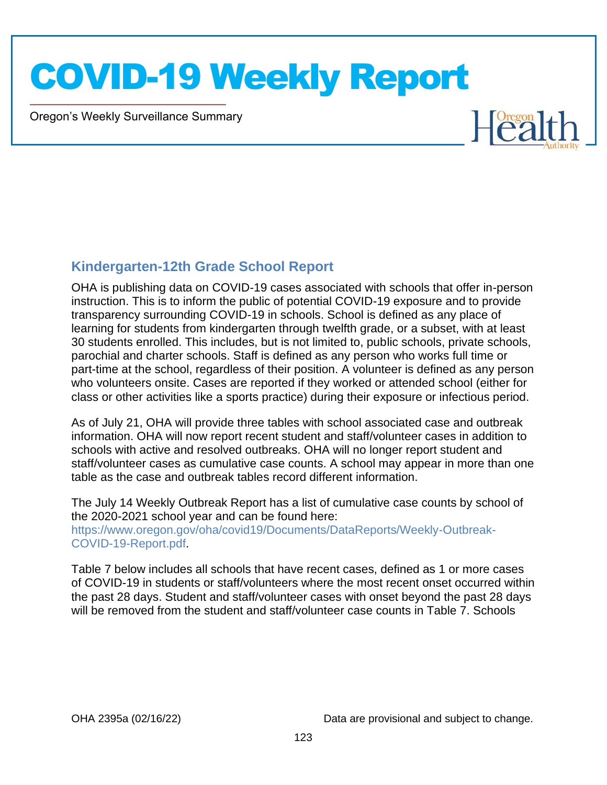Oregon's Weekly Surveillance Summary

Novel Coronavirus (COVID-19)



#### **Kindergarten-12th Grade School Report**

OHA is publishing data on COVID-19 cases associated with schools that offer in-person instruction. This is to inform the public of potential COVID-19 exposure and to provide transparency surrounding COVID-19 in schools. School is defined as any place of learning for students from kindergarten through twelfth grade, or a subset, with at least 30 students enrolled. This includes, but is not limited to, public schools, private schools, parochial and charter schools. Staff is defined as any person who works full time or part-time at the school, regardless of their position. A volunteer is defined as any person who volunteers onsite. Cases are reported if they worked or attended school (either for class or other activities like a sports practice) during their exposure or infectious period.

As of July 21, OHA will provide three tables with school associated case and outbreak information. OHA will now report recent student and staff/volunteer cases in addition to schools with active and resolved outbreaks. OHA will no longer report student and staff/volunteer cases as cumulative case counts. A school may appear in more than one table as the case and outbreak tables record different information.

The July 14 Weekly Outbreak Report has a list of cumulative case counts by school of the 2020-2021 school year and can be found here: https://www.oregon.gov/oha/covid19/Documents/DataReports/Weekly-Outbreak-COVID-19-Report.pdf.

Table 7 below includes all schools that have recent cases, defined as 1 or more cases of COVID-19 in students or staff/volunteers where the most recent onset occurred within the past 28 days. Student and staff/volunteer cases with onset beyond the past 28 days will be removed from the student and staff/volunteer case counts in Table 7. Schools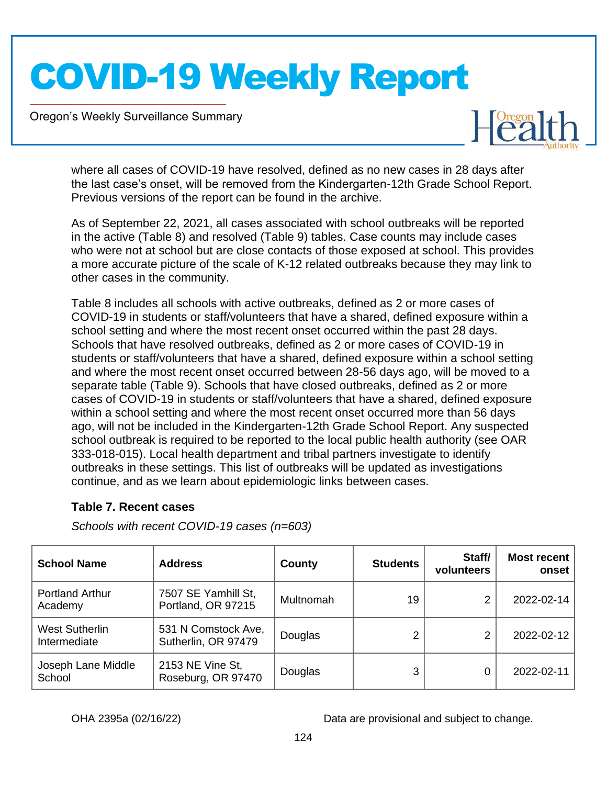Oregon's Weekly Surveillance Summary

Novel Coronavirus (COVID-19)



where all cases of COVID-19 have resolved, defined as no new cases in 28 days after the last case's onset, will be removed from the Kindergarten-12th Grade School Report. Previous versions of the report can be found in the archive.

As of September 22, 2021, all cases associated with school outbreaks will be reported in the active (Table 8) and resolved (Table 9) tables. Case counts may include cases who were not at school but are close contacts of those exposed at school. This provides a more accurate picture of the scale of K-12 related outbreaks because they may link to other cases in the community.

Table 8 includes all schools with active outbreaks, defined as 2 or more cases of COVID-19 in students or staff/volunteers that have a shared, defined exposure within a school setting and where the most recent onset occurred within the past 28 days. Schools that have resolved outbreaks, defined as 2 or more cases of COVID-19 in students or staff/volunteers that have a shared, defined exposure within a school setting and where the most recent onset occurred between 28-56 days ago, will be moved to a separate table (Table 9). Schools that have closed outbreaks, defined as 2 or more cases of COVID-19 in students or staff/volunteers that have a shared, defined exposure within a school setting and where the most recent onset occurred more than 56 days ago, will not be included in the Kindergarten-12th Grade School Report. Any suspected school outbreak is required to be reported to the local public health authority (see OAR 333-018-015). Local health department and tribal partners investigate to identify outbreaks in these settings. This list of outbreaks will be updated as investigations continue, and as we learn about epidemiologic links between cases.

#### **Table 7. Recent cases**

*Schools with recent COVID-19 cases (n=603)*

| <b>School Name</b>                    | <b>Address</b>                             | County    | <b>Students</b> | Staff/<br>volunteers | Most recent<br>onset |
|---------------------------------------|--------------------------------------------|-----------|-----------------|----------------------|----------------------|
| <b>Portland Arthur</b><br>Academy     | 7507 SE Yamhill St,<br>Portland, OR 97215  | Multnomah | 19              |                      | 2022-02-14           |
| <b>West Sutherlin</b><br>Intermediate | 531 N Comstock Ave,<br>Sutherlin, OR 97479 | Douglas   |                 |                      | 2022-02-12           |
| Joseph Lane Middle<br>School          | 2153 NE Vine St,<br>Roseburg, OR 97470     | Douglas   | 3               |                      | 2022-02-11           |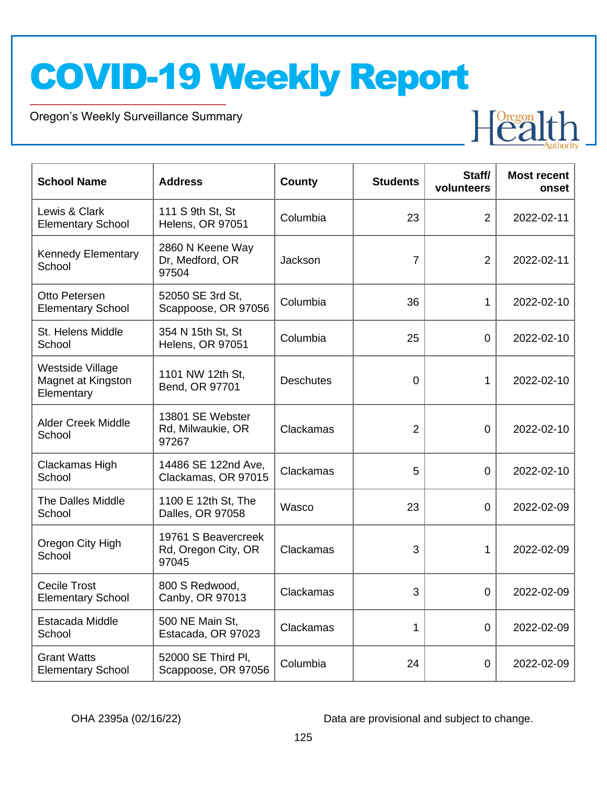Oregon's Weekly Surveillance Summary

Novel Coronavirus (COVID-19)



| <b>School Name</b>                                   | <b>Address</b>                                      | County           | <b>Students</b> | Staff/<br>volunteers | <b>Most recent</b><br>onset |
|------------------------------------------------------|-----------------------------------------------------|------------------|-----------------|----------------------|-----------------------------|
| Lewis & Clark<br><b>Elementary School</b>            | 111 S 9th St, St<br><b>Helens, OR 97051</b>         | Columbia         | 23              | $\overline{2}$       | 2022-02-11                  |
| <b>Kennedy Elementary</b><br>School                  | 2860 N Keene Way<br>Dr, Medford, OR<br>97504        | Jackson          | 7               | 2                    | 2022-02-11                  |
| Otto Petersen<br><b>Elementary School</b>            | 52050 SE 3rd St,<br>Scappoose, OR 97056             | Columbia         | 36              | 1                    | 2022-02-10                  |
| St. Helens Middle<br>School                          | 354 N 15th St, St<br><b>Helens, OR 97051</b>        | Columbia         | 25              | $\overline{0}$       | 2022-02-10                  |
| Westside Village<br>Magnet at Kingston<br>Elementary | 1101 NW 12th St,<br>Bend, OR 97701                  | <b>Deschutes</b> | 0               | $\mathbf{1}$         | 2022-02-10                  |
| <b>Alder Creek Middle</b><br>School                  | 13801 SE Webster<br>Rd, Milwaukie, OR<br>97267      | Clackamas        | $\overline{2}$  | 0                    | 2022-02-10                  |
| Clackamas High<br>School                             | 14486 SE 122nd Ave,<br>Clackamas, OR 97015          | Clackamas        | 5               | 0                    | 2022-02-10                  |
| <b>The Dalles Middle</b><br>School                   | 1100 E 12th St, The<br>Dalles, OR 97058             | Wasco            | 23              | $\overline{0}$       | 2022-02-09                  |
| Oregon City High<br>School                           | 19761 S Beavercreek<br>Rd, Oregon City, OR<br>97045 | Clackamas        | 3               | 1                    | 2022-02-09                  |
| <b>Cecile Trost</b><br><b>Elementary School</b>      | 800 S Redwood,<br>Canby, OR 97013                   | Clackamas        | 3               | $\overline{0}$       | 2022-02-09                  |
| Estacada Middle<br>School                            | 500 NE Main St,<br>Estacada, OR 97023               | Clackamas        | 1               | $\overline{0}$       | 2022-02-09                  |
| <b>Grant Watts</b><br><b>Elementary School</b>       | 52000 SE Third PI,<br>Scappoose, OR 97056           | Columbia         | 24              | $\overline{0}$       | 2022-02-09                  |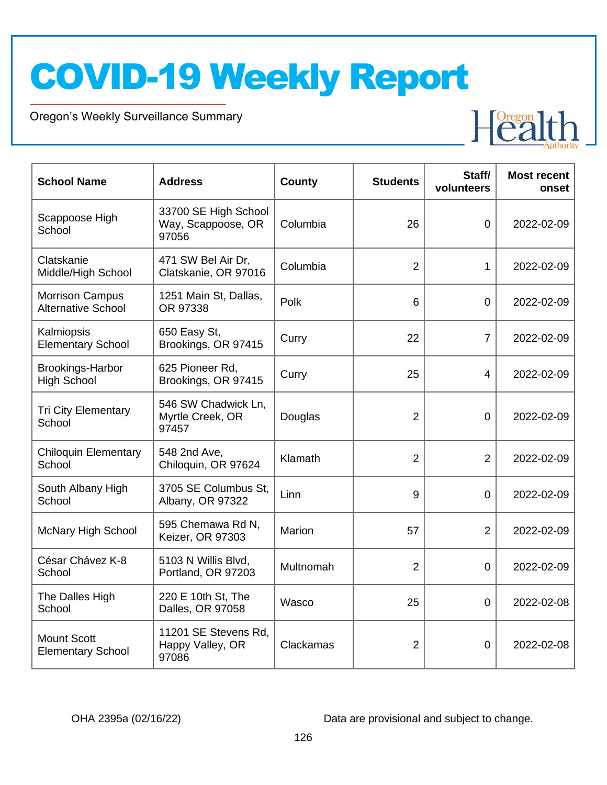Oregon's Weekly Surveillance Summary

Novel Coronavirus (COVID-19)



| <b>School Name</b>                                  | <b>Address</b>                                      | <b>County</b> | <b>Students</b> | Staff/<br>volunteers | <b>Most recent</b><br>onset |
|-----------------------------------------------------|-----------------------------------------------------|---------------|-----------------|----------------------|-----------------------------|
| Scappoose High<br>School                            | 33700 SE High School<br>Way, Scappoose, OR<br>97056 | Columbia      | 26              | $\overline{0}$       | 2022-02-09                  |
| Clatskanie<br>Middle/High School                    | 471 SW Bel Air Dr,<br>Clatskanie, OR 97016          | Columbia      | $\overline{2}$  | 1                    | 2022-02-09                  |
| <b>Morrison Campus</b><br><b>Alternative School</b> | 1251 Main St, Dallas,<br>OR 97338                   | Polk          | 6               | $\overline{0}$       | 2022-02-09                  |
| Kalmiopsis<br><b>Elementary School</b>              | 650 Easy St,<br>Brookings, OR 97415                 | Curry         | 22              | $\overline{7}$       | 2022-02-09                  |
| Brookings-Harbor<br><b>High School</b>              | 625 Pioneer Rd,<br>Brookings, OR 97415              | Curry         | 25              | 4                    | 2022-02-09                  |
| <b>Tri City Elementary</b><br>School                | 546 SW Chadwick Ln,<br>Myrtle Creek, OR<br>97457    | Douglas       | $\overline{2}$  | $\overline{0}$       | 2022-02-09                  |
| <b>Chiloquin Elementary</b><br>School               | 548 2nd Ave,<br>Chiloquin, OR 97624                 | Klamath       | $\overline{2}$  | $\overline{2}$       | 2022-02-09                  |
| South Albany High<br>School                         | 3705 SE Columbus St.<br>Albany, OR 97322            | Linn          | 9               | $\overline{0}$       | 2022-02-09                  |
| <b>McNary High School</b>                           | 595 Chemawa Rd N,<br>Keizer, OR 97303               | Marion        | 57              | $\overline{2}$       | 2022-02-09                  |
| César Chávez K-8<br>School                          | 5103 N Willis Blvd,<br>Portland, OR 97203           | Multnomah     | $\overline{2}$  | $\overline{0}$       | 2022-02-09                  |
| The Dalles High<br>School                           | 220 E 10th St, The<br>Dalles, OR 97058              | Wasco         | 25              | $\Omega$             | 2022-02-08                  |
| <b>Mount Scott</b><br><b>Elementary School</b>      | 11201 SE Stevens Rd,<br>Happy Valley, OR<br>97086   | Clackamas     | $\overline{2}$  | 0                    | 2022-02-08                  |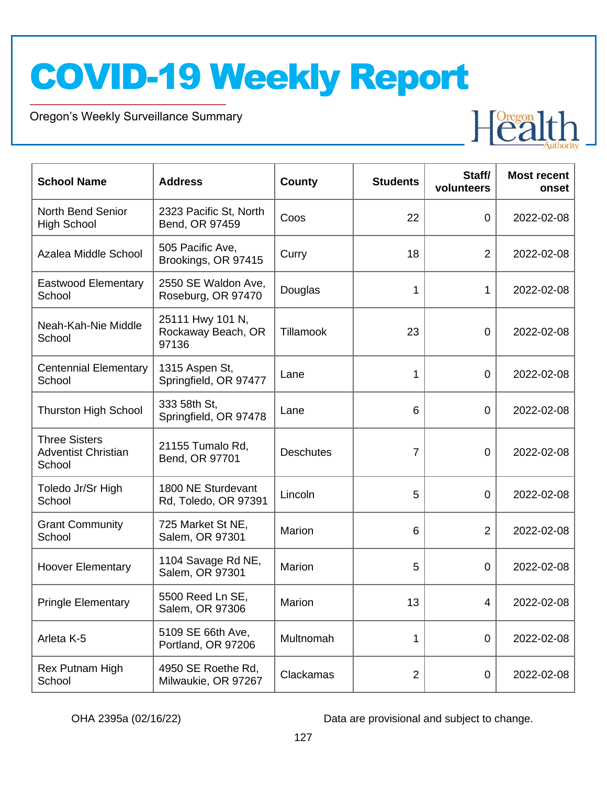Oregon's Weekly Surveillance Summary

Novel Coronavirus (COVID-19)



| <b>School Name</b>                                           | <b>Address</b>                                  | County           | <b>Students</b> | Staff/<br>volunteers | <b>Most recent</b><br>onset |
|--------------------------------------------------------------|-------------------------------------------------|------------------|-----------------|----------------------|-----------------------------|
| <b>North Bend Senior</b><br><b>High School</b>               | 2323 Pacific St, North<br>Bend, OR 97459        | Coos             | 22              | 0                    | 2022-02-08                  |
| Azalea Middle School                                         | 505 Pacific Ave,<br>Brookings, OR 97415         | Curry            | 18              | $\overline{2}$       | 2022-02-08                  |
| <b>Eastwood Elementary</b><br>School                         | 2550 SE Waldon Ave,<br>Roseburg, OR 97470       | Douglas          | 1               | 1                    | 2022-02-08                  |
| Neah-Kah-Nie Middle<br>School                                | 25111 Hwy 101 N,<br>Rockaway Beach, OR<br>97136 | Tillamook        | 23              | $\overline{0}$       | 2022-02-08                  |
| <b>Centennial Elementary</b><br>School                       | 1315 Aspen St,<br>Springfield, OR 97477         | Lane             | 1               | $\overline{0}$       | 2022-02-08                  |
| <b>Thurston High School</b>                                  | 333 58th St,<br>Springfield, OR 97478           | Lane             | 6               | $\overline{0}$       | 2022-02-08                  |
| <b>Three Sisters</b><br><b>Adventist Christian</b><br>School | 21155 Tumalo Rd,<br>Bend, OR 97701              | <b>Deschutes</b> | $\overline{7}$  | 0                    | 2022-02-08                  |
| Toledo Jr/Sr High<br>School                                  | 1800 NE Sturdevant<br>Rd, Toledo, OR 97391      | Lincoln          | 5               | 0                    | 2022-02-08                  |
| <b>Grant Community</b><br>School                             | 725 Market St NE,<br>Salem, OR 97301            | Marion           | 6               | $\overline{2}$       | 2022-02-08                  |
| <b>Hoover Elementary</b>                                     | 1104 Savage Rd NE,<br>Salem, OR 97301           | Marion           | 5               | 0                    | 2022-02-08                  |
| <b>Pringle Elementary</b>                                    | 5500 Reed Ln SE,<br>Salem, OR 97306             | Marion           | 13              | 4                    | 2022-02-08                  |
| Arleta K-5                                                   | 5109 SE 66th Ave,<br>Portland, OR 97206         | Multnomah        | 1               | 0                    | 2022-02-08                  |
| Rex Putnam High<br>School                                    | 4950 SE Roethe Rd,<br>Milwaukie, OR 97267       | Clackamas        | $\overline{2}$  | $\mathbf 0$          | 2022-02-08                  |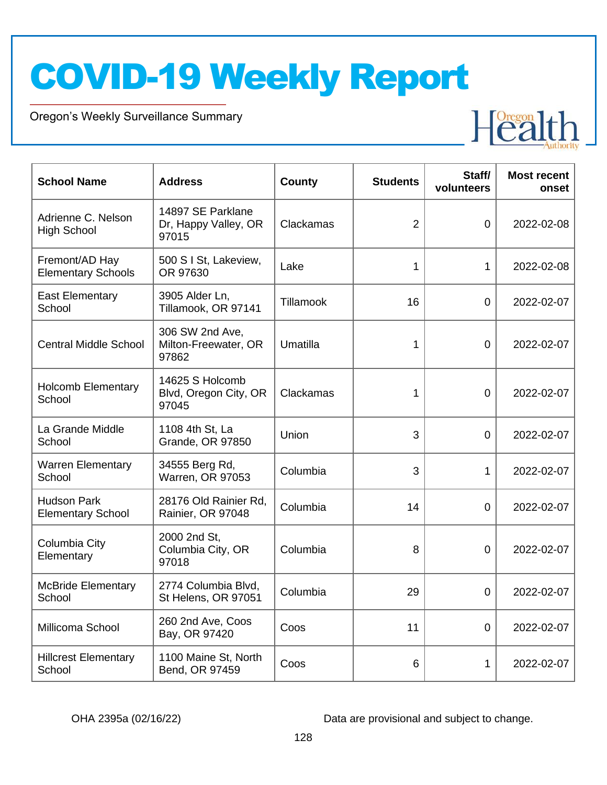Oregon's Weekly Surveillance Summary

Novel Coronavirus (COVID-19)



| <b>School Name</b>                             | <b>Address</b>                                     | <b>County</b>    | <b>Students</b> | Staff/<br>volunteers | <b>Most recent</b><br>onset |
|------------------------------------------------|----------------------------------------------------|------------------|-----------------|----------------------|-----------------------------|
| Adrienne C. Nelson<br><b>High School</b>       | 14897 SE Parklane<br>Dr, Happy Valley, OR<br>97015 | Clackamas        | $\overline{2}$  | $\overline{0}$       | 2022-02-08                  |
| Fremont/AD Hay<br><b>Elementary Schools</b>    | 500 S I St, Lakeview,<br>OR 97630                  | Lake             | 1               | 1                    | 2022-02-08                  |
| <b>East Elementary</b><br>School               | 3905 Alder Ln,<br>Tillamook, OR 97141              | <b>Tillamook</b> | 16              | $\mathbf 0$          | 2022-02-07                  |
| <b>Central Middle School</b>                   | 306 SW 2nd Ave,<br>Milton-Freewater, OR<br>97862   | Umatilla         | 1               | $\mathbf 0$          | 2022-02-07                  |
| <b>Holcomb Elementary</b><br>School            | 14625 S Holcomb<br>Blvd, Oregon City, OR<br>97045  | Clackamas        | 1               | $\overline{0}$       | 2022-02-07                  |
| La Grande Middle<br>School                     | 1108 4th St, La<br><b>Grande, OR 97850</b>         | Union            | 3               | $\overline{0}$       | 2022-02-07                  |
| <b>Warren Elementary</b><br>School             | 34555 Berg Rd,<br>Warren, OR 97053                 | Columbia         | 3               | 1                    | 2022-02-07                  |
| <b>Hudson Park</b><br><b>Elementary School</b> | 28176 Old Rainier Rd,<br>Rainier, OR 97048         | Columbia         | 14              | $\overline{0}$       | 2022-02-07                  |
| Columbia City<br>Elementary                    | 2000 2nd St,<br>Columbia City, OR<br>97018         | Columbia         | 8               | $\overline{0}$       | 2022-02-07                  |
| <b>McBride Elementary</b><br>School            | 2774 Columbia Blvd,<br>St Helens, OR 97051         | Columbia         | 29              | 0                    | 2022-02-07                  |
| Millicoma School                               | 260 2nd Ave, Coos<br>Bay, OR 97420                 | Coos             | 11              | $\mathbf 0$          | 2022-02-07                  |
| <b>Hillcrest Elementary</b><br>School          | 1100 Maine St, North<br>Bend, OR 97459             | Coos             | 6               | 1                    | 2022-02-07                  |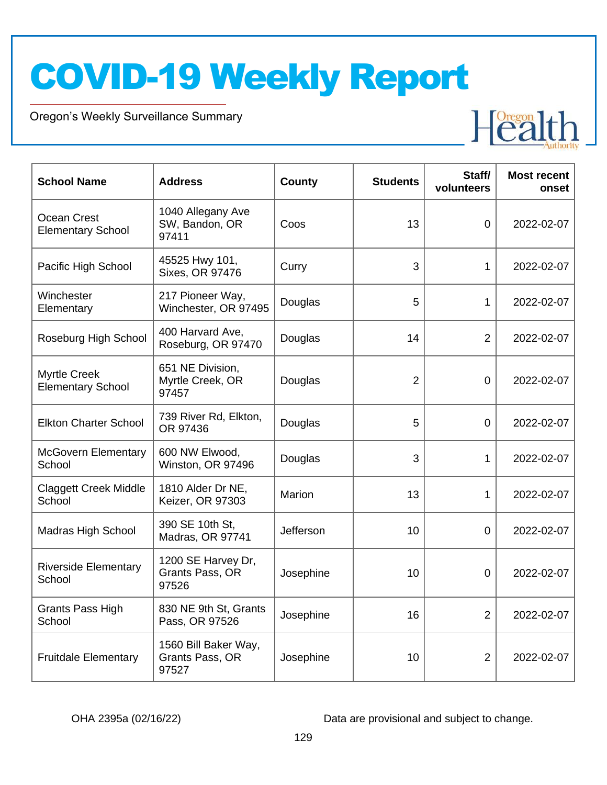Oregon's Weekly Surveillance Summary

Novel Coronavirus (COVID-19)



| <b>School Name</b>                              | <b>Address</b>                                   | County    | <b>Students</b> | Staff/<br>volunteers | <b>Most recent</b><br>onset |
|-------------------------------------------------|--------------------------------------------------|-----------|-----------------|----------------------|-----------------------------|
| Ocean Crest<br><b>Elementary School</b>         | 1040 Allegany Ave<br>SW, Bandon, OR<br>97411     | Coos      | 13              | $\overline{0}$       | 2022-02-07                  |
| Pacific High School                             | 45525 Hwy 101,<br>Sixes, OR 97476                | Curry     | 3               | 1                    | 2022-02-07                  |
| Winchester<br>Elementary                        | 217 Pioneer Way,<br>Winchester, OR 97495         | Douglas   | 5               | 1                    | 2022-02-07                  |
| Roseburg High School                            | 400 Harvard Ave,<br>Roseburg, OR 97470           | Douglas   | 14              | $\overline{2}$       | 2022-02-07                  |
| <b>Myrtle Creek</b><br><b>Elementary School</b> | 651 NE Division,<br>Myrtle Creek, OR<br>97457    | Douglas   | $\overline{2}$  | 0                    | 2022-02-07                  |
| <b>Elkton Charter School</b>                    | 739 River Rd, Elkton,<br>OR 97436                | Douglas   | 5               | $\overline{0}$       | 2022-02-07                  |
| <b>McGovern Elementary</b><br>School            | 600 NW Elwood,<br>Winston, OR 97496              | Douglas   | 3               | 1                    | 2022-02-07                  |
| <b>Claggett Creek Middle</b><br>School          | 1810 Alder Dr NE,<br>Keizer, OR 97303            | Marion    | 13              | 1                    | 2022-02-07                  |
| <b>Madras High School</b>                       | 390 SE 10th St,<br>Madras, OR 97741              | Jefferson | 10              | 0                    | 2022-02-07                  |
| <b>Riverside Elementary</b><br>School           | 1200 SE Harvey Dr,<br>Grants Pass, OR<br>97526   | Josephine | 10              | 0                    | 2022-02-07                  |
| <b>Grants Pass High</b><br>School               | 830 NE 9th St, Grants<br>Pass, OR 97526          | Josephine | 16              | $\overline{2}$       | 2022-02-07                  |
| <b>Fruitdale Elementary</b>                     | 1560 Bill Baker Way,<br>Grants Pass, OR<br>97527 | Josephine | 10              | $\overline{2}$       | 2022-02-07                  |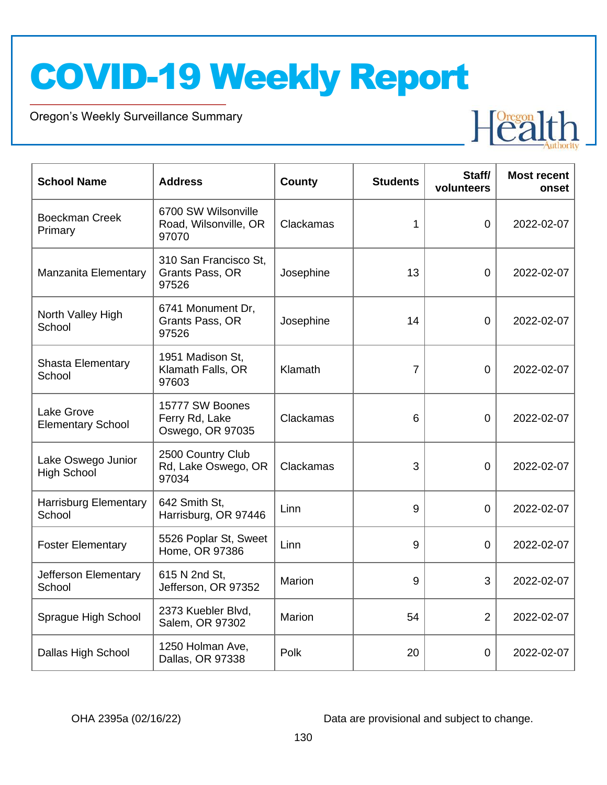Oregon's Weekly Surveillance Summary

Novel Coronavirus (COVID-19)



| <b>School Name</b>                       | <b>Address</b>                                        | County    | <b>Students</b> | Staff/<br>volunteers | <b>Most recent</b><br>onset |
|------------------------------------------|-------------------------------------------------------|-----------|-----------------|----------------------|-----------------------------|
| <b>Boeckman Creek</b><br>Primary         | 6700 SW Wilsonville<br>Road, Wilsonville, OR<br>97070 | Clackamas | 1               | $\overline{0}$       | 2022-02-07                  |
| <b>Manzanita Elementary</b>              | 310 San Francisco St,<br>Grants Pass, OR<br>97526     | Josephine | 13              | $\overline{0}$       | 2022-02-07                  |
| North Valley High<br>School              | 6741 Monument Dr,<br>Grants Pass, OR<br>97526         | Josephine | 14              | $\overline{0}$       | 2022-02-07                  |
| <b>Shasta Elementary</b><br>School       | 1951 Madison St,<br>Klamath Falls, OR<br>97603        | Klamath   | $\overline{7}$  | $\Omega$             | 2022-02-07                  |
| Lake Grove<br><b>Elementary School</b>   | 15777 SW Boones<br>Ferry Rd, Lake<br>Oswego, OR 97035 | Clackamas | 6               | 0                    | 2022-02-07                  |
| Lake Oswego Junior<br><b>High School</b> | 2500 Country Club<br>Rd, Lake Oswego, OR<br>97034     | Clackamas | 3               | 0                    | 2022-02-07                  |
| <b>Harrisburg Elementary</b><br>School   | 642 Smith St,<br>Harrisburg, OR 97446                 | Linn      | 9               | $\overline{0}$       | 2022-02-07                  |
| <b>Foster Elementary</b>                 | 5526 Poplar St, Sweet<br>Home, OR 97386               | Linn      | 9               | $\overline{0}$       | 2022-02-07                  |
| Jefferson Elementary<br>School           | 615 N 2nd St,<br>Jefferson, OR 97352                  | Marion    | 9               | 3                    | 2022-02-07                  |
| Sprague High School                      | 2373 Kuebler Blvd,<br>Salem, OR 97302                 | Marion    | 54              | $\overline{2}$       | 2022-02-07                  |
| Dallas High School                       | 1250 Holman Ave,<br>Dallas, OR 97338                  | Polk      | 20              | 0                    | 2022-02-07                  |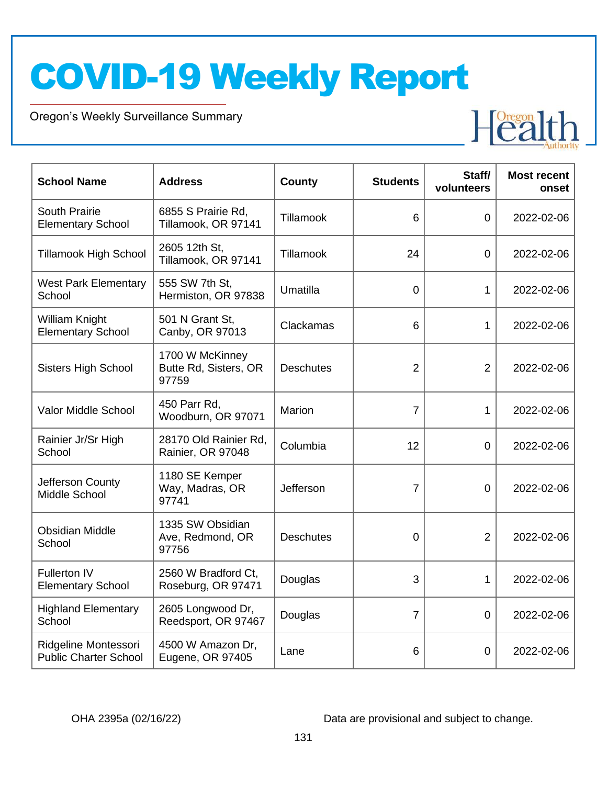Oregon's Weekly Surveillance Summary

Novel Coronavirus (COVID-19)



| <b>School Name</b>                                   | <b>Address</b>                                    | County           | <b>Students</b> | Staff/<br>volunteers | <b>Most recent</b><br>onset |
|------------------------------------------------------|---------------------------------------------------|------------------|-----------------|----------------------|-----------------------------|
| South Prairie<br><b>Elementary School</b>            | 6855 S Prairie Rd,<br>Tillamook, OR 97141         | Tillamook        | 6               | $\overline{0}$       | 2022-02-06                  |
| <b>Tillamook High School</b>                         | 2605 12th St,<br>Tillamook, OR 97141              | Tillamook        | 24              | $\overline{0}$       | 2022-02-06                  |
| <b>West Park Elementary</b><br>School                | 555 SW 7th St,<br>Hermiston, OR 97838             | Umatilla         | $\Omega$        | 1                    | 2022-02-06                  |
| William Knight<br><b>Elementary School</b>           | 501 N Grant St,<br>Canby, OR 97013                | Clackamas        | 6               | 1                    | 2022-02-06                  |
| <b>Sisters High School</b>                           | 1700 W McKinney<br>Butte Rd, Sisters, OR<br>97759 | <b>Deschutes</b> | $\overline{2}$  | $\overline{2}$       | 2022-02-06                  |
| Valor Middle School                                  | 450 Parr Rd,<br>Woodburn, OR 97071                | Marion           | $\overline{7}$  | $\mathbf{1}$         | 2022-02-06                  |
| Rainier Jr/Sr High<br>School                         | 28170 Old Rainier Rd,<br>Rainier, OR 97048        | Columbia         | 12              | $\overline{0}$       | 2022-02-06                  |
| Jefferson County<br>Middle School                    | 1180 SE Kemper<br>Way, Madras, OR<br>97741        | Jefferson        | $\overline{7}$  | $\overline{0}$       | 2022-02-06                  |
| <b>Obsidian Middle</b><br>School                     | 1335 SW Obsidian<br>Ave, Redmond, OR<br>97756     | <b>Deschutes</b> | 0               | $\overline{2}$       | 2022-02-06                  |
| <b>Fullerton IV</b><br><b>Elementary School</b>      | 2560 W Bradford Ct,<br>Roseburg, OR 97471         | Douglas          | 3               | 1                    | 2022-02-06                  |
| <b>Highland Elementary</b><br>School                 | 2605 Longwood Dr,<br>Reedsport, OR 97467          | Douglas          | $\overline{7}$  | 0                    | 2022-02-06                  |
| Ridgeline Montessori<br><b>Public Charter School</b> | 4500 W Amazon Dr,<br>Eugene, OR 97405             | Lane             | 6               | $\overline{0}$       | 2022-02-06                  |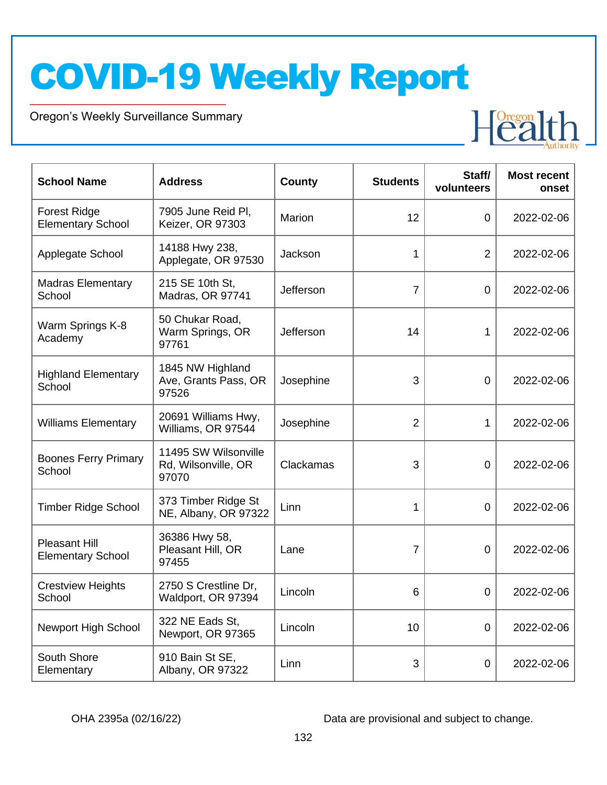Oregon's Weekly Surveillance Summary

Novel Coronavirus (COVID-19)



| <b>School Name</b>                               | <b>Address</b>                                       | <b>County</b> | <b>Students</b> | Staff/<br>volunteers | <b>Most recent</b><br>onset |
|--------------------------------------------------|------------------------------------------------------|---------------|-----------------|----------------------|-----------------------------|
| <b>Forest Ridge</b><br><b>Elementary School</b>  | 7905 June Reid Pl,<br>Keizer, OR 97303               | Marion        | 12              | $\overline{0}$       | 2022-02-06                  |
| Applegate School                                 | 14188 Hwy 238,<br>Applegate, OR 97530                | Jackson       | 1               | $\overline{2}$       | 2022-02-06                  |
| <b>Madras Elementary</b><br>School               | 215 SE 10th St,<br>Madras, OR 97741                  | Jefferson     | $\overline{7}$  | 0                    | 2022-02-06                  |
| Warm Springs K-8<br>Academy                      | 50 Chukar Road,<br>Warm Springs, OR<br>97761         | Jefferson     | 14              | 1                    | 2022-02-06                  |
| <b>Highland Elementary</b><br>School             | 1845 NW Highland<br>Ave, Grants Pass, OR<br>97526    | Josephine     | 3               | $\overline{0}$       | 2022-02-06                  |
| <b>Williams Elementary</b>                       | 20691 Williams Hwy,<br>Williams, OR 97544            | Josephine     | $\overline{2}$  | 1                    | 2022-02-06                  |
| <b>Boones Ferry Primary</b><br>School            | 11495 SW Wilsonville<br>Rd, Wilsonville, OR<br>97070 | Clackamas     | 3               | $\overline{0}$       | 2022-02-06                  |
| <b>Timber Ridge School</b>                       | 373 Timber Ridge St<br>NE, Albany, OR 97322          | Linn          | $\mathbf{1}$    | $\overline{0}$       | 2022-02-06                  |
| <b>Pleasant Hill</b><br><b>Elementary School</b> | 36386 Hwy 58,<br>Pleasant Hill, OR<br>97455          | Lane          | $\overline{7}$  | $\mathbf 0$          | 2022-02-06                  |
| <b>Crestview Heights</b><br>School               | 2750 S Crestline Dr,<br>Waldport, OR 97394           | Lincoln       | $6\phantom{1}$  | 0                    | 2022-02-06                  |
| Newport High School                              | 322 NE Eads St,<br>Newport, OR 97365                 | Lincoln       | 10              | 0                    | 2022-02-06                  |
| South Shore<br>Elementary                        | 910 Bain St SE,<br>Albany, OR 97322                  | Linn          | 3               | $\mathbf 0$          | 2022-02-06                  |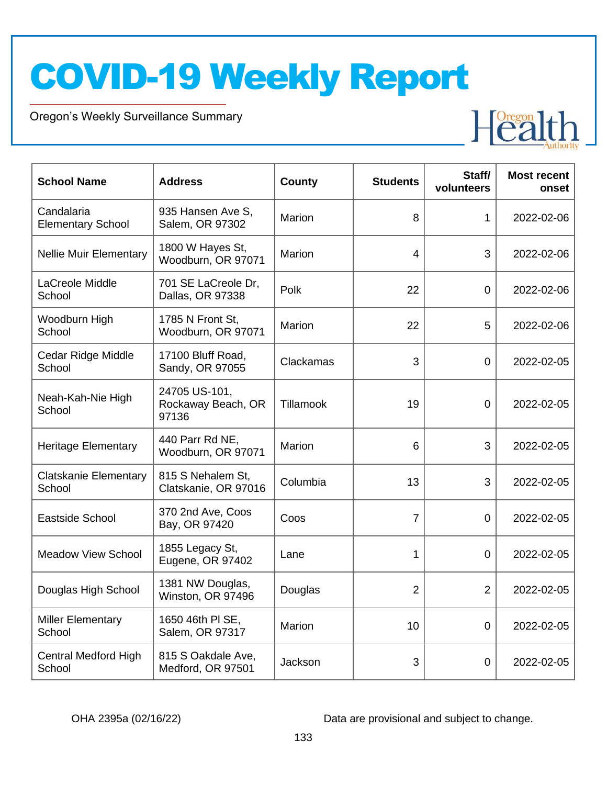Oregon's Weekly Surveillance Summary

Novel Coronavirus (COVID-19)



| <b>School Name</b>                     | <b>Address</b>                               | <b>County</b> | <b>Students</b> | Staff/<br>volunteers | <b>Most recent</b><br>onset |
|----------------------------------------|----------------------------------------------|---------------|-----------------|----------------------|-----------------------------|
| Candalaria<br><b>Elementary School</b> | 935 Hansen Ave S,<br>Salem, OR 97302         | Marion        | 8               | $\mathbf{1}$         | 2022-02-06                  |
| <b>Nellie Muir Elementary</b>          | 1800 W Hayes St,<br>Woodburn, OR 97071       | Marion        | 4               | 3                    | 2022-02-06                  |
| LaCreole Middle<br>School              | 701 SE LaCreole Dr,<br>Dallas, OR 97338      | Polk          | 22              | $\mathbf 0$          | 2022-02-06                  |
| Woodburn High<br>School                | 1785 N Front St,<br>Woodburn, OR 97071       | Marion        | 22              | 5                    | 2022-02-06                  |
| Cedar Ridge Middle<br>School           | 17100 Bluff Road,<br>Sandy, OR 97055         | Clackamas     | 3               | 0                    | 2022-02-05                  |
| Neah-Kah-Nie High<br>School            | 24705 US-101,<br>Rockaway Beach, OR<br>97136 | Tillamook     | 19              | 0                    | 2022-02-05                  |
| <b>Heritage Elementary</b>             | 440 Parr Rd NE,<br>Woodburn, OR 97071        | Marion        | 6               | 3                    | 2022-02-05                  |
| <b>Clatskanie Elementary</b><br>School | 815 S Nehalem St.<br>Clatskanie, OR 97016    | Columbia      | 13              | 3                    | 2022-02-05                  |
| <b>Eastside School</b>                 | 370 2nd Ave, Coos<br>Bay, OR 97420           | Coos          | $\overline{7}$  | $\overline{0}$       | 2022-02-05                  |
| <b>Meadow View School</b>              | 1855 Legacy St,<br>Eugene, OR 97402          | Lane          | 1               | 0                    | 2022-02-05                  |
| Douglas High School                    | 1381 NW Douglas,<br>Winston, OR 97496        | Douglas       | $\overline{2}$  | $\overline{2}$       | 2022-02-05                  |
| <b>Miller Elementary</b><br>School     | 1650 46th PI SE,<br>Salem, OR 97317          | Marion        | 10              | 0                    | 2022-02-05                  |
| <b>Central Medford High</b><br>School  | 815 S Oakdale Ave,<br>Medford, OR 97501      | Jackson       | 3               | 0                    | 2022-02-05                  |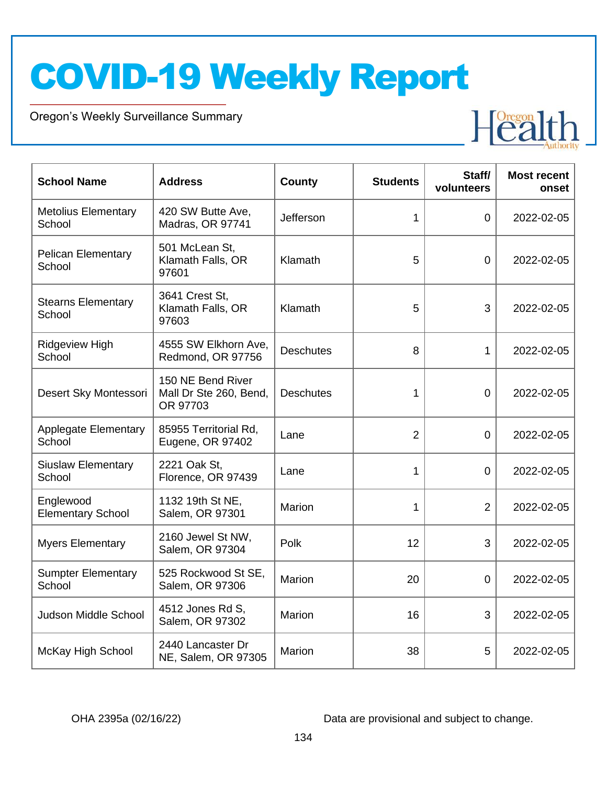Oregon's Weekly Surveillance Summary

Novel Coronavirus (COVID-19)



| <b>School Name</b>                    | <b>Address</b>                                          | County           | <b>Students</b> | Staff/<br>volunteers | <b>Most recent</b><br>onset |
|---------------------------------------|---------------------------------------------------------|------------------|-----------------|----------------------|-----------------------------|
| <b>Metolius Elementary</b><br>School  | 420 SW Butte Ave,<br>Madras, OR 97741                   | Jefferson        | 1               | $\mathbf 0$          | 2022-02-05                  |
| <b>Pelican Elementary</b><br>School   | 501 McLean St,<br>Klamath Falls, OR<br>97601            | Klamath          | 5               | $\mathbf 0$          | 2022-02-05                  |
| <b>Stearns Elementary</b><br>School   | 3641 Crest St,<br>Klamath Falls, OR<br>97603            | Klamath          | 5               | 3                    | 2022-02-05                  |
| <b>Ridgeview High</b><br>School       | 4555 SW Elkhorn Ave,<br>Redmond, OR 97756               | <b>Deschutes</b> | 8               | 1                    | 2022-02-05                  |
| Desert Sky Montessori                 | 150 NE Bend River<br>Mall Dr Ste 260, Bend,<br>OR 97703 | <b>Deschutes</b> | 1               | 0                    | 2022-02-05                  |
| <b>Applegate Elementary</b><br>School | 85955 Territorial Rd,<br>Eugene, OR 97402               | Lane             | $\overline{2}$  | $\overline{0}$       | 2022-02-05                  |
| <b>Siuslaw Elementary</b><br>School   | 2221 Oak St,<br>Florence, OR 97439                      | Lane             | 1               | $\mathbf 0$          | 2022-02-05                  |
| Englewood<br><b>Elementary School</b> | 1132 19th St NE,<br>Salem, OR 97301                     | Marion           | 1               | $\overline{2}$       | 2022-02-05                  |
| <b>Myers Elementary</b>               | 2160 Jewel St NW,<br>Salem, OR 97304                    | Polk             | 12              | 3                    | 2022-02-05                  |
| <b>Sumpter Elementary</b><br>School   | 525 Rockwood St SE,<br>Salem, OR 97306                  | Marion           | 20              | $\mathbf 0$          | 2022-02-05                  |
| Judson Middle School                  | 4512 Jones Rd S,<br>Salem, OR 97302                     | <b>Marion</b>    | 16              | 3                    | 2022-02-05                  |
| McKay High School                     | 2440 Lancaster Dr<br>NE, Salem, OR 97305                | Marion           | 38              | 5                    | 2022-02-05                  |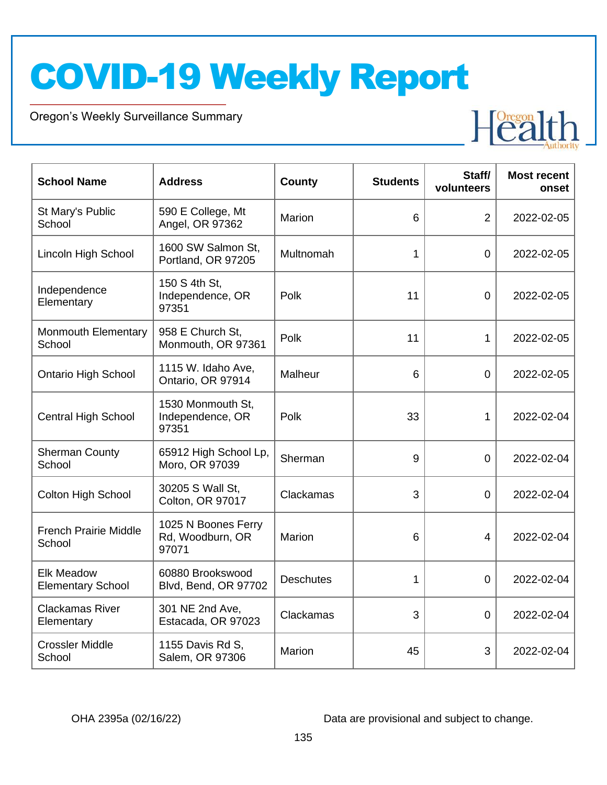Oregon's Weekly Surveillance Summary

Novel Coronavirus (COVID-19)



| <b>School Name</b>                            | <b>Address</b>                                   | <b>County</b>    | <b>Students</b> | Staff/<br>volunteers | <b>Most recent</b><br>onset |
|-----------------------------------------------|--------------------------------------------------|------------------|-----------------|----------------------|-----------------------------|
| St Mary's Public<br>School                    | 590 E College, Mt<br>Angel, OR 97362             | Marion           | 6               | $\overline{2}$       | 2022-02-05                  |
| Lincoln High School                           | 1600 SW Salmon St,<br>Portland, OR 97205         | Multnomah        | 1               | $\overline{0}$       | 2022-02-05                  |
| Independence<br>Elementary                    | 150 S 4th St,<br>Independence, OR<br>97351       | Polk             | 11              | $\mathbf 0$          | 2022-02-05                  |
| Monmouth Elementary<br>School                 | 958 E Church St,<br>Monmouth, OR 97361           | Polk             | 11              | 1                    | 2022-02-05                  |
| <b>Ontario High School</b>                    | 1115 W. Idaho Ave,<br>Ontario, OR 97914          | Malheur          | 6               | $\overline{0}$       | 2022-02-05                  |
| <b>Central High School</b>                    | 1530 Monmouth St,<br>Independence, OR<br>97351   | Polk             | 33              | 1                    | 2022-02-04                  |
| <b>Sherman County</b><br>School               | 65912 High School Lp,<br>Moro, OR 97039          | Sherman          | 9               | $\overline{0}$       | 2022-02-04                  |
| <b>Colton High School</b>                     | 30205 S Wall St,<br>Colton, OR 97017             | Clackamas        | 3               | $\overline{0}$       | 2022-02-04                  |
| <b>French Prairie Middle</b><br>School        | 1025 N Boones Ferry<br>Rd, Woodburn, OR<br>97071 | <b>Marion</b>    | 6               | 4                    | 2022-02-04                  |
| <b>Elk Meadow</b><br><b>Elementary School</b> | 60880 Brookswood<br>Blvd, Bend, OR 97702         | <b>Deschutes</b> | $\mathbf 1$     | $\mathbf 0$          | 2022-02-04                  |
| <b>Clackamas River</b><br>Elementary          | 301 NE 2nd Ave,<br>Estacada, OR 97023            | Clackamas        | 3               | $\overline{0}$       | 2022-02-04                  |
| <b>Crossler Middle</b><br>School              | 1155 Davis Rd S,<br>Salem, OR 97306              | <b>Marion</b>    | 45              | 3                    | 2022-02-04                  |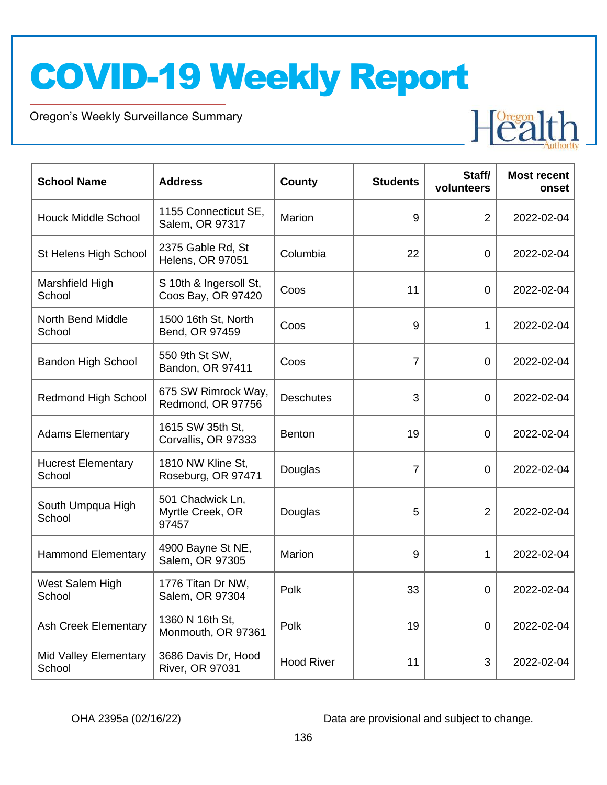Oregon's Weekly Surveillance Summary

Novel Coronavirus (COVID-19)



| <b>School Name</b>                  | <b>Address</b>                                | <b>County</b>     | <b>Students</b> | Staff/<br>volunteers | <b>Most recent</b><br>onset |
|-------------------------------------|-----------------------------------------------|-------------------|-----------------|----------------------|-----------------------------|
| <b>Houck Middle School</b>          | 1155 Connecticut SE,<br>Salem, OR 97317       | Marion            | 9               | $\overline{2}$       | 2022-02-04                  |
| St Helens High School               | 2375 Gable Rd, St<br><b>Helens, OR 97051</b>  | Columbia          | 22              | $\mathbf 0$          | 2022-02-04                  |
| Marshfield High<br>School           | S 10th & Ingersoll St,<br>Coos Bay, OR 97420  | Coos              | 11              | $\overline{0}$       | 2022-02-04                  |
| <b>North Bend Middle</b><br>School  | 1500 16th St, North<br>Bend, OR 97459         | Coos              | 9               | $\mathbf{1}$         | 2022-02-04                  |
| <b>Bandon High School</b>           | 550 9th St SW,<br>Bandon, OR 97411            | Coos              | $\overline{7}$  | 0                    | 2022-02-04                  |
| <b>Redmond High School</b>          | 675 SW Rimrock Way,<br>Redmond, OR 97756      | <b>Deschutes</b>  | 3               | $\overline{0}$       | 2022-02-04                  |
| <b>Adams Elementary</b>             | 1615 SW 35th St,<br>Corvallis, OR 97333       | <b>Benton</b>     | 19              | 0                    | 2022-02-04                  |
| <b>Hucrest Elementary</b><br>School | 1810 NW Kline St,<br>Roseburg, OR 97471       | Douglas           | $\overline{7}$  | 0                    | 2022-02-04                  |
| South Umpqua High<br>School         | 501 Chadwick Ln,<br>Myrtle Creek, OR<br>97457 | Douglas           | 5               | $\overline{2}$       | 2022-02-04                  |
| <b>Hammond Elementary</b>           | 4900 Bayne St NE,<br>Salem, OR 97305          | Marion            | 9               | 1                    | 2022-02-04                  |
| West Salem High<br>School           | 1776 Titan Dr NW,<br>Salem, OR 97304          | Polk              | 33              | 0                    | 2022-02-04                  |
| <b>Ash Creek Elementary</b>         | 1360 N 16th St,<br>Monmouth, OR 97361         | Polk              | 19              | $\mathbf 0$          | 2022-02-04                  |
| Mid Valley Elementary<br>School     | 3686 Davis Dr, Hood<br>River, OR 97031        | <b>Hood River</b> | 11              | 3                    | 2022-02-04                  |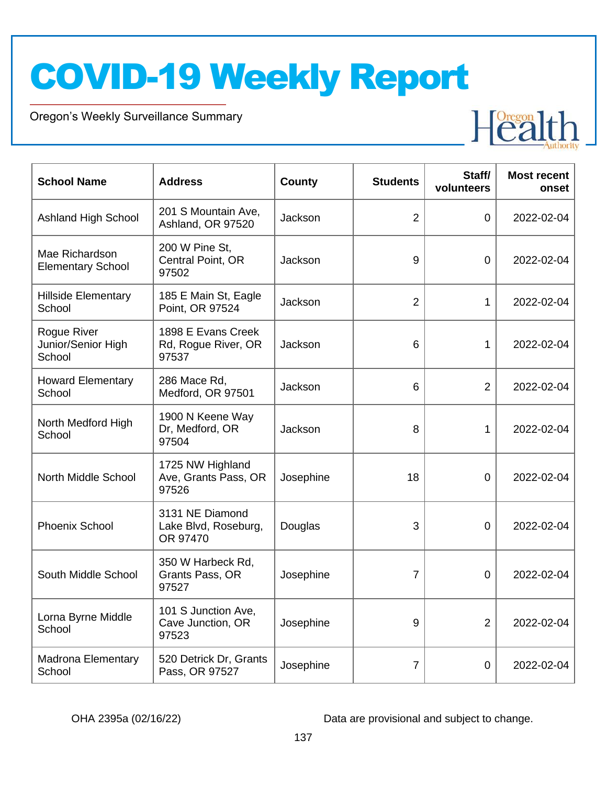Oregon's Weekly Surveillance Summary

Novel Coronavirus (COVID-19)



| <b>School Name</b>                          | <b>Address</b>                                      | <b>County</b> | <b>Students</b> | Staff/<br>volunteers | <b>Most recent</b><br>onset |
|---------------------------------------------|-----------------------------------------------------|---------------|-----------------|----------------------|-----------------------------|
| Ashland High School                         | 201 S Mountain Ave,<br>Ashland, OR 97520            | Jackson       | $\overline{2}$  | $\overline{0}$       | 2022-02-04                  |
| Mae Richardson<br><b>Elementary School</b>  | 200 W Pine St,<br>Central Point, OR<br>97502        | Jackson       | 9               | $\mathbf 0$          | 2022-02-04                  |
| <b>Hillside Elementary</b><br>School        | 185 E Main St, Eagle<br>Point, OR 97524             | Jackson       | $\overline{2}$  | 1                    | 2022-02-04                  |
| Rogue River<br>Junior/Senior High<br>School | 1898 E Evans Creek<br>Rd, Rogue River, OR<br>97537  | Jackson       | 6               | 1                    | 2022-02-04                  |
| <b>Howard Elementary</b><br>School          | 286 Mace Rd,<br>Medford, OR 97501                   | Jackson       | 6               | 2                    | 2022-02-04                  |
| North Medford High<br>School                | 1900 N Keene Way<br>Dr, Medford, OR<br>97504        | Jackson       | 8               | 1                    | 2022-02-04                  |
| North Middle School                         | 1725 NW Highland<br>Ave, Grants Pass, OR<br>97526   | Josephine     | 18              | 0                    | 2022-02-04                  |
| Phoenix School                              | 3131 NE Diamond<br>Lake Blvd, Roseburg,<br>OR 97470 | Douglas       | 3               | 0                    | 2022-02-04                  |
| South Middle School                         | 350 W Harbeck Rd,<br>Grants Pass, OR<br>97527       | Josephine     | 7               | $\overline{0}$       | 2022-02-04                  |
| Lorna Byrne Middle<br>School                | 101 S Junction Ave,<br>Cave Junction, OR<br>97523   | Josephine     | 9               | $\overline{2}$       | 2022-02-04                  |
| <b>Madrona Elementary</b><br>School         | 520 Detrick Dr, Grants<br>Pass, OR 97527            | Josephine     | 7               | $\mathbf 0$          | 2022-02-04                  |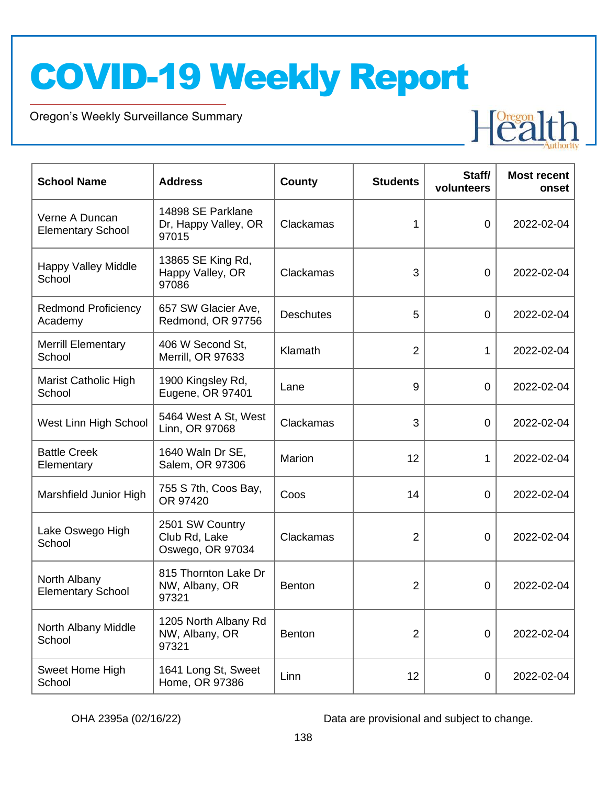Oregon's Weekly Surveillance Summary

Novel Coronavirus (COVID-19)



| <b>School Name</b>                         | <b>Address</b>                                       | County           | <b>Students</b> | Staff/<br>volunteers | <b>Most recent</b><br>onset |
|--------------------------------------------|------------------------------------------------------|------------------|-----------------|----------------------|-----------------------------|
| Verne A Duncan<br><b>Elementary School</b> | 14898 SE Parklane<br>Dr, Happy Valley, OR<br>97015   | Clackamas        | 1               | $\overline{0}$       | 2022-02-04                  |
| <b>Happy Valley Middle</b><br>School       | 13865 SE King Rd,<br>Happy Valley, OR<br>97086       | Clackamas        | 3               | $\overline{0}$       | 2022-02-04                  |
| <b>Redmond Proficiency</b><br>Academy      | 657 SW Glacier Ave,<br>Redmond, OR 97756             | <b>Deschutes</b> | 5               | $\overline{0}$       | 2022-02-04                  |
| <b>Merrill Elementary</b><br>School        | 406 W Second St,<br>Merrill, OR 97633                | Klamath          | $\overline{2}$  | 1                    | 2022-02-04                  |
| Marist Catholic High<br>School             | 1900 Kingsley Rd,<br>Eugene, OR 97401                | Lane             | 9               | $\overline{0}$       | 2022-02-04                  |
| West Linn High School                      | 5464 West A St, West<br>Linn, OR 97068               | Clackamas        | 3               | $\overline{0}$       | 2022-02-04                  |
| <b>Battle Creek</b><br>Elementary          | 1640 Waln Dr SE,<br>Salem, OR 97306                  | Marion           | 12              | 1                    | 2022-02-04                  |
| Marshfield Junior High                     | 755 S 7th, Coos Bay,<br>OR 97420                     | Coos             | 14              | $\overline{0}$       | 2022-02-04                  |
| Lake Oswego High<br>School                 | 2501 SW Country<br>Club Rd, Lake<br>Oswego, OR 97034 | Clackamas        | $\overline{2}$  | 0                    | 2022-02-04                  |
| North Albany<br><b>Elementary School</b>   | 815 Thornton Lake Dr<br>NW, Albany, OR<br>97321      | <b>Benton</b>    | $\overline{2}$  | 0                    | 2022-02-04                  |
| North Albany Middle<br>School              | 1205 North Albany Rd<br>NW, Albany, OR<br>97321      | Benton           | $\overline{2}$  | 0                    | 2022-02-04                  |
| Sweet Home High<br>School                  | 1641 Long St, Sweet<br>Home, OR 97386                | Linn             | 12              | $\mathbf 0$          | 2022-02-04                  |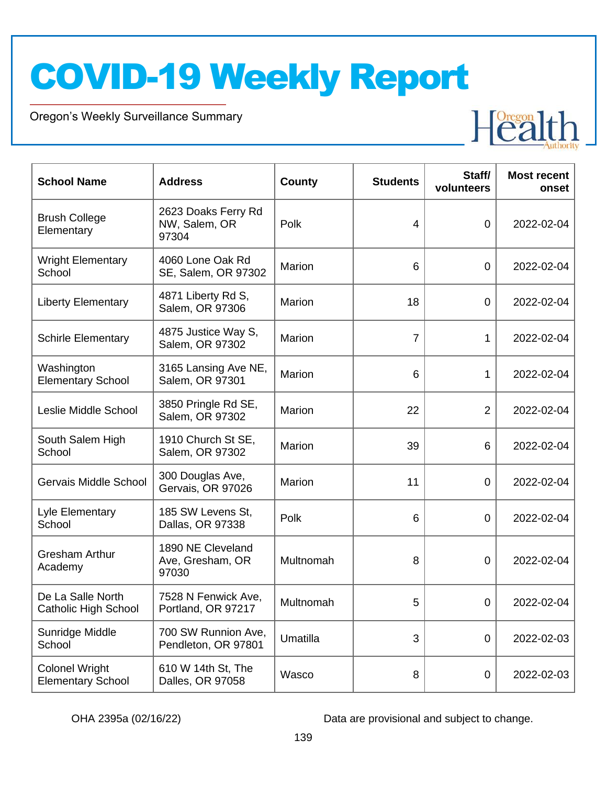Oregon's Weekly Surveillance Summary

Novel Coronavirus (COVID-19)



| <b>School Name</b>                                | <b>Address</b>                                 | County    | <b>Students</b> | Staff/<br>volunteers | <b>Most recent</b><br>onset |
|---------------------------------------------------|------------------------------------------------|-----------|-----------------|----------------------|-----------------------------|
| <b>Brush College</b><br>Elementary                | 2623 Doaks Ferry Rd<br>NW, Salem, OR<br>97304  | Polk      | $\overline{4}$  | $\mathbf 0$          | 2022-02-04                  |
| <b>Wright Elementary</b><br>School                | 4060 Lone Oak Rd<br>SE, Salem, OR 97302        | Marion    | 6               | $\overline{0}$       | 2022-02-04                  |
| <b>Liberty Elementary</b>                         | 4871 Liberty Rd S,<br>Salem, OR 97306          | Marion    | 18              | $\overline{0}$       | 2022-02-04                  |
| <b>Schirle Elementary</b>                         | 4875 Justice Way S,<br>Salem, OR 97302         | Marion    | $\overline{7}$  | 1                    | 2022-02-04                  |
| Washington<br><b>Elementary School</b>            | 3165 Lansing Ave NE,<br>Salem, OR 97301        | Marion    | 6               | 1                    | 2022-02-04                  |
| Leslie Middle School                              | 3850 Pringle Rd SE,<br>Salem, OR 97302         | Marion    | 22              | 2                    | 2022-02-04                  |
| South Salem High<br>School                        | 1910 Church St SE,<br>Salem, OR 97302          | Marion    | 39              | 6                    | 2022-02-04                  |
| Gervais Middle School                             | 300 Douglas Ave,<br>Gervais, OR 97026          | Marion    | 11              | $\mathbf 0$          | 2022-02-04                  |
| Lyle Elementary<br>School                         | 185 SW Levens St,<br>Dallas, OR 97338          | Polk      | 6               | $\mathbf 0$          | 2022-02-04                  |
| <b>Gresham Arthur</b><br>Academy                  | 1890 NE Cleveland<br>Ave, Gresham, OR<br>97030 | Multnomah | 8               | $\overline{0}$       | 2022-02-04                  |
| De La Salle North<br><b>Catholic High School</b>  | 7528 N Fenwick Ave,<br>Portland, OR 97217      | Multnomah | 5               | $\boldsymbol{0}$     | 2022-02-04                  |
| Sunridge Middle<br>School                         | 700 SW Runnion Ave,<br>Pendleton, OR 97801     | Umatilla  | 3               | $\mathbf 0$          | 2022-02-03                  |
| <b>Colonel Wright</b><br><b>Elementary School</b> | 610 W 14th St, The<br>Dalles, OR 97058         | Wasco     | 8               | $\mathbf 0$          | 2022-02-03                  |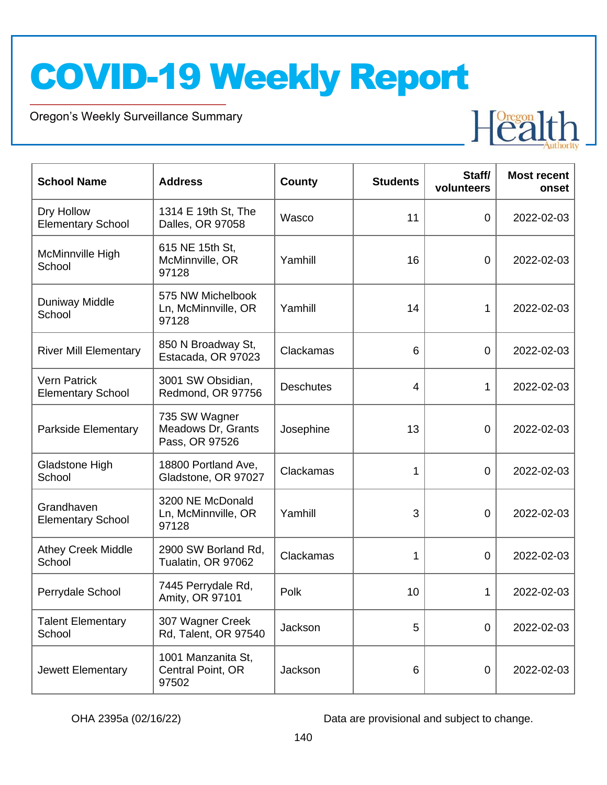Oregon's Weekly Surveillance Summary

Novel Coronavirus (COVID-19)



| <b>School Name</b>                              | <b>Address</b>                                        | <b>County</b>    | <b>Students</b> | Staff/<br>volunteers | <b>Most recent</b><br>onset |
|-------------------------------------------------|-------------------------------------------------------|------------------|-----------------|----------------------|-----------------------------|
| Dry Hollow<br><b>Elementary School</b>          | 1314 E 19th St, The<br>Dalles, OR 97058               | Wasco            | 11              | $\mathbf 0$          | 2022-02-03                  |
| McMinnville High<br>School                      | 615 NE 15th St,<br>McMinnville, OR<br>97128           | Yamhill          | 16              | $\mathbf 0$          | 2022-02-03                  |
| <b>Duniway Middle</b><br>School                 | 575 NW Michelbook<br>Ln, McMinnville, OR<br>97128     | Yamhill          | 14              | 1                    | 2022-02-03                  |
| <b>River Mill Elementary</b>                    | 850 N Broadway St,<br>Estacada, OR 97023              | Clackamas        | 6               | $\mathbf 0$          | 2022-02-03                  |
| <b>Vern Patrick</b><br><b>Elementary School</b> | 3001 SW Obsidian,<br>Redmond, OR 97756                | <b>Deschutes</b> | $\overline{4}$  | 1                    | 2022-02-03                  |
| Parkside Elementary                             | 735 SW Wagner<br>Meadows Dr, Grants<br>Pass, OR 97526 | Josephine        | 13              | 0                    | 2022-02-03                  |
| Gladstone High<br>School                        | 18800 Portland Ave,<br>Gladstone, OR 97027            | Clackamas        | 1               | $\mathbf 0$          | 2022-02-03                  |
| Grandhaven<br><b>Elementary School</b>          | 3200 NE McDonald<br>Ln, McMinnville, OR<br>97128      | Yamhill          | 3               | $\mathbf 0$          | 2022-02-03                  |
| <b>Athey Creek Middle</b><br>School             | 2900 SW Borland Rd,<br>Tualatin, OR 97062             | Clackamas        | 1               | $\overline{0}$       | 2022-02-03                  |
| Perrydale School                                | 7445 Perrydale Rd,<br>Amity, OR 97101                 | Polk             | 10              | 1                    | 2022-02-03                  |
| <b>Talent Elementary</b><br>School              | 307 Wagner Creek<br>Rd, Talent, OR 97540              | Jackson          | 5               | $\mathbf 0$          | 2022-02-03                  |
| Jewett Elementary                               | 1001 Manzanita St,<br>Central Point, OR<br>97502      | Jackson          | 6               | $\mathbf 0$          | 2022-02-03                  |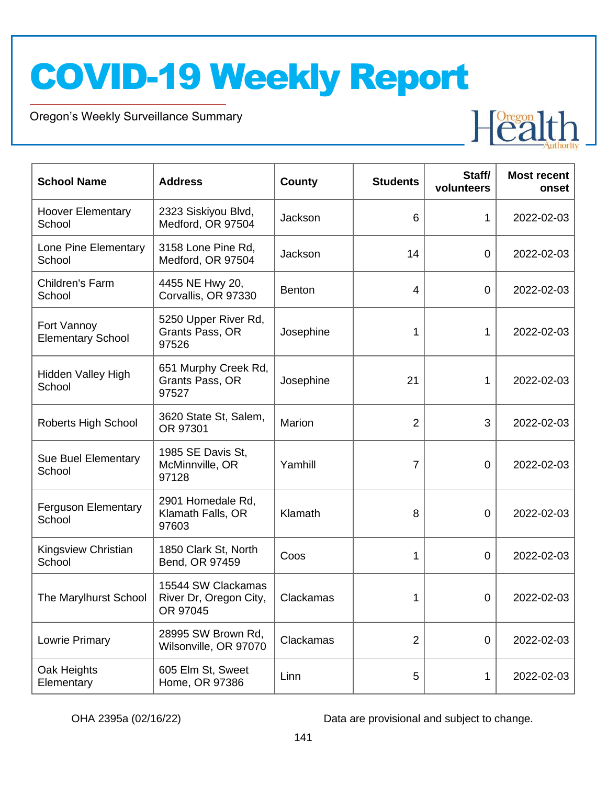Oregon's Weekly Surveillance Summary

Novel Coronavirus (COVID-19)



| <b>School Name</b>                      | <b>Address</b>                                           | County        | <b>Students</b> | Staff/<br>volunteers | <b>Most recent</b><br>onset |
|-----------------------------------------|----------------------------------------------------------|---------------|-----------------|----------------------|-----------------------------|
| <b>Hoover Elementary</b><br>School      | 2323 Siskiyou Blvd,<br>Medford, OR 97504                 | Jackson       | 6               | 1                    | 2022-02-03                  |
| Lone Pine Elementary<br>School          | 3158 Lone Pine Rd,<br>Medford, OR 97504                  | Jackson       | 14              | 0                    | 2022-02-03                  |
| Children's Farm<br>School               | 4455 NE Hwy 20,<br>Corvallis, OR 97330                   | <b>Benton</b> | $\overline{4}$  | 0                    | 2022-02-03                  |
| Fort Vannoy<br><b>Elementary School</b> | 5250 Upper River Rd,<br>Grants Pass, OR<br>97526         | Josephine     | 1               | 1                    | 2022-02-03                  |
| Hidden Valley High<br>School            | 651 Murphy Creek Rd,<br>Grants Pass, OR<br>97527         | Josephine     | 21              | 1                    | 2022-02-03                  |
| Roberts High School                     | 3620 State St, Salem,<br>OR 97301                        | Marion        | $\overline{2}$  | 3                    | 2022-02-03                  |
| <b>Sue Buel Elementary</b><br>School    | 1985 SE Davis St,<br>McMinnville, OR<br>97128            | Yamhill       | $\overline{7}$  | 0                    | 2022-02-03                  |
| <b>Ferguson Elementary</b><br>School    | 2901 Homedale Rd,<br>Klamath Falls, OR<br>97603          | Klamath       | 8               | 0                    | 2022-02-03                  |
| Kingsview Christian<br>School           | 1850 Clark St, North<br>Bend, OR 97459                   | Coos          | 1               | 0                    | 2022-02-03                  |
| The Marylhurst School                   | 15544 SW Clackamas<br>River Dr, Oregon City,<br>OR 97045 | Clackamas     | 1               | $\mathbf 0$          | 2022-02-03                  |
| Lowrie Primary                          | 28995 SW Brown Rd,<br>Wilsonville, OR 97070              | Clackamas     | $\overline{2}$  | 0                    | 2022-02-03                  |
| Oak Heights<br>Elementary               | 605 Elm St, Sweet<br>Home, OR 97386                      | Linn          | 5               | 1                    | 2022-02-03                  |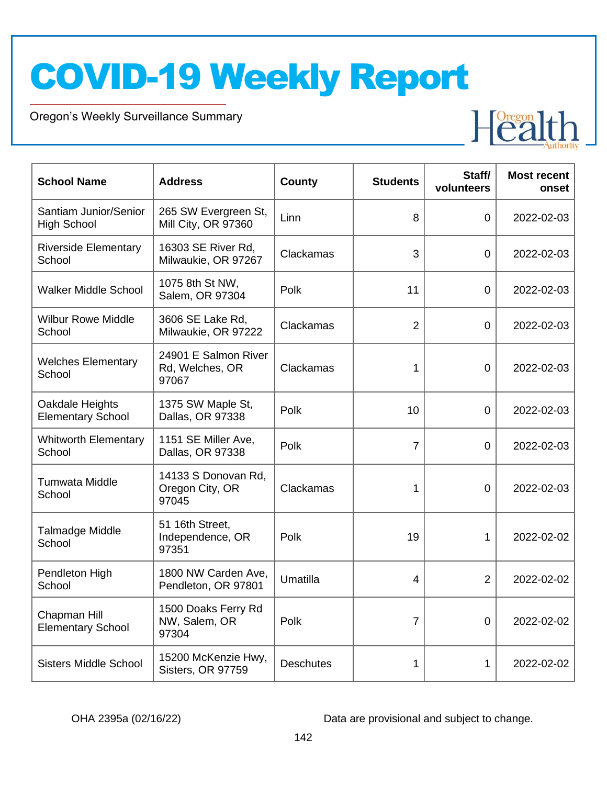Oregon's Weekly Surveillance Summary

Novel Coronavirus (COVID-19)



| <b>School Name</b>                          | <b>Address</b>                                   | <b>County</b>    | <b>Students</b> | Staff/<br>volunteers | <b>Most recent</b><br>onset |
|---------------------------------------------|--------------------------------------------------|------------------|-----------------|----------------------|-----------------------------|
| Santiam Junior/Senior<br><b>High School</b> | 265 SW Evergreen St,<br>Mill City, OR 97360      | Linn             | 8               | $\overline{0}$       | 2022-02-03                  |
| <b>Riverside Elementary</b><br>School       | 16303 SE River Rd,<br>Milwaukie, OR 97267        | Clackamas        | 3               | $\overline{0}$       | 2022-02-03                  |
| <b>Walker Middle School</b>                 | 1075 8th St NW,<br>Salem, OR 97304               | Polk             | 11              | $\overline{0}$       | 2022-02-03                  |
| <b>Wilbur Rowe Middle</b><br>School         | 3606 SE Lake Rd,<br>Milwaukie, OR 97222          | Clackamas        | $\overline{2}$  | $\overline{0}$       | 2022-02-03                  |
| <b>Welches Elementary</b><br>School         | 24901 E Salmon River<br>Rd, Welches, OR<br>97067 | Clackamas        | 1               | 0                    | 2022-02-03                  |
| Oakdale Heights<br><b>Elementary School</b> | 1375 SW Maple St,<br>Dallas, OR 97338            | Polk             | 10              | $\overline{0}$       | 2022-02-03                  |
| <b>Whitworth Elementary</b><br>School       | 1151 SE Miller Ave,<br>Dallas, OR 97338          | Polk             | $\overline{7}$  | 0                    | 2022-02-03                  |
| <b>Tumwata Middle</b><br>School             | 14133 S Donovan Rd,<br>Oregon City, OR<br>97045  | Clackamas        | 1               | 0                    | 2022-02-03                  |
| <b>Talmadge Middle</b><br>School            | 51 16th Street,<br>Independence, OR<br>97351     | Polk             | 19              | 1                    | 2022-02-02                  |
| Pendleton High<br>School                    | 1800 NW Carden Ave,<br>Pendleton, OR 97801       | Umatilla         | 4               | $\overline{2}$       | 2022-02-02                  |
| Chapman Hill<br><b>Elementary School</b>    | 1500 Doaks Ferry Rd<br>NW, Salem, OR<br>97304    | Polk             | 7               | $\overline{0}$       | 2022-02-02                  |
| <b>Sisters Middle School</b>                | 15200 McKenzie Hwy,<br>Sisters, OR 97759         | <b>Deschutes</b> | 1               | 1                    | 2022-02-02                  |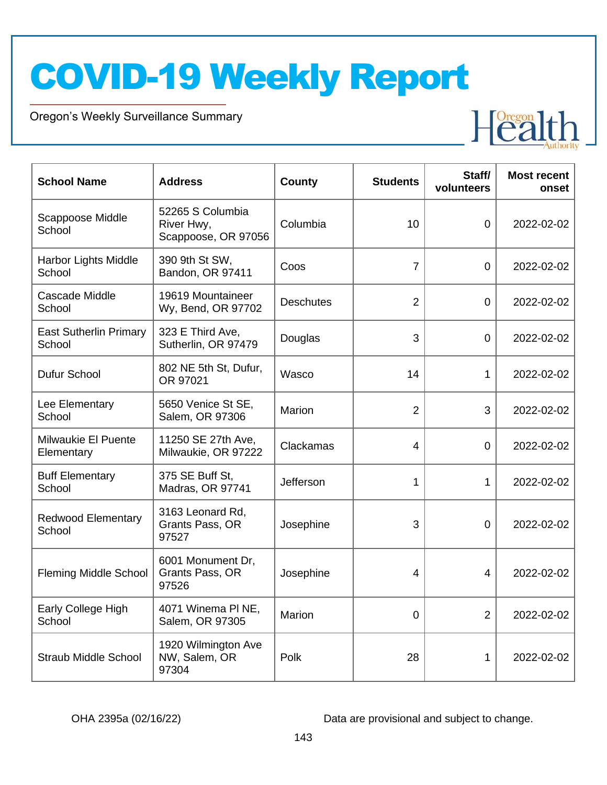Oregon's Weekly Surveillance Summary

Novel Coronavirus (COVID-19)



| <b>School Name</b>                       | <b>Address</b>                                        | <b>County</b>    | <b>Students</b> | Staff/<br>volunteers | <b>Most recent</b><br>onset |
|------------------------------------------|-------------------------------------------------------|------------------|-----------------|----------------------|-----------------------------|
| Scappoose Middle<br>School               | 52265 S Columbia<br>River Hwy,<br>Scappoose, OR 97056 | Columbia         | 10              | 0                    | 2022-02-02                  |
| Harbor Lights Middle<br>School           | 390 9th St SW,<br>Bandon, OR 97411                    | Coos             | $\overline{7}$  | $\overline{0}$       | 2022-02-02                  |
| Cascade Middle<br>School                 | 19619 Mountaineer<br>Wy, Bend, OR 97702               | <b>Deschutes</b> | $\overline{2}$  | $\overline{0}$       | 2022-02-02                  |
| <b>East Sutherlin Primary</b><br>School  | 323 E Third Ave,<br>Sutherlin, OR 97479               | Douglas          | 3               | $\mathbf 0$          | 2022-02-02                  |
| Dufur School                             | 802 NE 5th St, Dufur,<br>OR 97021                     | Wasco            | 14              | 1                    | 2022-02-02                  |
| Lee Elementary<br>School                 | 5650 Venice St SE,<br>Salem, OR 97306                 | Marion           | $\overline{2}$  | 3                    | 2022-02-02                  |
| <b>Milwaukie El Puente</b><br>Elementary | 11250 SE 27th Ave,<br>Milwaukie, OR 97222             | Clackamas        | $\overline{4}$  | $\mathbf 0$          | 2022-02-02                  |
| <b>Buff Elementary</b><br>School         | 375 SE Buff St,<br>Madras, OR 97741                   | Jefferson        | 1               | 1                    | 2022-02-02                  |
| <b>Redwood Elementary</b><br>School      | 3163 Leonard Rd,<br>Grants Pass, OR<br>97527          | Josephine        | 3               | 0                    | 2022-02-02                  |
| <b>Fleming Middle School</b>             | 6001 Monument Dr,<br>Grants Pass, OR<br>97526         | Josephine        | 4               | 4                    | 2022-02-02                  |
| Early College High<br>School             | 4071 Winema PI NE,<br>Salem, OR 97305                 | Marion           | 0               | $\overline{2}$       | 2022-02-02                  |
| <b>Straub Middle School</b>              | 1920 Wilmington Ave<br>NW, Salem, OR<br>97304         | Polk             | 28              | 1                    | 2022-02-02                  |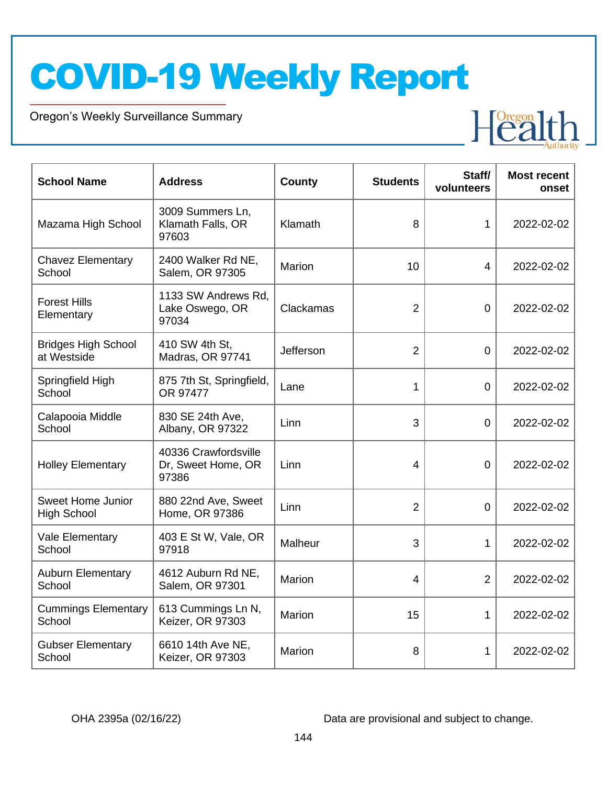Oregon's Weekly Surveillance Summary

Novel Coronavirus (COVID-19)



| <b>School Name</b>                             | <b>Address</b>                                      | County        | <b>Students</b> | Staff/<br>volunteers | <b>Most recent</b><br>onset |
|------------------------------------------------|-----------------------------------------------------|---------------|-----------------|----------------------|-----------------------------|
| Mazama High School                             | 3009 Summers Ln,<br>Klamath Falls, OR<br>97603      | Klamath       | 8               | $\mathbf{1}$         | 2022-02-02                  |
| <b>Chavez Elementary</b><br>School             | 2400 Walker Rd NE,<br>Salem, OR 97305               | <b>Marion</b> | 10              | $\overline{4}$       | 2022-02-02                  |
| <b>Forest Hills</b><br>Elementary              | 1133 SW Andrews Rd,<br>Lake Oswego, OR<br>97034     | Clackamas     | $\overline{2}$  | $\overline{0}$       | 2022-02-02                  |
| <b>Bridges High School</b><br>at Westside      | 410 SW 4th St,<br>Madras, OR 97741                  | Jefferson     | $\overline{2}$  | $\overline{0}$       | 2022-02-02                  |
| Springfield High<br>School                     | 875 7th St, Springfield,<br>OR 97477                | Lane          | 1               | 0                    | 2022-02-02                  |
| Calapooia Middle<br>School                     | 830 SE 24th Ave,<br>Albany, OR 97322                | Linn          | 3               | 0                    | 2022-02-02                  |
| <b>Holley Elementary</b>                       | 40336 Crawfordsville<br>Dr, Sweet Home, OR<br>97386 | Linn          | 4               | $\overline{0}$       | 2022-02-02                  |
| <b>Sweet Home Junior</b><br><b>High School</b> | 880 22nd Ave, Sweet<br>Home, OR 97386               | Linn          | $\overline{2}$  | $\overline{0}$       | 2022-02-02                  |
| Vale Elementary<br>School                      | 403 E St W, Vale, OR<br>97918                       | Malheur       | 3               | $\mathbf{1}$         | 2022-02-02                  |
| <b>Auburn Elementary</b><br>School             | 4612 Auburn Rd NE,<br>Salem, OR 97301               | Marion        | $\overline{4}$  | $\overline{2}$       | 2022-02-02                  |
| <b>Cummings Elementary</b><br>School           | 613 Cummings Ln N,<br>Keizer, OR 97303              | Marion        | 15              | $\mathbf{1}$         | 2022-02-02                  |
| <b>Gubser Elementary</b><br>School             | 6610 14th Ave NE,<br>Keizer, OR 97303               | Marion        | 8               | 1                    | 2022-02-02                  |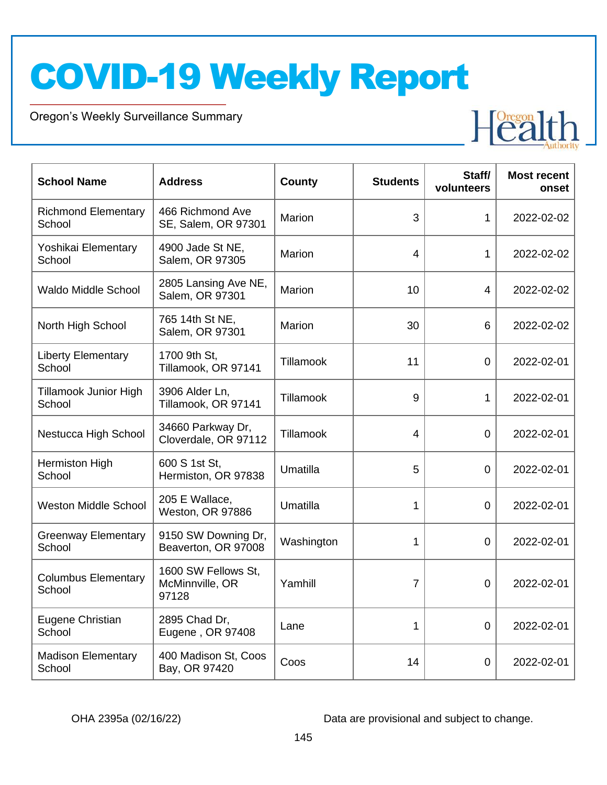Oregon's Weekly Surveillance Summary

Novel Coronavirus (COVID-19)



| <b>School Name</b>                   | <b>Address</b>                                  | <b>County</b> | <b>Students</b>         | Staff/<br>volunteers | <b>Most recent</b><br>onset |
|--------------------------------------|-------------------------------------------------|---------------|-------------------------|----------------------|-----------------------------|
| <b>Richmond Elementary</b><br>School | 466 Richmond Ave<br>SE, Salem, OR 97301         | Marion        | 3                       | $\mathbf{1}$         | 2022-02-02                  |
| Yoshikai Elementary<br>School        | 4900 Jade St NE,<br>Salem, OR 97305             | <b>Marion</b> | $\overline{\mathbf{4}}$ | $\mathbf{1}$         | 2022-02-02                  |
| <b>Waldo Middle School</b>           | 2805 Lansing Ave NE,<br>Salem, OR 97301         | Marion        | 10                      | 4                    | 2022-02-02                  |
| North High School                    | 765 14th St NE,<br>Salem, OR 97301              | Marion        | 30                      | 6                    | 2022-02-02                  |
| <b>Liberty Elementary</b><br>School  | 1700 9th St,<br>Tillamook, OR 97141             | Tillamook     | 11                      | 0                    | 2022-02-01                  |
| Tillamook Junior High<br>School      | 3906 Alder Ln,<br>Tillamook, OR 97141           | Tillamook     | 9                       | $\mathbf 1$          | 2022-02-01                  |
| Nestucca High School                 | 34660 Parkway Dr,<br>Cloverdale, OR 97112       | Tillamook     | $\overline{4}$          | $\overline{0}$       | 2022-02-01                  |
| Hermiston High<br>School             | 600 S 1st St,<br>Hermiston, OR 97838            | Umatilla      | 5                       | 0                    | 2022-02-01                  |
| <b>Weston Middle School</b>          | 205 E Wallace,<br>Weston, OR 97886              | Umatilla      | 1                       | $\overline{0}$       | 2022-02-01                  |
| <b>Greenway Elementary</b><br>School | 9150 SW Downing Dr,<br>Beaverton, OR 97008      | Washington    | 1                       | 0                    | 2022-02-01                  |
| <b>Columbus Elementary</b><br>School | 1600 SW Fellows St,<br>McMinnville, OR<br>97128 | Yamhill       | $\overline{7}$          | 0                    | 2022-02-01                  |
| Eugene Christian<br>School           | 2895 Chad Dr,<br>Eugene, OR 97408               | Lane          | 1                       | 0                    | 2022-02-01                  |
| <b>Madison Elementary</b><br>School  | 400 Madison St, Coos<br>Bay, OR 97420           | Coos          | 14                      | 0                    | 2022-02-01                  |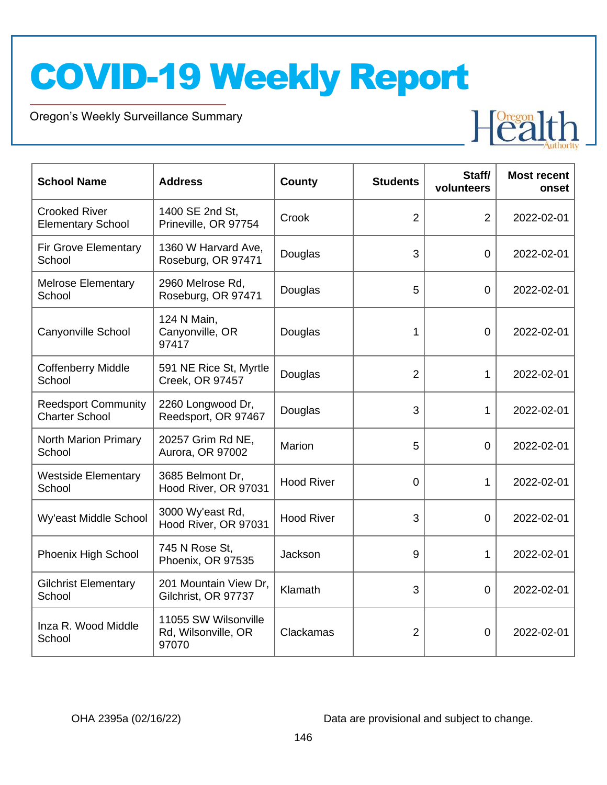Oregon's Weekly Surveillance Summary

Novel Coronavirus (COVID-19)



| <b>School Name</b>                                  | <b>Address</b>                                       | County            | <b>Students</b> | Staff/<br>volunteers | <b>Most recent</b><br>onset |
|-----------------------------------------------------|------------------------------------------------------|-------------------|-----------------|----------------------|-----------------------------|
| <b>Crooked River</b><br><b>Elementary School</b>    | 1400 SE 2nd St,<br>Prineville, OR 97754              | Crook             | $\overline{2}$  | $\overline{2}$       | 2022-02-01                  |
| Fir Grove Elementary<br>School                      | 1360 W Harvard Ave,<br>Roseburg, OR 97471            | Douglas           | 3               | $\overline{0}$       | 2022-02-01                  |
| <b>Melrose Elementary</b><br>School                 | 2960 Melrose Rd,<br>Roseburg, OR 97471               | Douglas           | 5               | 0                    | 2022-02-01                  |
| Canyonville School                                  | 124 N Main,<br>Canyonville, OR<br>97417              | Douglas           | 1               | $\overline{0}$       | 2022-02-01                  |
| <b>Coffenberry Middle</b><br>School                 | 591 NE Rice St, Myrtle<br>Creek, OR 97457            | Douglas           | $\overline{2}$  | $\mathbf{1}$         | 2022-02-01                  |
| <b>Reedsport Community</b><br><b>Charter School</b> | 2260 Longwood Dr,<br>Reedsport, OR 97467             | Douglas           | 3               | $\mathbf{1}$         | 2022-02-01                  |
| North Marion Primary<br>School                      | 20257 Grim Rd NE,<br>Aurora, OR 97002                | <b>Marion</b>     | 5               | $\overline{0}$       | 2022-02-01                  |
| <b>Westside Elementary</b><br>School                | 3685 Belmont Dr,<br>Hood River, OR 97031             | <b>Hood River</b> | 0               | 1                    | 2022-02-01                  |
| Wy'east Middle School                               | 3000 Wy'east Rd,<br>Hood River, OR 97031             | <b>Hood River</b> | 3               | $\overline{0}$       | 2022-02-01                  |
| Phoenix High School                                 | 745 N Rose St,<br>Phoenix, OR 97535                  | Jackson           | 9               | 1                    | 2022-02-01                  |
| <b>Gilchrist Elementary</b><br>School               | 201 Mountain View Dr,<br>Gilchrist, OR 97737         | Klamath           | 3               | $\overline{0}$       | 2022-02-01                  |
| Inza R. Wood Middle<br>School                       | 11055 SW Wilsonville<br>Rd, Wilsonville, OR<br>97070 | Clackamas         | $\overline{2}$  | 0                    | 2022-02-01                  |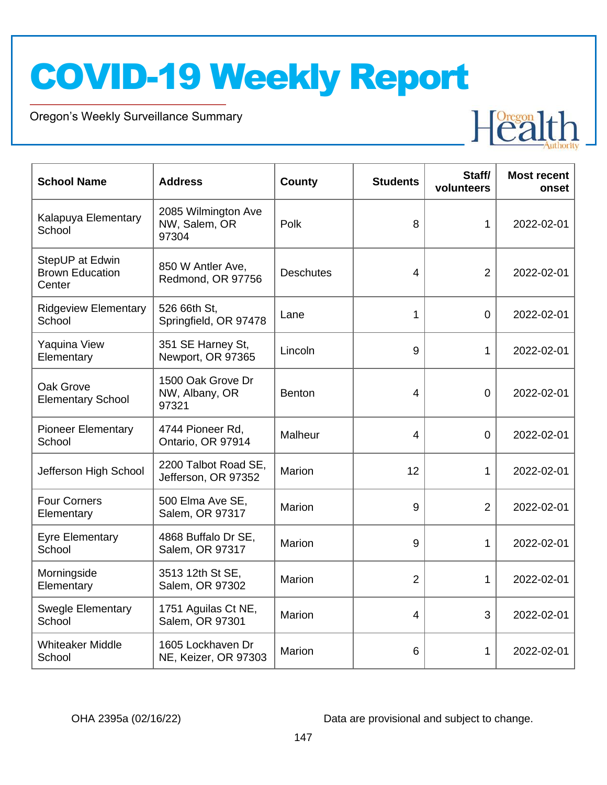Oregon's Weekly Surveillance Summary

Novel Coronavirus (COVID-19)



| <b>School Name</b>                                  | <b>Address</b>                                | <b>County</b>    | <b>Students</b> | Staff/<br>volunteers | <b>Most recent</b><br>onset |
|-----------------------------------------------------|-----------------------------------------------|------------------|-----------------|----------------------|-----------------------------|
| Kalapuya Elementary<br>School                       | 2085 Wilmington Ave<br>NW, Salem, OR<br>97304 | Polk             | 8               | 1                    | 2022-02-01                  |
| StepUP at Edwin<br><b>Brown Education</b><br>Center | 850 W Antler Ave,<br>Redmond, OR 97756        | <b>Deschutes</b> | 4               | $\overline{2}$       | 2022-02-01                  |
| <b>Ridgeview Elementary</b><br>School               | 526 66th St.<br>Springfield, OR 97478         | Lane             | 1               | $\overline{0}$       | 2022-02-01                  |
| Yaquina View<br>Elementary                          | 351 SE Harney St,<br>Newport, OR 97365        | Lincoln          | 9               | 1                    | 2022-02-01                  |
| Oak Grove<br><b>Elementary School</b>               | 1500 Oak Grove Dr<br>NW, Albany, OR<br>97321  | <b>Benton</b>    | 4               | $\mathbf 0$          | 2022-02-01                  |
| <b>Pioneer Elementary</b><br>School                 | 4744 Pioneer Rd,<br>Ontario, OR 97914         | Malheur          | 4               | $\mathbf 0$          | 2022-02-01                  |
| Jefferson High School                               | 2200 Talbot Road SE,<br>Jefferson, OR 97352   | Marion           | 12              | 1                    | 2022-02-01                  |
| <b>Four Corners</b><br>Elementary                   | 500 Elma Ave SE,<br>Salem, OR 97317           | Marion           | 9               | 2                    | 2022-02-01                  |
| <b>Eyre Elementary</b><br>School                    | 4868 Buffalo Dr SE,<br>Salem, OR 97317        | Marion           | 9               | $\mathbf 1$          | 2022-02-01                  |
| Morningside<br>Elementary                           | 3513 12th St SE,<br>Salem, OR 97302           | Marion           | $\overline{2}$  | 1                    | 2022-02-01                  |
| <b>Swegle Elementary</b><br>School                  | 1751 Aguilas Ct NE,<br>Salem, OR 97301        | Marion           | $\overline{4}$  | 3                    | 2022-02-01                  |
| <b>Whiteaker Middle</b><br>School                   | 1605 Lockhaven Dr<br>NE, Keizer, OR 97303     | Marion           | 6               | 1                    | 2022-02-01                  |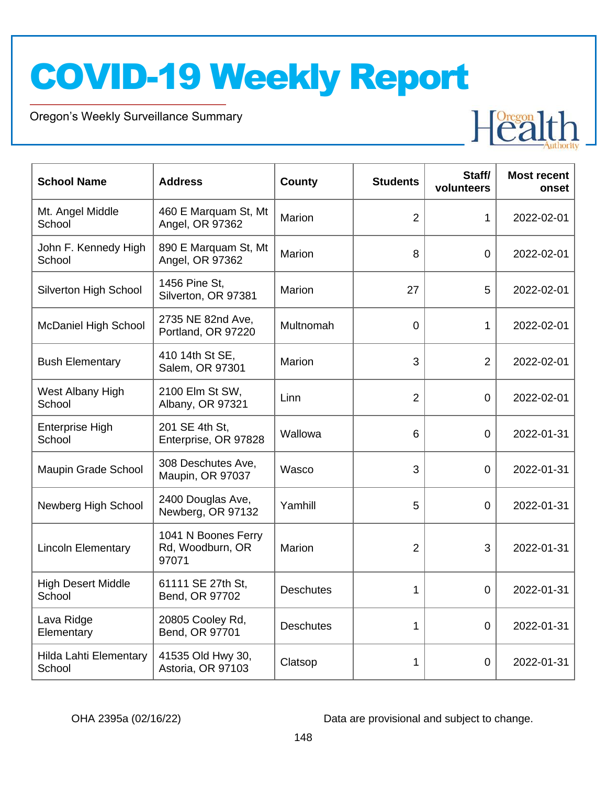Oregon's Weekly Surveillance Summary

Novel Coronavirus (COVID-19)



| <b>School Name</b>                  | <b>Address</b>                                   | <b>County</b>    | <b>Students</b> | Staff/<br>volunteers | <b>Most recent</b><br>onset |
|-------------------------------------|--------------------------------------------------|------------------|-----------------|----------------------|-----------------------------|
| Mt. Angel Middle<br>School          | 460 E Marquam St, Mt<br>Angel, OR 97362          | Marion           | $\overline{2}$  | $\mathbf{1}$         | 2022-02-01                  |
| John F. Kennedy High<br>School      | 890 E Marquam St, Mt<br>Angel, OR 97362          | Marion           | 8               | 0                    | 2022-02-01                  |
| <b>Silverton High School</b>        | 1456 Pine St.<br>Silverton, OR 97381             | Marion           | 27              | 5                    | 2022-02-01                  |
| <b>McDaniel High School</b>         | 2735 NE 82nd Ave,<br>Portland, OR 97220          | Multnomah        | $\mathbf 0$     | 1                    | 2022-02-01                  |
| <b>Bush Elementary</b>              | 410 14th St SE,<br>Salem, OR 97301               | Marion           | 3               | $\overline{2}$       | 2022-02-01                  |
| West Albany High<br>School          | 2100 Elm St SW,<br>Albany, OR 97321              | Linn             | $\overline{2}$  | 0                    | 2022-02-01                  |
| <b>Enterprise High</b><br>School    | 201 SE 4th St.<br>Enterprise, OR 97828           | Wallowa          | $6\phantom{1}6$ | $\mathbf 0$          | 2022-01-31                  |
| Maupin Grade School                 | 308 Deschutes Ave,<br>Maupin, OR 97037           | Wasco            | 3               | $\mathbf 0$          | 2022-01-31                  |
| Newberg High School                 | 2400 Douglas Ave,<br>Newberg, OR 97132           | Yamhill          | 5               | $\overline{0}$       | 2022-01-31                  |
| <b>Lincoln Elementary</b>           | 1041 N Boones Ferry<br>Rd, Woodburn, OR<br>97071 | Marion           | $\overline{2}$  | 3                    | 2022-01-31                  |
| <b>High Desert Middle</b><br>School | 61111 SE 27th St,<br>Bend, OR 97702              | <b>Deschutes</b> | 1               | $\mathbf 0$          | 2022-01-31                  |
| Lava Ridge<br>Elementary            | 20805 Cooley Rd,<br>Bend, OR 97701               | <b>Deschutes</b> | 1               | $\overline{0}$       | 2022-01-31                  |
| Hilda Lahti Elementary<br>School    | 41535 Old Hwy 30,<br>Astoria, OR 97103           | Clatsop          | 1               | 0                    | 2022-01-31                  |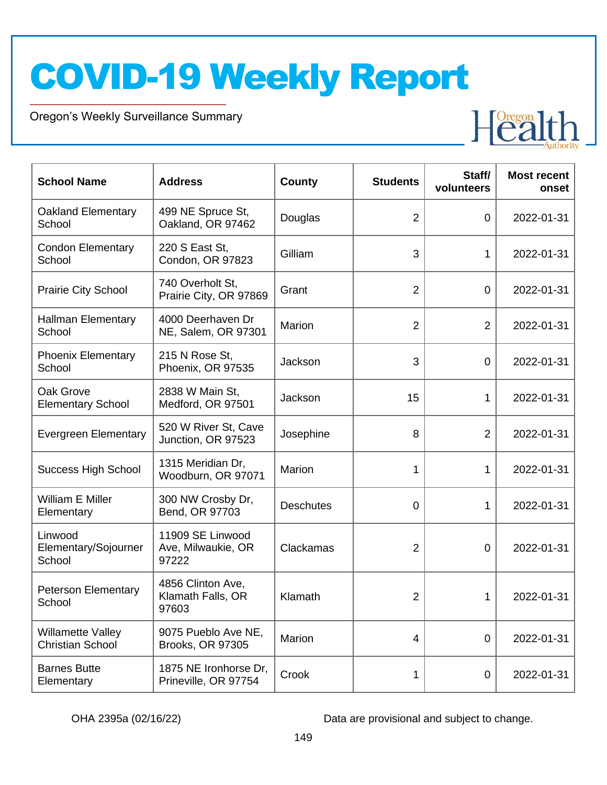Oregon's Weekly Surveillance Summary

Novel Coronavirus (COVID-19)



| <b>School Name</b>                                  | <b>Address</b>                                  | <b>County</b>    | <b>Students</b> | Staff/<br>volunteers | <b>Most recent</b><br>onset |
|-----------------------------------------------------|-------------------------------------------------|------------------|-----------------|----------------------|-----------------------------|
| <b>Oakland Elementary</b><br>School                 | 499 NE Spruce St,<br>Oakland, OR 97462          | Douglas          | $\overline{2}$  | $\overline{0}$       | 2022-01-31                  |
| <b>Condon Elementary</b><br>School                  | 220 S East St,<br>Condon, OR 97823              | Gilliam          | 3               | 1                    | 2022-01-31                  |
| <b>Prairie City School</b>                          | 740 Overholt St,<br>Prairie City, OR 97869      | Grant            | $\overline{2}$  | $\mathbf 0$          | 2022-01-31                  |
| <b>Hallman Elementary</b><br>School                 | 4000 Deerhaven Dr<br>NE, Salem, OR 97301        | Marion           | $\overline{2}$  | $\overline{2}$       | 2022-01-31                  |
| <b>Phoenix Elementary</b><br>School                 | 215 N Rose St,<br>Phoenix, OR 97535             | Jackson          | 3               | $\overline{0}$       | 2022-01-31                  |
| Oak Grove<br><b>Elementary School</b>               | 2838 W Main St,<br>Medford, OR 97501            | Jackson          | 15              | 1                    | 2022-01-31                  |
| <b>Evergreen Elementary</b>                         | 520 W River St, Cave<br>Junction, OR 97523      | Josephine        | 8               | $\overline{2}$       | 2022-01-31                  |
| <b>Success High School</b>                          | 1315 Meridian Dr,<br>Woodburn, OR 97071         | Marion           | 1               | 1                    | 2022-01-31                  |
| William E Miller<br>Elementary                      | 300 NW Crosby Dr,<br>Bend, OR 97703             | <b>Deschutes</b> | 0               | 1                    | 2022-01-31                  |
| Linwood<br>Elementary/Sojourner<br>School           | 11909 SE Linwood<br>Ave, Milwaukie, OR<br>97222 | Clackamas        | $\overline{2}$  | 0                    | 2022-01-31                  |
| <b>Peterson Elementary</b><br>School                | 4856 Clinton Ave,<br>Klamath Falls, OR<br>97603 | Klamath          | $\overline{2}$  | 1                    | 2022-01-31                  |
| <b>Willamette Valley</b><br><b>Christian School</b> | 9075 Pueblo Ave NE,<br>Brooks, OR 97305         | Marion           | $\overline{4}$  | $\overline{0}$       | 2022-01-31                  |
| <b>Barnes Butte</b><br>Elementary                   | 1875 NE Ironhorse Dr,<br>Prineville, OR 97754   | Crook            | 1               | 0                    | 2022-01-31                  |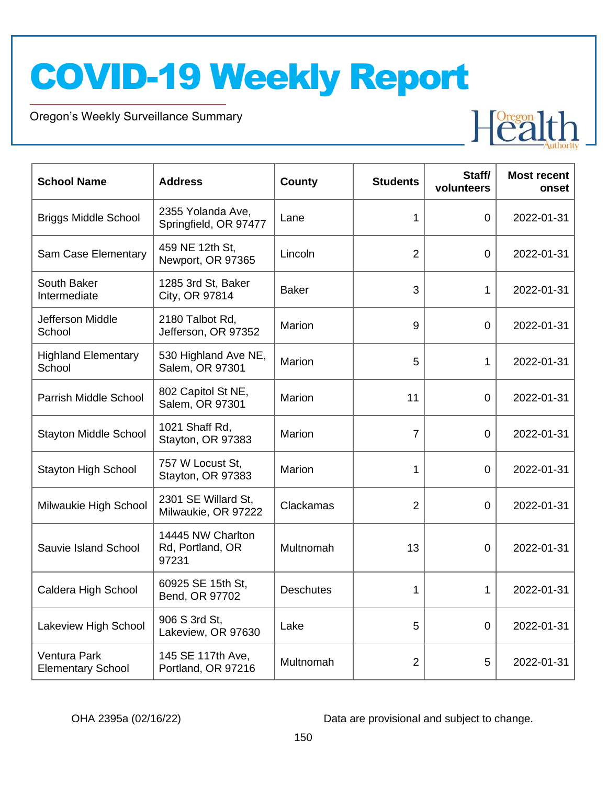Oregon's Weekly Surveillance Summary

Novel Coronavirus (COVID-19)



| <b>School Name</b>                       | <b>Address</b>                                 | County           | <b>Students</b> | Staff/<br>volunteers | <b>Most recent</b><br>onset |
|------------------------------------------|------------------------------------------------|------------------|-----------------|----------------------|-----------------------------|
| <b>Briggs Middle School</b>              | 2355 Yolanda Ave,<br>Springfield, OR 97477     | Lane             | 1               | $\overline{0}$       | 2022-01-31                  |
| Sam Case Elementary                      | 459 NE 12th St,<br>Newport, OR 97365           | Lincoln          | $\overline{2}$  | 0                    | 2022-01-31                  |
| South Baker<br>Intermediate              | 1285 3rd St, Baker<br>City, OR 97814           | <b>Baker</b>     | 3               | $\mathbf 1$          | 2022-01-31                  |
| Jefferson Middle<br>School               | 2180 Talbot Rd,<br>Jefferson, OR 97352         | Marion           | 9               | $\mathbf 0$          | 2022-01-31                  |
| <b>Highland Elementary</b><br>School     | 530 Highland Ave NE,<br>Salem, OR 97301        | Marion           | 5               | 1                    | 2022-01-31                  |
| Parrish Middle School                    | 802 Capitol St NE,<br>Salem, OR 97301          | Marion           | 11              | $\overline{0}$       | 2022-01-31                  |
| <b>Stayton Middle School</b>             | 1021 Shaff Rd,<br>Stayton, OR 97383            | Marion           | $\overline{7}$  | $\Omega$             | 2022-01-31                  |
| <b>Stayton High School</b>               | 757 W Locust St.<br>Stayton, OR 97383          | <b>Marion</b>    | 1               | $\overline{0}$       | 2022-01-31                  |
| Milwaukie High School                    | 2301 SE Willard St,<br>Milwaukie, OR 97222     | Clackamas        | $\overline{2}$  | $\overline{0}$       | 2022-01-31                  |
| Sauvie Island School                     | 14445 NW Charlton<br>Rd, Portland, OR<br>97231 | Multnomah        | 13              | 0                    | 2022-01-31                  |
| Caldera High School                      | 60925 SE 15th St,<br>Bend, OR 97702            | <b>Deschutes</b> | 1               | $\mathbf 1$          | 2022-01-31                  |
| Lakeview High School                     | 906 S 3rd St,<br>Lakeview, OR 97630            | Lake             | 5               | $\overline{0}$       | 2022-01-31                  |
| Ventura Park<br><b>Elementary School</b> | 145 SE 117th Ave,<br>Portland, OR 97216        | Multnomah        | $\overline{2}$  | 5                    | 2022-01-31                  |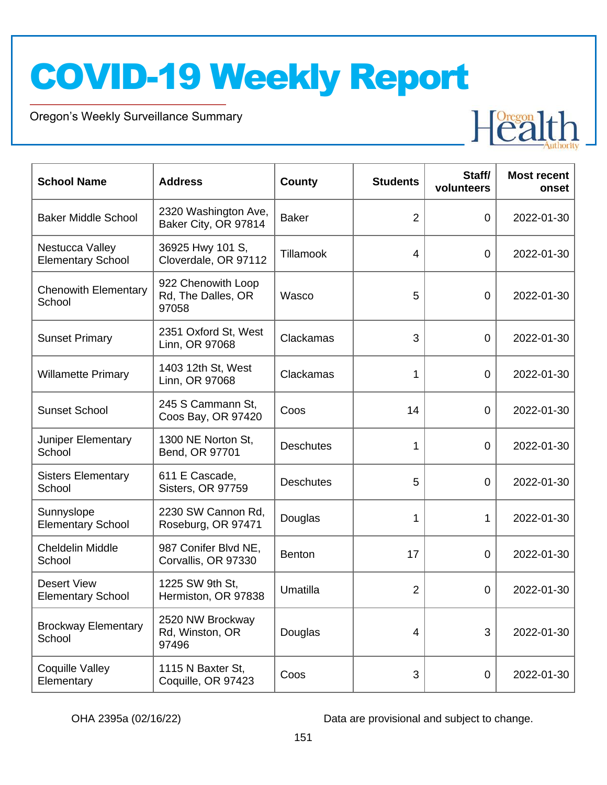Oregon's Weekly Surveillance Summary

Novel Coronavirus (COVID-19)



| <b>School Name</b>                             | <b>Address</b>                                    | <b>County</b>    | <b>Students</b> | Staff/<br>volunteers | <b>Most recent</b><br>onset |
|------------------------------------------------|---------------------------------------------------|------------------|-----------------|----------------------|-----------------------------|
| <b>Baker Middle School</b>                     | 2320 Washington Ave,<br>Baker City, OR 97814      | <b>Baker</b>     | $\overline{2}$  | $\overline{0}$       | 2022-01-30                  |
| Nestucca Valley<br><b>Elementary School</b>    | 36925 Hwy 101 S,<br>Cloverdale, OR 97112          | Tillamook        | 4               | $\overline{0}$       | 2022-01-30                  |
| <b>Chenowith Elementary</b><br>School          | 922 Chenowith Loop<br>Rd, The Dalles, OR<br>97058 | Wasco            | 5               | $\overline{0}$       | 2022-01-30                  |
| <b>Sunset Primary</b>                          | 2351 Oxford St, West<br>Linn, OR 97068            | Clackamas        | 3               | $\overline{0}$       | 2022-01-30                  |
| <b>Willamette Primary</b>                      | 1403 12th St, West<br>Linn, OR 97068              | Clackamas        | 1               | $\overline{0}$       | 2022-01-30                  |
| <b>Sunset School</b>                           | 245 S Cammann St,<br>Coos Bay, OR 97420           | Coos             | 14              | $\overline{0}$       | 2022-01-30                  |
| Juniper Elementary<br>School                   | 1300 NE Norton St,<br>Bend, OR 97701              | <b>Deschutes</b> | 1               | $\overline{0}$       | 2022-01-30                  |
| <b>Sisters Elementary</b><br>School            | 611 E Cascade,<br>Sisters, OR 97759               | <b>Deschutes</b> | 5               | $\overline{0}$       | 2022-01-30                  |
| Sunnyslope<br><b>Elementary School</b>         | 2230 SW Cannon Rd,<br>Roseburg, OR 97471          | Douglas          | 1               | 1                    | 2022-01-30                  |
| <b>Cheldelin Middle</b><br>School              | 987 Conifer Blvd NE,<br>Corvallis, OR 97330       | <b>Benton</b>    | 17              | $\overline{0}$       | 2022-01-30                  |
| <b>Desert View</b><br><b>Elementary School</b> | 1225 SW 9th St,<br>Hermiston, OR 97838            | Umatilla         | $\overline{2}$  | 0                    | 2022-01-30                  |
| <b>Brockway Elementary</b><br>School           | 2520 NW Brockway<br>Rd, Winston, OR<br>97496      | Douglas          | $\overline{4}$  | 3                    | 2022-01-30                  |
| Coquille Valley<br>Elementary                  | 1115 N Baxter St,<br>Coquille, OR 97423           | Coos             | 3               | 0                    | 2022-01-30                  |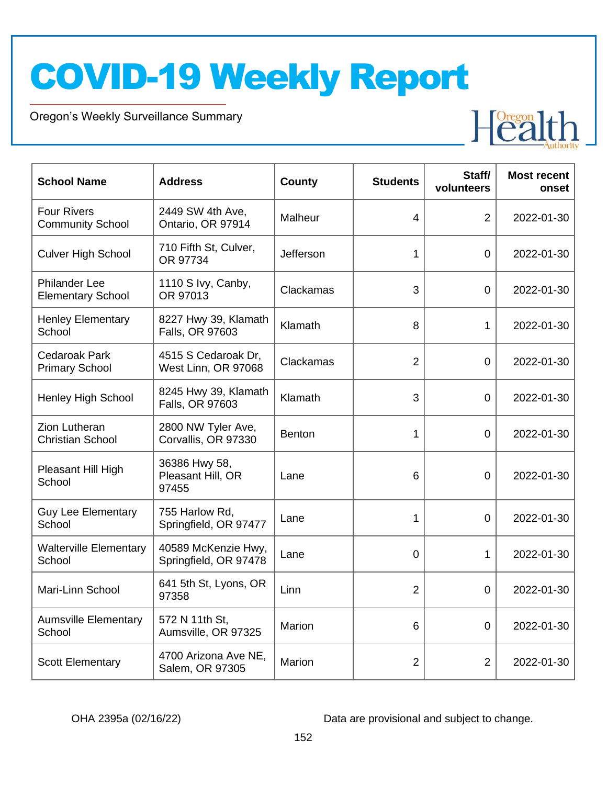Oregon's Weekly Surveillance Summary

Novel Coronavirus (COVID-19)



| <b>School Name</b>                               | <b>Address</b>                               | County        | <b>Students</b> | Staff/<br>volunteers | <b>Most recent</b><br>onset |
|--------------------------------------------------|----------------------------------------------|---------------|-----------------|----------------------|-----------------------------|
| <b>Four Rivers</b><br><b>Community School</b>    | 2449 SW 4th Ave,<br>Ontario, OR 97914        | Malheur       | 4               | $\overline{2}$       | 2022-01-30                  |
| <b>Culver High School</b>                        | 710 Fifth St, Culver,<br>OR 97734            | Jefferson     | 1               | $\Omega$             | 2022-01-30                  |
| <b>Philander Lee</b><br><b>Elementary School</b> | 1110 S Ivy, Canby,<br>OR 97013               | Clackamas     | 3               | $\overline{0}$       | 2022-01-30                  |
| <b>Henley Elementary</b><br>School               | 8227 Hwy 39, Klamath<br>Falls, OR 97603      | Klamath       | 8               | $\mathbf{1}$         | 2022-01-30                  |
| <b>Cedaroak Park</b><br><b>Primary School</b>    | 4515 S Cedaroak Dr,<br>West Linn, OR 97068   | Clackamas     | $\overline{2}$  | $\overline{0}$       | 2022-01-30                  |
| <b>Henley High School</b>                        | 8245 Hwy 39, Klamath<br>Falls, OR 97603      | Klamath       | 3               | $\overline{0}$       | 2022-01-30                  |
| Zion Lutheran<br><b>Christian School</b>         | 2800 NW Tyler Ave,<br>Corvallis, OR 97330    | <b>Benton</b> | 1               | $\Omega$             | 2022-01-30                  |
| Pleasant Hill High<br>School                     | 36386 Hwy 58,<br>Pleasant Hill, OR<br>97455  | Lane          | 6               | $\overline{0}$       | 2022-01-30                  |
| <b>Guy Lee Elementary</b><br>School              | 755 Harlow Rd,<br>Springfield, OR 97477      | Lane          | 1               | $\overline{0}$       | 2022-01-30                  |
| <b>Walterville Elementary</b><br>School          | 40589 McKenzie Hwy,<br>Springfield, OR 97478 | Lane          | $\overline{0}$  | $\mathbf{1}$         | 2022-01-30                  |
| Mari-Linn School                                 | 641 5th St, Lyons, OR<br>97358               | Linn          | $\overline{2}$  | $\overline{0}$       | 2022-01-30                  |
| <b>Aumsville Elementary</b><br>School            | 572 N 11th St,<br>Aumsville, OR 97325        | Marion        | 6               | $\overline{0}$       | 2022-01-30                  |
| <b>Scott Elementary</b>                          | 4700 Arizona Ave NE,<br>Salem, OR 97305      | Marion        | $\overline{2}$  | $\overline{2}$       | 2022-01-30                  |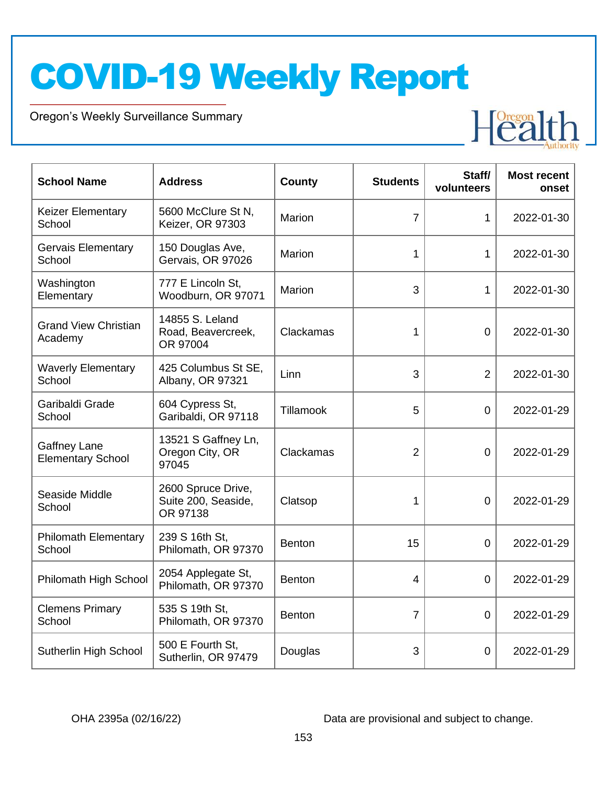Oregon's Weekly Surveillance Summary

Novel Coronavirus (COVID-19)



| <b>School Name</b>                              | <b>Address</b>                                        | County        | <b>Students</b> | Staff/<br>volunteers | <b>Most recent</b><br>onset |
|-------------------------------------------------|-------------------------------------------------------|---------------|-----------------|----------------------|-----------------------------|
| <b>Keizer Elementary</b><br>School              | 5600 McClure St N,<br>Keizer, OR 97303                | Marion        | $\overline{7}$  | $\mathbf{1}$         | 2022-01-30                  |
| Gervais Elementary<br>School                    | 150 Douglas Ave,<br>Gervais, OR 97026                 | Marion        | 1               | $\mathbf{1}$         | 2022-01-30                  |
| Washington<br>Elementary                        | 777 E Lincoln St,<br>Woodburn, OR 97071               | Marion        | 3               | $\mathbf{1}$         | 2022-01-30                  |
| <b>Grand View Christian</b><br>Academy          | 14855 S. Leland<br>Road, Beavercreek,<br>OR 97004     | Clackamas     | 1               | $\Omega$             | 2022-01-30                  |
| <b>Waverly Elementary</b><br>School             | 425 Columbus St SE,<br>Albany, OR 97321               | Linn          | 3               | $\overline{2}$       | 2022-01-30                  |
| Garibaldi Grade<br>School                       | 604 Cypress St,<br>Garibaldi, OR 97118                | Tillamook     | 5               | $\overline{0}$       | 2022-01-29                  |
| <b>Gaffney Lane</b><br><b>Elementary School</b> | 13521 S Gaffney Ln,<br>Oregon City, OR<br>97045       | Clackamas     | $\overline{2}$  | $\overline{0}$       | 2022-01-29                  |
| Seaside Middle<br>School                        | 2600 Spruce Drive,<br>Suite 200, Seaside,<br>OR 97138 | Clatsop       | 1               | 0                    | 2022-01-29                  |
| <b>Philomath Elementary</b><br>School           | 239 S 16th St,<br>Philomath, OR 97370                 | <b>Benton</b> | 15              | $\overline{0}$       | 2022-01-29                  |
| Philomath High School                           | 2054 Applegate St,<br>Philomath, OR 97370             | <b>Benton</b> | 4               | $\overline{0}$       | 2022-01-29                  |
| <b>Clemens Primary</b><br>School                | 535 S 19th St,<br>Philomath, OR 97370                 | <b>Benton</b> | $\overline{7}$  | $\overline{0}$       | 2022-01-29                  |
| Sutherlin High School                           | 500 E Fourth St,<br>Sutherlin, OR 97479               | Douglas       | 3               | 0                    | 2022-01-29                  |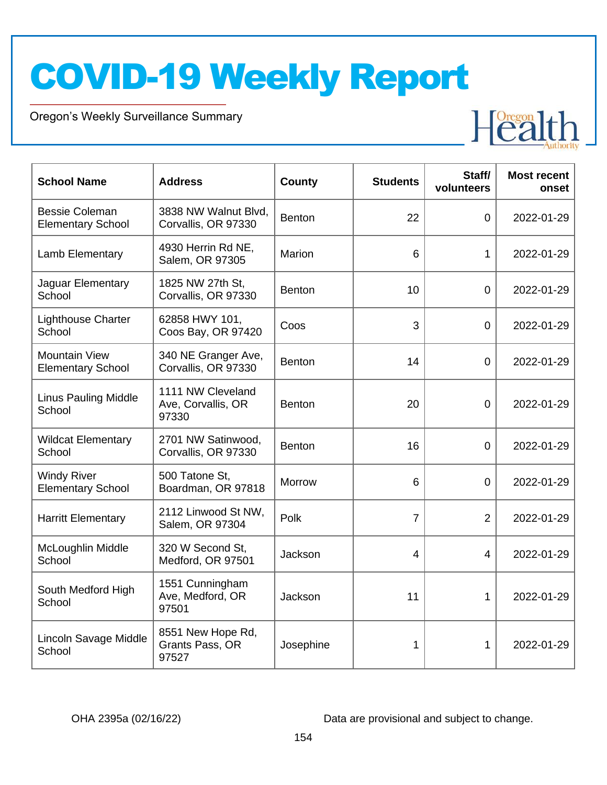Oregon's Weekly Surveillance Summary

Novel Coronavirus (COVID-19)



| <b>School Name</b>                                | <b>Address</b>                                   | <b>County</b> | <b>Students</b> | Staff/<br>volunteers | <b>Most recent</b><br>onset |
|---------------------------------------------------|--------------------------------------------------|---------------|-----------------|----------------------|-----------------------------|
| <b>Bessie Coleman</b><br><b>Elementary School</b> | 3838 NW Walnut Blvd,<br>Corvallis, OR 97330      | <b>Benton</b> | 22              | $\overline{0}$       | 2022-01-29                  |
| Lamb Elementary                                   | 4930 Herrin Rd NE,<br>Salem, OR 97305            | Marion        | 6               | 1                    | 2022-01-29                  |
| Jaguar Elementary<br>School                       | 1825 NW 27th St,<br>Corvallis, OR 97330          | <b>Benton</b> | 10              | $\overline{0}$       | 2022-01-29                  |
| <b>Lighthouse Charter</b><br>School               | 62858 HWY 101,<br>Coos Bay, OR 97420             | Coos          | 3               | $\overline{0}$       | 2022-01-29                  |
| <b>Mountain View</b><br><b>Elementary School</b>  | 340 NE Granger Ave,<br>Corvallis, OR 97330       | <b>Benton</b> | 14              | $\overline{0}$       | 2022-01-29                  |
| <b>Linus Pauling Middle</b><br>School             | 1111 NW Cleveland<br>Ave, Corvallis, OR<br>97330 | <b>Benton</b> | 20              | $\mathbf 0$          | 2022-01-29                  |
| <b>Wildcat Elementary</b><br>School               | 2701 NW Satinwood,<br>Corvallis, OR 97330        | <b>Benton</b> | 16              | $\mathbf 0$          | 2022-01-29                  |
| <b>Windy River</b><br><b>Elementary School</b>    | 500 Tatone St,<br>Boardman, OR 97818             | Morrow        | 6               | $\overline{0}$       | 2022-01-29                  |
| <b>Harritt Elementary</b>                         | 2112 Linwood St NW,<br>Salem, OR 97304           | Polk          | 7               | $\overline{2}$       | 2022-01-29                  |
| McLoughlin Middle<br>School                       | 320 W Second St,<br>Medford, OR 97501            | Jackson       | $\overline{4}$  | 4                    | 2022-01-29                  |
| South Medford High<br>School                      | 1551 Cunningham<br>Ave, Medford, OR<br>97501     | Jackson       | 11              | 1                    | 2022-01-29                  |
| Lincoln Savage Middle<br>School                   | 8551 New Hope Rd,<br>Grants Pass, OR<br>97527    | Josephine     | 1               | 1                    | 2022-01-29                  |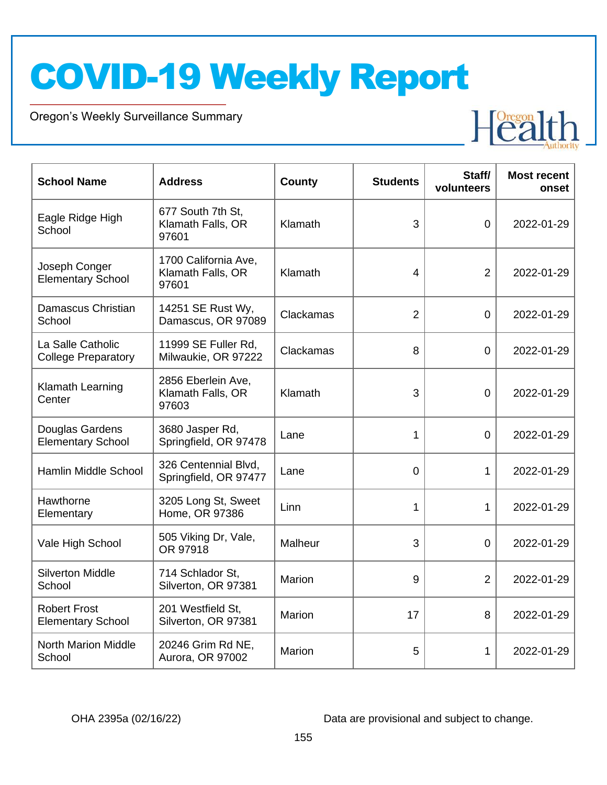Oregon's Weekly Surveillance Summary

Novel Coronavirus (COVID-19)



| <b>School Name</b>                              | <b>Address</b>                                     | County    | <b>Students</b> | Staff/<br>volunteers | <b>Most recent</b><br>onset |
|-------------------------------------------------|----------------------------------------------------|-----------|-----------------|----------------------|-----------------------------|
| Eagle Ridge High<br>School                      | 677 South 7th St,<br>Klamath Falls, OR<br>97601    | Klamath   | 3               | $\overline{0}$       | 2022-01-29                  |
| Joseph Conger<br><b>Elementary School</b>       | 1700 California Ave,<br>Klamath Falls, OR<br>97601 | Klamath   | $\overline{4}$  | $\overline{2}$       | 2022-01-29                  |
| Damascus Christian<br>School                    | 14251 SE Rust Wy,<br>Damascus, OR 97089            | Clackamas | $\overline{2}$  | $\overline{0}$       | 2022-01-29                  |
| La Salle Catholic<br><b>College Preparatory</b> | 11999 SE Fuller Rd,<br>Milwaukie, OR 97222         | Clackamas | 8               | $\overline{0}$       | 2022-01-29                  |
| Klamath Learning<br>Center                      | 2856 Eberlein Ave,<br>Klamath Falls, OR<br>97603   | Klamath   | 3               | $\overline{0}$       | 2022-01-29                  |
| Douglas Gardens<br><b>Elementary School</b>     | 3680 Jasper Rd,<br>Springfield, OR 97478           | Lane      | 1               | $\overline{0}$       | 2022-01-29                  |
| Hamlin Middle School                            | 326 Centennial Blvd,<br>Springfield, OR 97477      | Lane      | 0               | $\mathbf 1$          | 2022-01-29                  |
| Hawthorne<br>Elementary                         | 3205 Long St, Sweet<br>Home, OR 97386              | Linn      | 1               | 1                    | 2022-01-29                  |
| Vale High School                                | 505 Viking Dr, Vale,<br>OR 97918                   | Malheur   | 3               | $\overline{0}$       | 2022-01-29                  |
| <b>Silverton Middle</b><br>School               | 714 Schlador St,<br>Silverton, OR 97381            | Marion    | 9               | $\overline{2}$       | 2022-01-29                  |
| <b>Robert Frost</b><br><b>Elementary School</b> | 201 Westfield St,<br>Silverton, OR 97381           | Marion    | 17              | 8                    | 2022-01-29                  |
| <b>North Marion Middle</b><br>School            | 20246 Grim Rd NE,<br>Aurora, OR 97002              | Marion    | 5               | 1                    | 2022-01-29                  |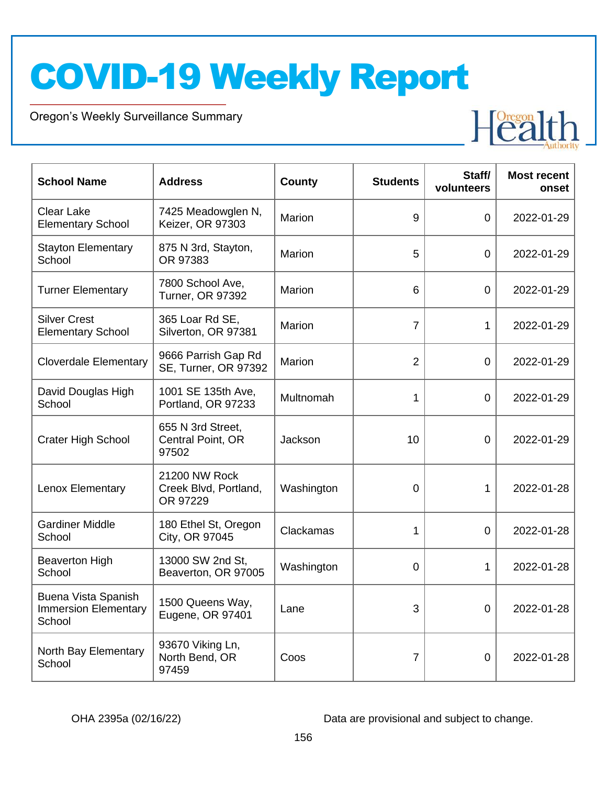Oregon's Weekly Surveillance Summary

Novel Coronavirus (COVID-19)



| <b>School Name</b>                                           | <b>Address</b>                                     | County        | <b>Students</b> | Staff/<br>volunteers | <b>Most recent</b><br>onset |
|--------------------------------------------------------------|----------------------------------------------------|---------------|-----------------|----------------------|-----------------------------|
| <b>Clear Lake</b><br><b>Elementary School</b>                | 7425 Meadowglen N,<br>Keizer, OR 97303             | Marion        | 9               | $\mathbf 0$          | 2022-01-29                  |
| <b>Stayton Elementary</b><br>School                          | 875 N 3rd, Stayton,<br>OR 97383                    | <b>Marion</b> | 5               | $\Omega$             | 2022-01-29                  |
| <b>Turner Elementary</b>                                     | 7800 School Ave,<br><b>Turner, OR 97392</b>        | <b>Marion</b> | 6               | $\overline{0}$       | 2022-01-29                  |
| <b>Silver Crest</b><br><b>Elementary School</b>              | 365 Loar Rd SE,<br>Silverton, OR 97381             | <b>Marion</b> | $\overline{7}$  | 1                    | 2022-01-29                  |
| <b>Cloverdale Elementary</b>                                 | 9666 Parrish Gap Rd<br>SE, Turner, OR 97392        | Marion        | $\overline{2}$  | 0                    | 2022-01-29                  |
| David Douglas High<br>School                                 | 1001 SE 135th Ave,<br>Portland, OR 97233           | Multnomah     | 1               | $\overline{0}$       | 2022-01-29                  |
| <b>Crater High School</b>                                    | 655 N 3rd Street,<br>Central Point, OR<br>97502    | Jackson       | 10              | 0                    | 2022-01-29                  |
| Lenox Elementary                                             | 21200 NW Rock<br>Creek Blvd, Portland,<br>OR 97229 | Washington    | $\Omega$        | 1                    | 2022-01-28                  |
| <b>Gardiner Middle</b><br>School                             | 180 Ethel St, Oregon<br>City, OR 97045             | Clackamas     | 1               | 0                    | 2022-01-28                  |
| <b>Beaverton High</b><br>School                              | 13000 SW 2nd St,<br>Beaverton, OR 97005            | Washington    | 0               | 1                    | 2022-01-28                  |
| Buena Vista Spanish<br><b>Immersion Elementary</b><br>School | 1500 Queens Way,<br>Eugene, OR 97401               | Lane          | 3               | 0                    | 2022-01-28                  |
| North Bay Elementary<br>School                               | 93670 Viking Ln,<br>North Bend, OR<br>97459        | Coos          | 7               | $\mathbf 0$          | 2022-01-28                  |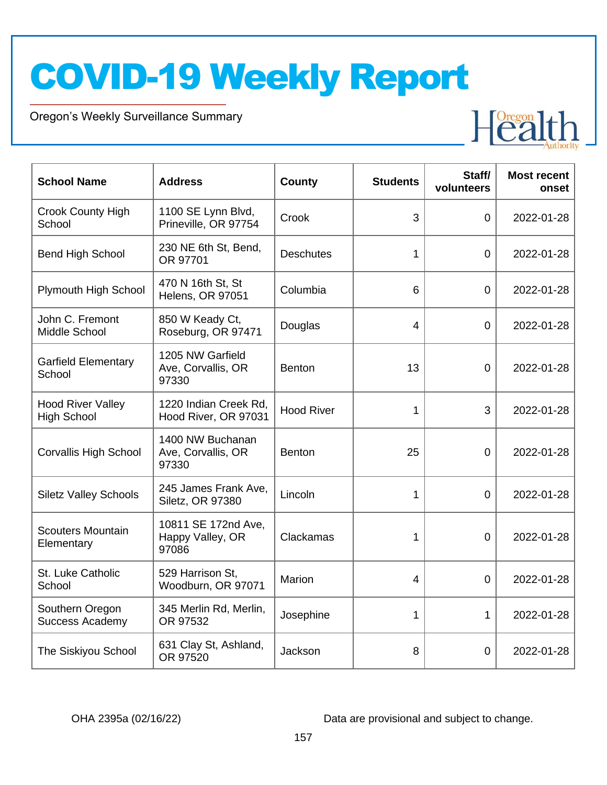Oregon's Weekly Surveillance Summary

Novel Coronavirus (COVID-19)



| <b>School Name</b>                             | <b>Address</b>                                   | <b>County</b>     | <b>Students</b> | Staff/<br>volunteers | <b>Most recent</b><br>onset |
|------------------------------------------------|--------------------------------------------------|-------------------|-----------------|----------------------|-----------------------------|
| <b>Crook County High</b><br>School             | 1100 SE Lynn Blvd,<br>Prineville, OR 97754       | Crook             | 3               | $\Omega$             | 2022-01-28                  |
| <b>Bend High School</b>                        | 230 NE 6th St, Bend,<br>OR 97701                 | <b>Deschutes</b>  | 1               | 0                    | 2022-01-28                  |
| Plymouth High School                           | 470 N 16th St, St<br><b>Helens, OR 97051</b>     | Columbia          | 6               | 0                    | 2022-01-28                  |
| John C. Fremont<br>Middle School               | 850 W Keady Ct,<br>Roseburg, OR 97471            | Douglas           | 4               | 0                    | 2022-01-28                  |
| <b>Garfield Elementary</b><br>School           | 1205 NW Garfield<br>Ave, Corvallis, OR<br>97330  | Benton            | 13              | $\overline{0}$       | 2022-01-28                  |
| <b>Hood River Valley</b><br><b>High School</b> | 1220 Indian Creek Rd,<br>Hood River, OR 97031    | <b>Hood River</b> | 1               | 3                    | 2022-01-28                  |
| <b>Corvallis High School</b>                   | 1400 NW Buchanan<br>Ave, Corvallis, OR<br>97330  | <b>Benton</b>     | 25              | $\overline{0}$       | 2022-01-28                  |
| <b>Siletz Valley Schools</b>                   | 245 James Frank Ave,<br>Siletz, OR 97380         | Lincoln           | 1               | $\overline{0}$       | 2022-01-28                  |
| <b>Scouters Mountain</b><br>Elementary         | 10811 SE 172nd Ave,<br>Happy Valley, OR<br>97086 | Clackamas         | 1               | 0                    | 2022-01-28                  |
| St. Luke Catholic<br>School                    | 529 Harrison St,<br>Woodburn, OR 97071           | Marion            | 4               | $\overline{0}$       | 2022-01-28                  |
| Southern Oregon<br><b>Success Academy</b>      | 345 Merlin Rd, Merlin,<br>OR 97532               | Josephine         | 1               | 1                    | 2022-01-28                  |
| The Siskiyou School                            | 631 Clay St, Ashland,<br>OR 97520                | Jackson           | 8               | 0                    | 2022-01-28                  |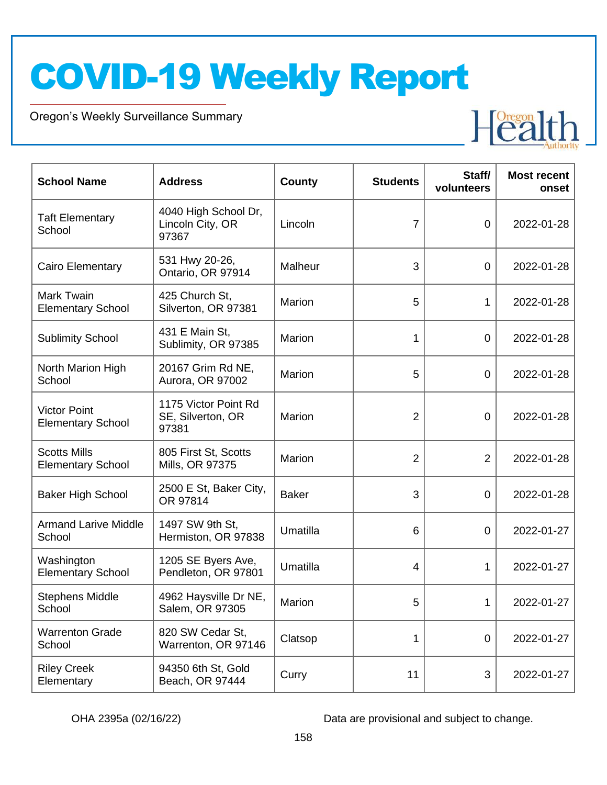Oregon's Weekly Surveillance Summary

Novel Coronavirus (COVID-19)



| <b>School Name</b>                              | <b>Address</b>                                     | County       | <b>Students</b> | Staff/<br>volunteers | <b>Most recent</b><br>onset |
|-------------------------------------------------|----------------------------------------------------|--------------|-----------------|----------------------|-----------------------------|
| <b>Taft Elementary</b><br>School                | 4040 High School Dr,<br>Lincoln City, OR<br>97367  | Lincoln      | 7               | $\mathbf 0$          | 2022-01-28                  |
| Cairo Elementary                                | 531 Hwy 20-26,<br>Ontario, OR 97914                | Malheur      | 3               | $\overline{0}$       | 2022-01-28                  |
| Mark Twain<br><b>Elementary School</b>          | 425 Church St,<br>Silverton, OR 97381              | Marion       | 5               | 1                    | 2022-01-28                  |
| <b>Sublimity School</b>                         | 431 E Main St,<br>Sublimity, OR 97385              | Marion       | 1               | $\mathbf 0$          | 2022-01-28                  |
| North Marion High<br>School                     | 20167 Grim Rd NE,<br>Aurora, OR 97002              | Marion       | 5               | $\mathbf 0$          | 2022-01-28                  |
| <b>Victor Point</b><br><b>Elementary School</b> | 1175 Victor Point Rd<br>SE, Silverton, OR<br>97381 | Marion       | $\overline{2}$  | $\mathbf 0$          | 2022-01-28                  |
| <b>Scotts Mills</b><br><b>Elementary School</b> | 805 First St, Scotts<br>Mills, OR 97375            | Marion       | $\overline{2}$  | 2                    | 2022-01-28                  |
| <b>Baker High School</b>                        | 2500 E St, Baker City,<br>OR 97814                 | <b>Baker</b> | 3               | $\mathbf 0$          | 2022-01-28                  |
| <b>Armand Larive Middle</b><br>School           | 1497 SW 9th St,<br>Hermiston, OR 97838             | Umatilla     | 6               | $\overline{0}$       | 2022-01-27                  |
| Washington<br><b>Elementary School</b>          | 1205 SE Byers Ave,<br>Pendleton, OR 97801          | Umatilla     | 4               | 1                    | 2022-01-27                  |
| <b>Stephens Middle</b><br>School                | 4962 Haysville Dr NE,<br>Salem, OR 97305           | Marion       | 5               | 1                    | 2022-01-27                  |
| <b>Warrenton Grade</b><br>School                | 820 SW Cedar St,<br>Warrenton, OR 97146            | Clatsop      | 1               | $\mathbf 0$          | 2022-01-27                  |
| <b>Riley Creek</b><br>Elementary                | 94350 6th St, Gold<br>Beach, OR 97444              | Curry        | 11              | 3                    | 2022-01-27                  |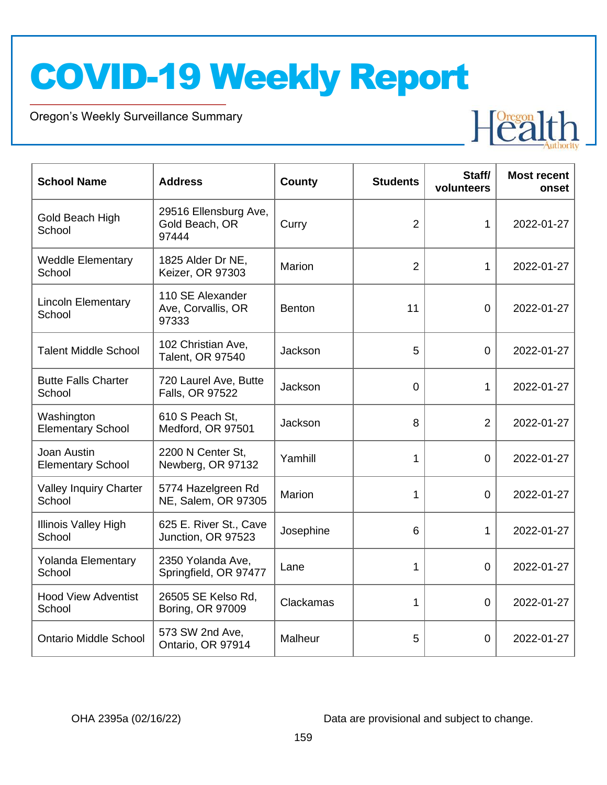Oregon's Weekly Surveillance Summary

Novel Coronavirus (COVID-19)



| <b>School Name</b>                      | <b>Address</b>                                   | County        | <b>Students</b> | Staff/<br>volunteers | <b>Most recent</b><br>onset |
|-----------------------------------------|--------------------------------------------------|---------------|-----------------|----------------------|-----------------------------|
| Gold Beach High<br>School               | 29516 Ellensburg Ave,<br>Gold Beach, OR<br>97444 | Curry         | $\overline{2}$  | 1                    | 2022-01-27                  |
| <b>Weddle Elementary</b><br>School      | 1825 Alder Dr NE,<br>Keizer, OR 97303            | Marion        | $\overline{2}$  | 1                    | 2022-01-27                  |
| <b>Lincoln Elementary</b><br>School     | 110 SE Alexander<br>Ave, Corvallis, OR<br>97333  | <b>Benton</b> | 11              | $\mathbf 0$          | 2022-01-27                  |
| <b>Talent Middle School</b>             | 102 Christian Ave,<br>Talent, OR 97540           | Jackson       | 5               | $\Omega$             | 2022-01-27                  |
| <b>Butte Falls Charter</b><br>School    | 720 Laurel Ave, Butte<br>Falls, OR 97522         | Jackson       | $\overline{0}$  | $\mathbf{1}$         | 2022-01-27                  |
| Washington<br><b>Elementary School</b>  | 610 S Peach St.<br>Medford, OR 97501             | Jackson       | 8               | $\overline{2}$       | 2022-01-27                  |
| Joan Austin<br><b>Elementary School</b> | 2200 N Center St,<br>Newberg, OR 97132           | Yamhill       | 1               | $\overline{0}$       | 2022-01-27                  |
| <b>Valley Inquiry Charter</b><br>School | 5774 Hazelgreen Rd<br>NE, Salem, OR 97305        | Marion        | 1               | $\Omega$             | 2022-01-27                  |
| <b>Illinois Valley High</b><br>School   | 625 E. River St., Cave<br>Junction, OR 97523     | Josephine     | 6               | $\mathbf{1}$         | 2022-01-27                  |
| <b>Yolanda Elementary</b><br>School     | 2350 Yolanda Ave,<br>Springfield, OR 97477       | Lane          | 1               | $\overline{0}$       | 2022-01-27                  |
| <b>Hood View Adventist</b><br>School    | 26505 SE Kelso Rd,<br>Boring, OR 97009           | Clackamas     | 1               | $\overline{0}$       | 2022-01-27                  |
| <b>Ontario Middle School</b>            | 573 SW 2nd Ave,<br>Ontario, OR 97914             | Malheur       | 5               | 0                    | 2022-01-27                  |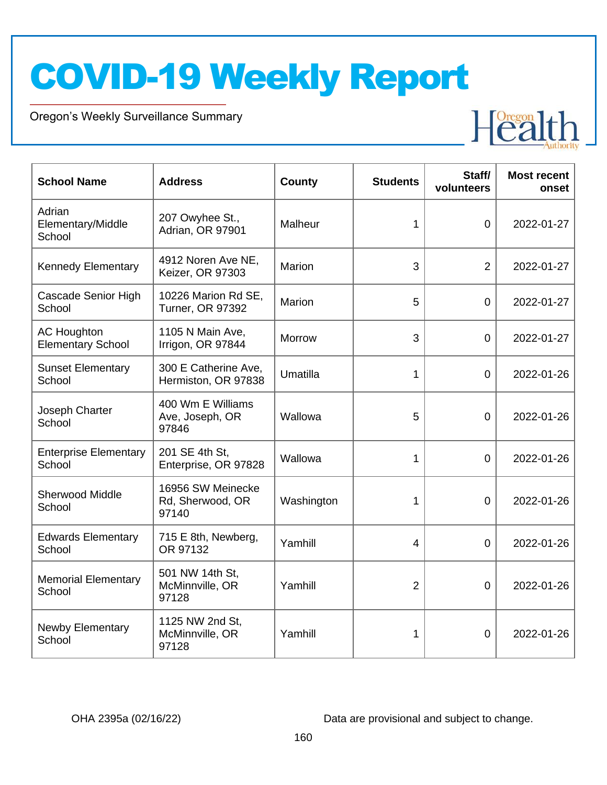Oregon's Weekly Surveillance Summary

Novel Coronavirus (COVID-19)



| <b>School Name</b>                             | <b>Address</b>                                 | <b>County</b> | <b>Students</b> | Staff/<br>volunteers | <b>Most recent</b><br>onset |
|------------------------------------------------|------------------------------------------------|---------------|-----------------|----------------------|-----------------------------|
| Adrian<br>Elementary/Middle<br>School          | 207 Owyhee St.,<br>Adrian, OR 97901            | Malheur       | 1               | $\overline{0}$       | 2022-01-27                  |
| <b>Kennedy Elementary</b>                      | 4912 Noren Ave NE,<br>Keizer, OR 97303         | Marion        | 3               | $\overline{2}$       | 2022-01-27                  |
| Cascade Senior High<br>School                  | 10226 Marion Rd SE,<br><b>Turner, OR 97392</b> | <b>Marion</b> | 5               | $\overline{0}$       | 2022-01-27                  |
| <b>AC Houghton</b><br><b>Elementary School</b> | 1105 N Main Ave,<br>Irrigon, OR 97844          | <b>Morrow</b> | 3               | $\overline{0}$       | 2022-01-27                  |
| <b>Sunset Elementary</b><br>School             | 300 E Catherine Ave,<br>Hermiston, OR 97838    | Umatilla      | 1               | $\overline{0}$       | 2022-01-26                  |
| Joseph Charter<br>School                       | 400 Wm E Williams<br>Ave, Joseph, OR<br>97846  | Wallowa       | 5               | $\overline{0}$       | 2022-01-26                  |
| <b>Enterprise Elementary</b><br>School         | 201 SE 4th St,<br>Enterprise, OR 97828         | Wallowa       | 1               | $\overline{0}$       | 2022-01-26                  |
| <b>Sherwood Middle</b><br>School               | 16956 SW Meinecke<br>Rd, Sherwood, OR<br>97140 | Washington    | 1               | 0                    | 2022-01-26                  |
| <b>Edwards Elementary</b><br>School            | 715 E 8th, Newberg,<br>OR 97132                | Yamhill       | 4               | $\mathbf 0$          | 2022-01-26                  |
| <b>Memorial Elementary</b><br>School           | 501 NW 14th St,<br>McMinnville, OR<br>97128    | Yamhill       | $\overline{2}$  | $\overline{0}$       | 2022-01-26                  |
| <b>Newby Elementary</b><br>School              | 1125 NW 2nd St,<br>McMinnville, OR<br>97128    | Yamhill       | 1               | 0                    | 2022-01-26                  |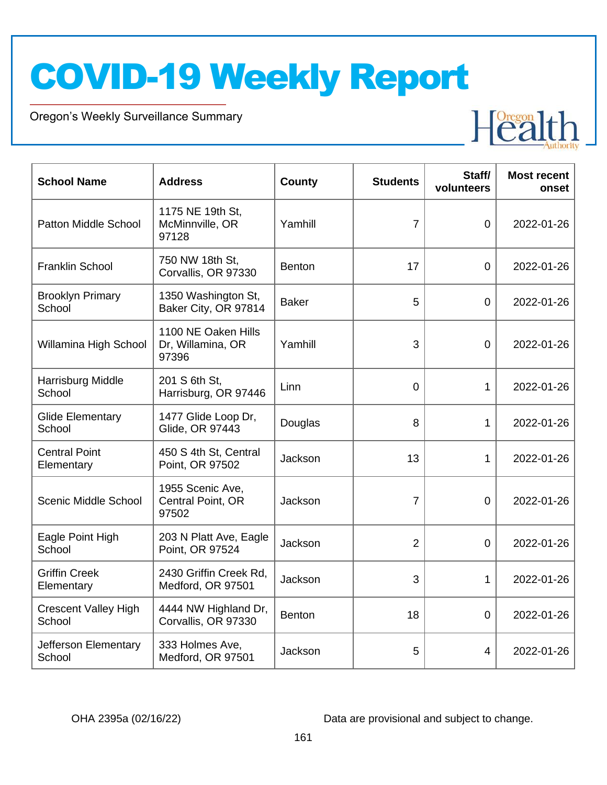Oregon's Weekly Surveillance Summary

Novel Coronavirus (COVID-19)



| <b>School Name</b>                    | <b>Address</b>                                    | <b>County</b> | <b>Students</b> | Staff/<br>volunteers | <b>Most recent</b><br>onset |
|---------------------------------------|---------------------------------------------------|---------------|-----------------|----------------------|-----------------------------|
| Patton Middle School                  | 1175 NE 19th St,<br>McMinnville, OR<br>97128      | Yamhill       | $\overline{7}$  | $\overline{0}$       | 2022-01-26                  |
| <b>Franklin School</b>                | 750 NW 18th St,<br>Corvallis, OR 97330            | <b>Benton</b> | 17              | $\overline{0}$       | 2022-01-26                  |
| <b>Brooklyn Primary</b><br>School     | 1350 Washington St,<br>Baker City, OR 97814       | <b>Baker</b>  | 5               | $\overline{0}$       | 2022-01-26                  |
| Willamina High School                 | 1100 NE Oaken Hills<br>Dr, Willamina, OR<br>97396 | Yamhill       | 3               | $\overline{0}$       | 2022-01-26                  |
| Harrisburg Middle<br>School           | 201 S 6th St,<br>Harrisburg, OR 97446             | Linn          | 0               | 1                    | 2022-01-26                  |
| <b>Glide Elementary</b><br>School     | 1477 Glide Loop Dr,<br>Glide, OR 97443            | Douglas       | 8               | $\mathbf 1$          | 2022-01-26                  |
| <b>Central Point</b><br>Elementary    | 450 S 4th St, Central<br>Point, OR 97502          | Jackson       | 13              | 1                    | 2022-01-26                  |
| <b>Scenic Middle School</b>           | 1955 Scenic Ave,<br>Central Point, OR<br>97502    | Jackson       | 7               | 0                    | 2022-01-26                  |
| Eagle Point High<br>School            | 203 N Platt Ave, Eagle<br>Point, OR 97524         | Jackson       | $\overline{2}$  | 0                    | 2022-01-26                  |
| <b>Griffin Creek</b><br>Elementary    | 2430 Griffin Creek Rd,<br>Medford, OR 97501       | Jackson       | 3               | 1                    | 2022-01-26                  |
| <b>Crescent Valley High</b><br>School | 4444 NW Highland Dr,<br>Corvallis, OR 97330       | <b>Benton</b> | 18              | 0                    | 2022-01-26                  |
| Jefferson Elementary<br>School        | 333 Holmes Ave,<br>Medford, OR 97501              | Jackson       | 5               | 4                    | 2022-01-26                  |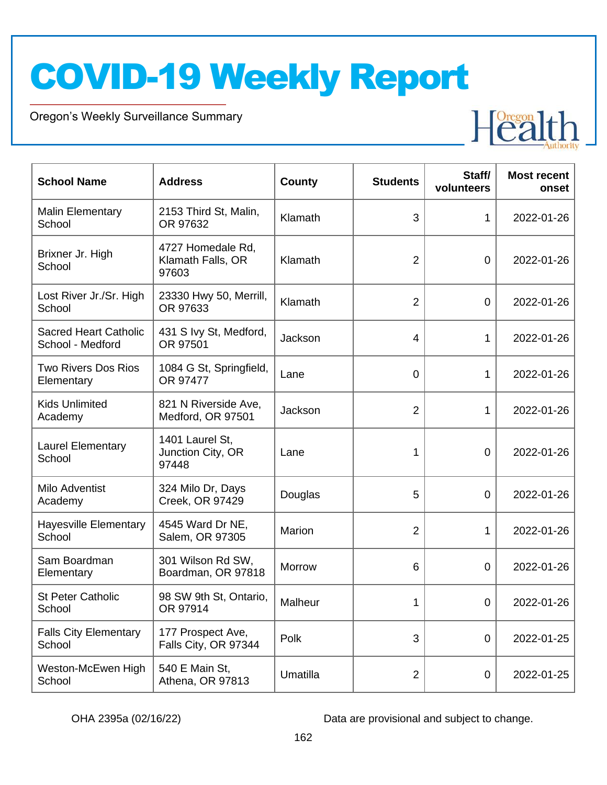Oregon's Weekly Surveillance Summary

Novel Coronavirus (COVID-19)



| <b>School Name</b>                               | <b>Address</b>                                  | County   | <b>Students</b> | Staff/<br>volunteers | <b>Most recent</b><br>onset |
|--------------------------------------------------|-------------------------------------------------|----------|-----------------|----------------------|-----------------------------|
| <b>Malin Elementary</b><br>School                | 2153 Third St, Malin,<br>OR 97632               | Klamath  | 3               | 1                    | 2022-01-26                  |
| Brixner Jr. High<br>School                       | 4727 Homedale Rd,<br>Klamath Falls, OR<br>97603 | Klamath  | $\overline{2}$  | $\mathbf 0$          | 2022-01-26                  |
| Lost River Jr./Sr. High<br>School                | 23330 Hwy 50, Merrill,<br>OR 97633              | Klamath  | $\overline{2}$  | $\mathbf 0$          | 2022-01-26                  |
| <b>Sacred Heart Catholic</b><br>School - Medford | 431 S Ivy St, Medford,<br>OR 97501              | Jackson  | $\overline{4}$  | 1                    | 2022-01-26                  |
| <b>Two Rivers Dos Rios</b><br>Elementary         | 1084 G St, Springfield,<br>OR 97477             | Lane     | $\mathbf 0$     | 1                    | 2022-01-26                  |
| <b>Kids Unlimited</b><br>Academy                 | 821 N Riverside Ave.<br>Medford, OR 97501       | Jackson  | $\overline{2}$  | 1                    | 2022-01-26                  |
| <b>Laurel Elementary</b><br>School               | 1401 Laurel St,<br>Junction City, OR<br>97448   | Lane     | 1               | $\overline{0}$       | 2022-01-26                  |
| Milo Adventist<br>Academy                        | 324 Milo Dr, Days<br>Creek, OR 97429            | Douglas  | 5               | $\mathbf 0$          | 2022-01-26                  |
| <b>Hayesville Elementary</b><br>School           | 4545 Ward Dr NE,<br>Salem, OR 97305             | Marion   | $\overline{2}$  | 1                    | 2022-01-26                  |
| Sam Boardman<br>Elementary                       | 301 Wilson Rd SW,<br>Boardman, OR 97818         | Morrow   | 6               | $\overline{0}$       | 2022-01-26                  |
| <b>St Peter Catholic</b><br>School               | 98 SW 9th St, Ontario,<br>OR 97914              | Malheur  | 1               | $\overline{0}$       | 2022-01-26                  |
| <b>Falls City Elementary</b><br>School           | 177 Prospect Ave,<br>Falls City, OR 97344       | Polk     | 3               | $\mathbf 0$          | 2022-01-25                  |
| Weston-McEwen High<br>School                     | 540 E Main St,<br>Athena, OR 97813              | Umatilla | $\overline{2}$  | $\mathbf 0$          | 2022-01-25                  |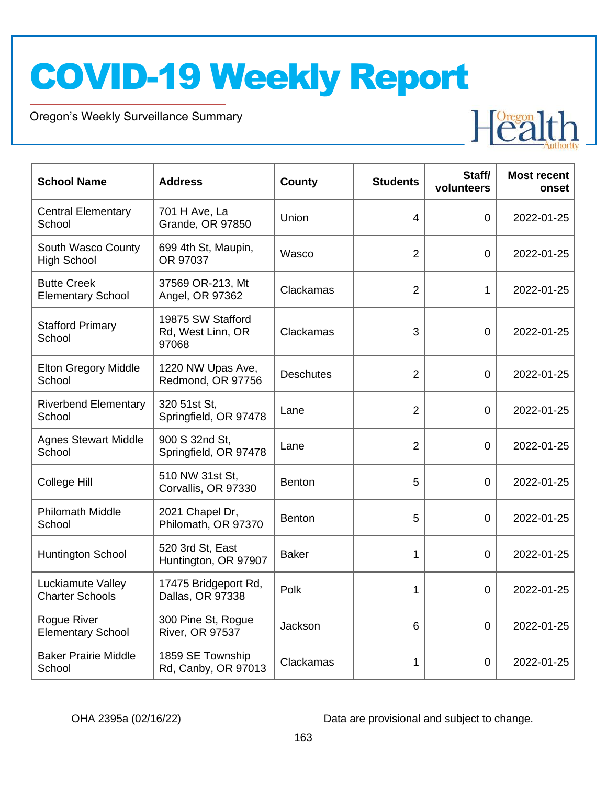Oregon's Weekly Surveillance Summary

Novel Coronavirus (COVID-19)



| <b>School Name</b>                             | <b>Address</b>                                  | <b>County</b>    | <b>Students</b> | Staff/<br>volunteers | <b>Most recent</b><br>onset |
|------------------------------------------------|-------------------------------------------------|------------------|-----------------|----------------------|-----------------------------|
| <b>Central Elementary</b><br>School            | 701 H Ave, La<br><b>Grande, OR 97850</b>        | Union            | 4               | 0                    | 2022-01-25                  |
| South Wasco County<br><b>High School</b>       | 699 4th St, Maupin,<br>OR 97037                 | Wasco            | $\overline{2}$  | 0                    | 2022-01-25                  |
| <b>Butte Creek</b><br><b>Elementary School</b> | 37569 OR-213, Mt<br>Angel, OR 97362             | Clackamas        | $\overline{2}$  | 1                    | 2022-01-25                  |
| <b>Stafford Primary</b><br>School              | 19875 SW Stafford<br>Rd, West Linn, OR<br>97068 | Clackamas        | 3               | $\overline{0}$       | 2022-01-25                  |
| <b>Elton Gregory Middle</b><br>School          | 1220 NW Upas Ave,<br>Redmond, OR 97756          | <b>Deschutes</b> | $\overline{2}$  | $\overline{0}$       | 2022-01-25                  |
| <b>Riverbend Elementary</b><br>School          | 320 51st St,<br>Springfield, OR 97478           | Lane             | $\overline{2}$  | $\overline{0}$       | 2022-01-25                  |
| <b>Agnes Stewart Middle</b><br>School          | 900 S 32nd St,<br>Springfield, OR 97478         | Lane             | $\overline{2}$  | 0                    | 2022-01-25                  |
| College Hill                                   | 510 NW 31st St,<br>Corvallis, OR 97330          | <b>Benton</b>    | 5               | $\overline{0}$       | 2022-01-25                  |
| <b>Philomath Middle</b><br>School              | 2021 Chapel Dr,<br>Philomath, OR 97370          | <b>Benton</b>    | 5               | $\overline{0}$       | 2022-01-25                  |
| <b>Huntington School</b>                       | 520 3rd St, East<br>Huntington, OR 97907        | <b>Baker</b>     | 1               | $\overline{0}$       | 2022-01-25                  |
| Luckiamute Valley<br><b>Charter Schools</b>    | 17475 Bridgeport Rd,<br>Dallas, OR 97338        | Polk             | 1               | 0                    | 2022-01-25                  |
| Rogue River<br><b>Elementary School</b>        | 300 Pine St, Rogue<br><b>River, OR 97537</b>    | Jackson          | 6               | 0                    | 2022-01-25                  |
| <b>Baker Prairie Middle</b><br>School          | 1859 SE Township<br>Rd, Canby, OR 97013         | Clackamas        | 1               | 0                    | 2022-01-25                  |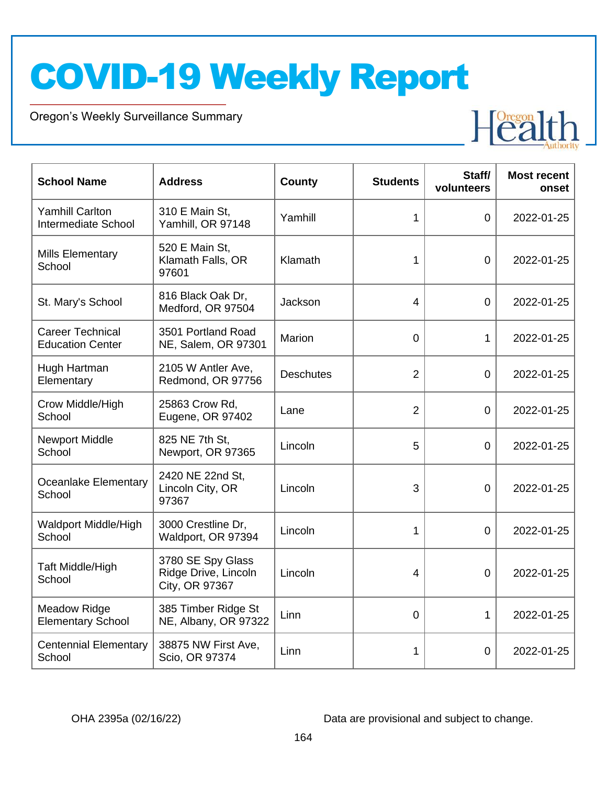Oregon's Weekly Surveillance Summary

Novel Coronavirus (COVID-19)



| <b>School Name</b>                                 | <b>Address</b>                                              | County           | <b>Students</b> | Staff/<br>volunteers | <b>Most recent</b><br>onset |
|----------------------------------------------------|-------------------------------------------------------------|------------------|-----------------|----------------------|-----------------------------|
| <b>Yamhill Carlton</b><br>Intermediate School      | 310 E Main St,<br>Yamhill, OR 97148                         | Yamhill          | 1               | $\Omega$             | 2022-01-25                  |
| <b>Mills Elementary</b><br>School                  | 520 E Main St,<br>Klamath Falls, OR<br>97601                | Klamath          | 1               | $\Omega$             | 2022-01-25                  |
| St. Mary's School                                  | 816 Black Oak Dr,<br>Medford, OR 97504                      | Jackson          | 4               | $\overline{0}$       | 2022-01-25                  |
| <b>Career Technical</b><br><b>Education Center</b> | 3501 Portland Road<br>NE, Salem, OR 97301                   | Marion           | 0               | $\mathbf 1$          | 2022-01-25                  |
| Hugh Hartman<br>Elementary                         | 2105 W Antler Ave,<br>Redmond, OR 97756                     | <b>Deschutes</b> | $\overline{2}$  | $\Omega$             | 2022-01-25                  |
| Crow Middle/High<br>School                         | 25863 Crow Rd,<br>Eugene, OR 97402                          | Lane             | $\overline{2}$  | $\overline{0}$       | 2022-01-25                  |
| <b>Newport Middle</b><br>School                    | 825 NE 7th St,<br>Newport, OR 97365                         | Lincoln          | 5               | $\overline{0}$       | 2022-01-25                  |
| Oceanlake Elementary<br>School                     | 2420 NE 22nd St,<br>Lincoln City, OR<br>97367               | Lincoln          | 3               | $\overline{0}$       | 2022-01-25                  |
| Waldport Middle/High<br>School                     | 3000 Crestline Dr,<br>Waldport, OR 97394                    | Lincoln          | 1               | $\overline{0}$       | 2022-01-25                  |
| Taft Middle/High<br>School                         | 3780 SE Spy Glass<br>Ridge Drive, Lincoln<br>City, OR 97367 | Lincoln          | $\overline{4}$  | $\overline{0}$       | 2022-01-25                  |
| <b>Meadow Ridge</b><br><b>Elementary School</b>    | 385 Timber Ridge St<br>NE, Albany, OR 97322                 | Linn             | $\overline{0}$  | 1                    | 2022-01-25                  |
| <b>Centennial Elementary</b><br>School             | 38875 NW First Ave,<br>Scio, OR 97374                       | Linn             | 1               | 0                    | 2022-01-25                  |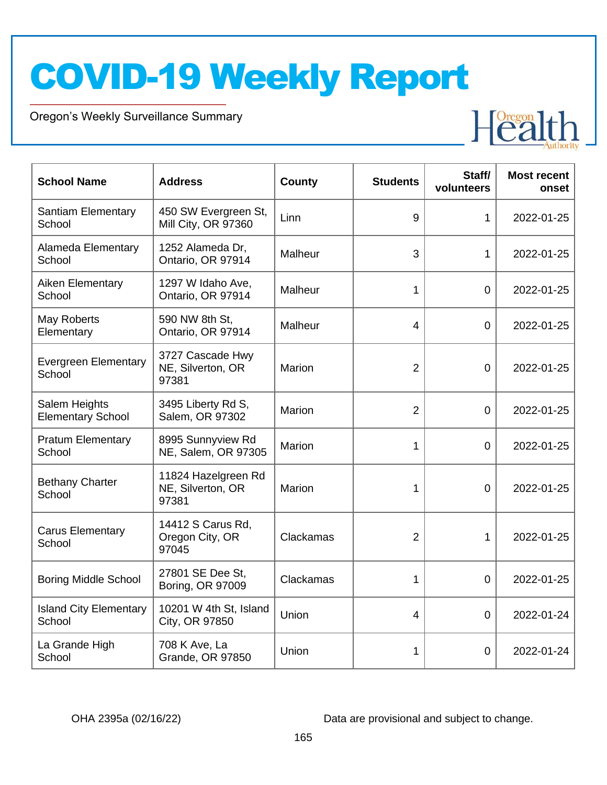Oregon's Weekly Surveillance Summary

Novel Coronavirus (COVID-19)



| <b>School Name</b>                        | <b>Address</b>                                    | <b>County</b> | <b>Students</b> | Staff/<br>volunteers | <b>Most recent</b><br>onset |
|-------------------------------------------|---------------------------------------------------|---------------|-----------------|----------------------|-----------------------------|
| <b>Santiam Elementary</b><br>School       | 450 SW Evergreen St,<br>Mill City, OR 97360       | Linn          | 9               | $\mathbf{1}$         | 2022-01-25                  |
| Alameda Elementary<br>School              | 1252 Alameda Dr,<br>Ontario, OR 97914             | Malheur       | 3               | $\mathbf{1}$         | 2022-01-25                  |
| Aiken Elementary<br>School                | 1297 W Idaho Ave,<br>Ontario, OR 97914            | Malheur       | 1               | $\mathbf 0$          | 2022-01-25                  |
| May Roberts<br>Elementary                 | 590 NW 8th St.<br>Ontario, OR 97914               | Malheur       | $\overline{4}$  | $\overline{0}$       | 2022-01-25                  |
| <b>Evergreen Elementary</b><br>School     | 3727 Cascade Hwy<br>NE, Silverton, OR<br>97381    | Marion        | $\overline{2}$  | $\overline{0}$       | 2022-01-25                  |
| Salem Heights<br><b>Elementary School</b> | 3495 Liberty Rd S,<br>Salem, OR 97302             | Marion        | $\overline{2}$  | $\overline{0}$       | 2022-01-25                  |
| <b>Pratum Elementary</b><br>School        | 8995 Sunnyview Rd<br>NE, Salem, OR 97305          | Marion        | 1               | $\overline{0}$       | 2022-01-25                  |
| <b>Bethany Charter</b><br>School          | 11824 Hazelgreen Rd<br>NE, Silverton, OR<br>97381 | Marion        | 1               | $\overline{0}$       | 2022-01-25                  |
| <b>Carus Elementary</b><br>School         | 14412 S Carus Rd,<br>Oregon City, OR<br>97045     | Clackamas     | $\overline{2}$  | $\mathbf 1$          | 2022-01-25                  |
| <b>Boring Middle School</b>               | 27801 SE Dee St,<br>Boring, OR 97009              | Clackamas     | 1               | $\mathbf 0$          | 2022-01-25                  |
| <b>Island City Elementary</b><br>School   | 10201 W 4th St, Island<br>City, OR 97850          | Union         | 4               | $\Omega$             | 2022-01-24                  |
| La Grande High<br>School                  | 708 K Ave, La<br><b>Grande, OR 97850</b>          | Union         | 1               | $\overline{0}$       | 2022-01-24                  |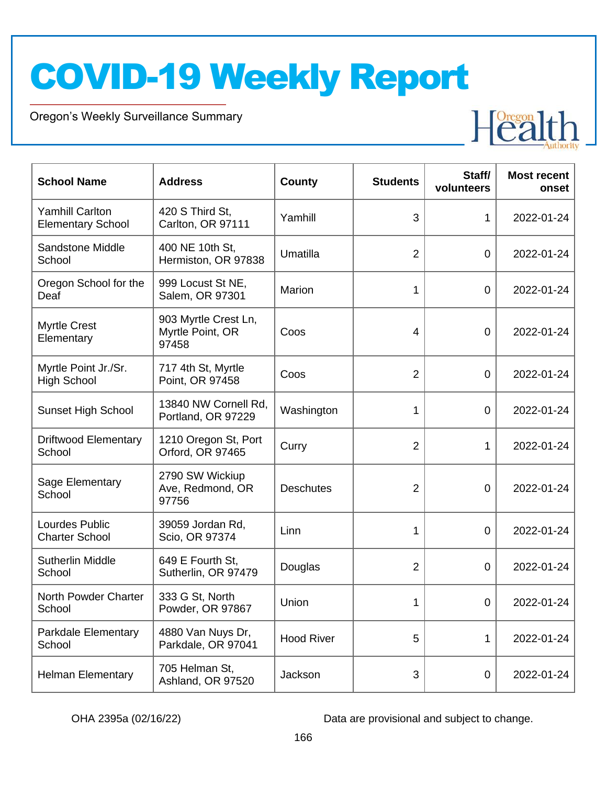Oregon's Weekly Surveillance Summary

Novel Coronavirus (COVID-19)



| <b>School Name</b>                                 | <b>Address</b>                                    | <b>County</b>     | <b>Students</b> | Staff/<br>volunteers | <b>Most recent</b><br>onset |
|----------------------------------------------------|---------------------------------------------------|-------------------|-----------------|----------------------|-----------------------------|
| <b>Yamhill Carlton</b><br><b>Elementary School</b> | 420 S Third St.<br>Carlton, OR 97111              | Yamhill           | 3               | 1                    | 2022-01-24                  |
| Sandstone Middle<br>School                         | 400 NE 10th St,<br>Hermiston, OR 97838            | Umatilla          | $\overline{2}$  | $\mathbf 0$          | 2022-01-24                  |
| Oregon School for the<br>Deaf                      | 999 Locust St NE,<br>Salem, OR 97301              | Marion            | 1               | $\mathbf 0$          | 2022-01-24                  |
| <b>Myrtle Crest</b><br>Elementary                  | 903 Myrtle Crest Ln,<br>Myrtle Point, OR<br>97458 | Coos              | 4               | $\overline{0}$       | 2022-01-24                  |
| Myrtle Point Jr./Sr.<br><b>High School</b>         | 717 4th St, Myrtle<br>Point, OR 97458             | Coos              | $\overline{2}$  | $\overline{0}$       | 2022-01-24                  |
| <b>Sunset High School</b>                          | 13840 NW Cornell Rd,<br>Portland, OR 97229        | Washington        | 1               | $\overline{0}$       | 2022-01-24                  |
| <b>Driftwood Elementary</b><br>School              | 1210 Oregon St, Port<br>Orford, OR 97465          | Curry             | $\overline{2}$  | 1                    | 2022-01-24                  |
| Sage Elementary<br>School                          | 2790 SW Wickiup<br>Ave, Redmond, OR<br>97756      | <b>Deschutes</b>  | $\overline{2}$  | $\mathbf 0$          | 2022-01-24                  |
| Lourdes Public<br><b>Charter School</b>            | 39059 Jordan Rd,<br>Scio, OR 97374                | Linn              | 1               | $\mathbf 0$          | 2022-01-24                  |
| <b>Sutherlin Middle</b><br>School                  | 649 E Fourth St,<br>Sutherlin, OR 97479           | Douglas           | $\overline{2}$  | $\mathbf 0$          | 2022-01-24                  |
| North Powder Charter<br>School                     | 333 G St, North<br>Powder, OR 97867               | Union             | 1               | $\overline{0}$       | 2022-01-24                  |
| Parkdale Elementary<br>School                      | 4880 Van Nuys Dr,<br>Parkdale, OR 97041           | <b>Hood River</b> | 5               | 1                    | 2022-01-24                  |
| <b>Helman Elementary</b>                           | 705 Helman St,<br>Ashland, OR 97520               | Jackson           | 3               | $\mathbf 0$          | 2022-01-24                  |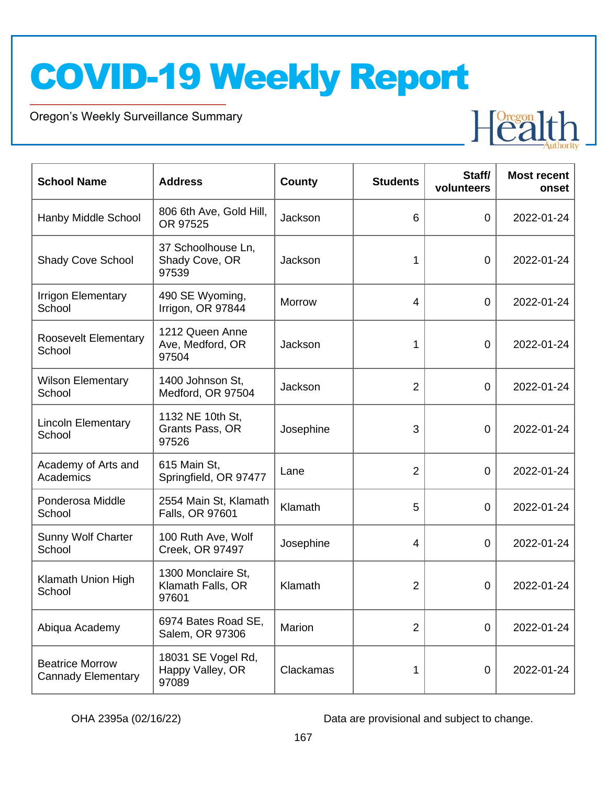Oregon's Weekly Surveillance Summary

Novel Coronavirus (COVID-19)



| <b>School Name</b>                                  | <b>Address</b>                                   | County        | <b>Students</b> | Staff/<br>volunteers | <b>Most recent</b><br>onset |
|-----------------------------------------------------|--------------------------------------------------|---------------|-----------------|----------------------|-----------------------------|
| Hanby Middle School                                 | 806 6th Ave, Gold Hill,<br>OR 97525              | Jackson       | 6               | 0                    | 2022-01-24                  |
| <b>Shady Cove School</b>                            | 37 Schoolhouse Ln,<br>Shady Cove, OR<br>97539    | Jackson       | 1               | $\overline{0}$       | 2022-01-24                  |
| <b>Irrigon Elementary</b><br>School                 | 490 SE Wyoming,<br>Irrigon, OR 97844             | <b>Morrow</b> | 4               | $\overline{0}$       | 2022-01-24                  |
| <b>Roosevelt Elementary</b><br>School               | 1212 Queen Anne<br>Ave, Medford, OR<br>97504     | Jackson       | 1               | $\overline{0}$       | 2022-01-24                  |
| <b>Wilson Elementary</b><br>School                  | 1400 Johnson St.<br>Medford, OR 97504            | Jackson       | $\overline{2}$  | $\overline{0}$       | 2022-01-24                  |
| <b>Lincoln Elementary</b><br>School                 | 1132 NE 10th St,<br>Grants Pass, OR<br>97526     | Josephine     | 3               | 0                    | 2022-01-24                  |
| Academy of Arts and<br>Academics                    | 615 Main St,<br>Springfield, OR 97477            | Lane          | $\overline{2}$  | $\overline{0}$       | 2022-01-24                  |
| Ponderosa Middle<br>School                          | 2554 Main St, Klamath<br>Falls, OR 97601         | Klamath       | 5               | $\overline{0}$       | 2022-01-24                  |
| <b>Sunny Wolf Charter</b><br>School                 | 100 Ruth Ave, Wolf<br>Creek, OR 97497            | Josephine     | 4               | 0                    | 2022-01-24                  |
| Klamath Union High<br>School                        | 1300 Monclaire St,<br>Klamath Falls, OR<br>97601 | Klamath       | $\overline{2}$  | 0                    | 2022-01-24                  |
| Abiqua Academy                                      | 6974 Bates Road SE,<br>Salem, OR 97306           | Marion        | $\overline{2}$  | 0                    | 2022-01-24                  |
| <b>Beatrice Morrow</b><br><b>Cannady Elementary</b> | 18031 SE Vogel Rd,<br>Happy Valley, OR<br>97089  | Clackamas     | 1               | 0                    | 2022-01-24                  |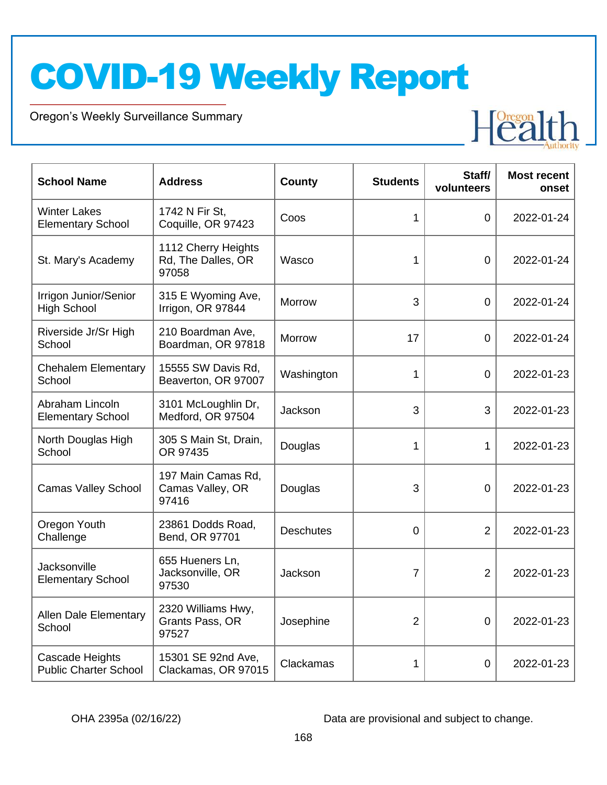Oregon's Weekly Surveillance Summary

Novel Coronavirus (COVID-19)



| <b>School Name</b>                              | <b>Address</b>                                     | <b>County</b>    | <b>Students</b> | Staff/<br>volunteers | <b>Most recent</b><br>onset |
|-------------------------------------------------|----------------------------------------------------|------------------|-----------------|----------------------|-----------------------------|
| <b>Winter Lakes</b><br><b>Elementary School</b> | 1742 N Fir St,<br>Coquille, OR 97423               | Coos             | 1               | $\overline{0}$       | 2022-01-24                  |
| St. Mary's Academy                              | 1112 Cherry Heights<br>Rd, The Dalles, OR<br>97058 | Wasco            | 1               | $\overline{0}$       | 2022-01-24                  |
| Irrigon Junior/Senior<br><b>High School</b>     | 315 E Wyoming Ave,<br>Irrigon, OR 97844            | <b>Morrow</b>    | 3               | $\mathbf 0$          | 2022-01-24                  |
| Riverside Jr/Sr High<br>School                  | 210 Boardman Ave,<br>Boardman, OR 97818            | <b>Morrow</b>    | 17              | $\overline{0}$       | 2022-01-24                  |
| <b>Chehalem Elementary</b><br>School            | 15555 SW Davis Rd,<br>Beaverton, OR 97007          | Washington       | 1               | $\overline{0}$       | 2022-01-23                  |
| Abraham Lincoln<br><b>Elementary School</b>     | 3101 McLoughlin Dr,<br>Medford, OR 97504           | Jackson          | 3               | 3                    | 2022-01-23                  |
| North Douglas High<br>School                    | 305 S Main St, Drain,<br>OR 97435                  | Douglas          | 1               | 1                    | 2022-01-23                  |
| <b>Camas Valley School</b>                      | 197 Main Camas Rd,<br>Camas Valley, OR<br>97416    | Douglas          | 3               | 0                    | 2022-01-23                  |
| Oregon Youth<br>Challenge                       | 23861 Dodds Road,<br>Bend, OR 97701                | <b>Deschutes</b> | 0               | $\overline{2}$       | 2022-01-23                  |
| Jacksonville<br><b>Elementary School</b>        | 655 Hueners Ln,<br>Jacksonville, OR<br>97530       | Jackson          | $\overline{7}$  | $\overline{2}$       | 2022-01-23                  |
| <b>Allen Dale Elementary</b><br>School          | 2320 Williams Hwy,<br>Grants Pass, OR<br>97527     | Josephine        | $\overline{2}$  | $\mathbf 0$          | 2022-01-23                  |
| Cascade Heights<br><b>Public Charter School</b> | 15301 SE 92nd Ave,<br>Clackamas, OR 97015          | Clackamas        | 1               | 0                    | 2022-01-23                  |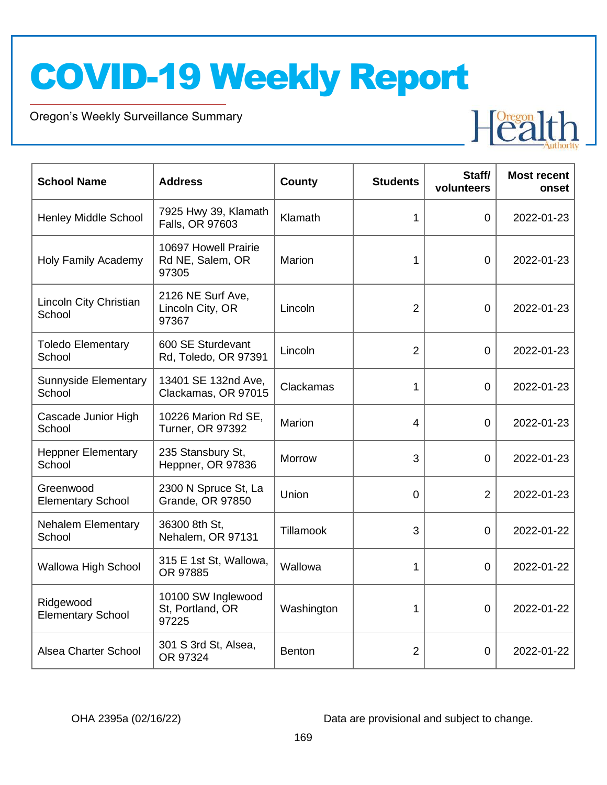Oregon's Weekly Surveillance Summary

Novel Coronavirus (COVID-19)



| <b>School Name</b>                    | <b>Address</b>                                    | <b>County</b> | <b>Students</b> | Staff/<br>volunteers | <b>Most recent</b><br>onset |
|---------------------------------------|---------------------------------------------------|---------------|-----------------|----------------------|-----------------------------|
| Henley Middle School                  | 7925 Hwy 39, Klamath<br>Falls, OR 97603           | Klamath       | 1               | $\overline{0}$       | 2022-01-23                  |
| <b>Holy Family Academy</b>            | 10697 Howell Prairie<br>Rd NE, Salem, OR<br>97305 | Marion        | 1               | $\overline{0}$       | 2022-01-23                  |
| Lincoln City Christian<br>School      | 2126 NE Surf Ave,<br>Lincoln City, OR<br>97367    | Lincoln       | $\overline{2}$  | $\overline{0}$       | 2022-01-23                  |
| <b>Toledo Elementary</b><br>School    | 600 SE Sturdevant<br>Rd, Toledo, OR 97391         | Lincoln       | $\overline{2}$  | $\mathbf 0$          | 2022-01-23                  |
| <b>Sunnyside Elementary</b><br>School | 13401 SE 132nd Ave,<br>Clackamas, OR 97015        | Clackamas     | 1               | $\overline{0}$       | 2022-01-23                  |
| Cascade Junior High<br>School         | 10226 Marion Rd SE,<br><b>Turner, OR 97392</b>    | Marion        | 4               | $\overline{0}$       | 2022-01-23                  |
| <b>Heppner Elementary</b><br>School   | 235 Stansbury St,<br>Heppner, OR 97836            | Morrow        | 3               | 0                    | 2022-01-23                  |
| Greenwood<br><b>Elementary School</b> | 2300 N Spruce St, La<br>Grande, OR 97850          | Union         | $\overline{0}$  | $\overline{2}$       | 2022-01-23                  |
| <b>Nehalem Elementary</b><br>School   | 36300 8th St.<br>Nehalem, OR 97131                | Tillamook     | 3               | $\overline{0}$       | 2022-01-22                  |
| Wallowa High School                   | 315 E 1st St, Wallowa,<br>OR 97885                | Wallowa       | 1               | $\overline{0}$       | 2022-01-22                  |
| Ridgewood<br><b>Elementary School</b> | 10100 SW Inglewood<br>St, Portland, OR<br>97225   | Washington    | 1               | $\mathbf 0$          | 2022-01-22                  |
| Alsea Charter School                  | 301 S 3rd St, Alsea,<br>OR 97324                  | <b>Benton</b> | $\overline{2}$  | $\overline{0}$       | 2022-01-22                  |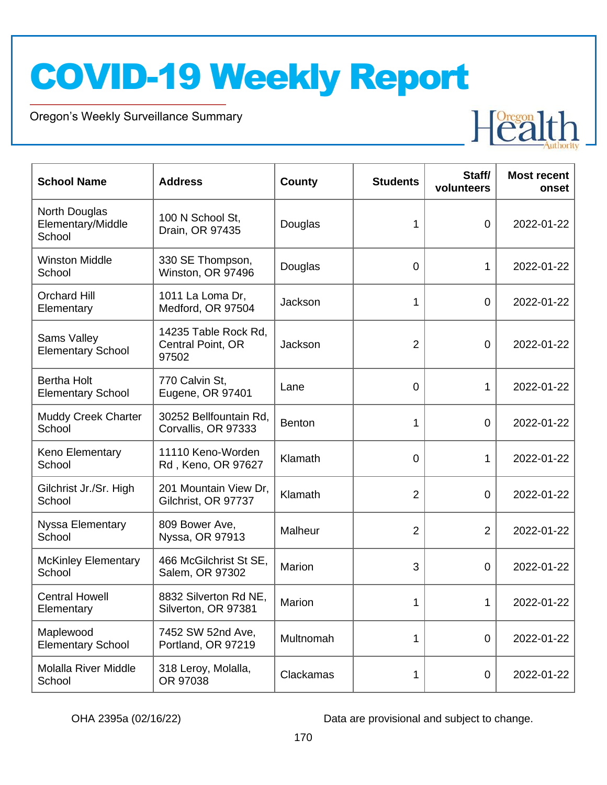Oregon's Weekly Surveillance Summary

Novel Coronavirus (COVID-19)



| <b>School Name</b>                             | <b>Address</b>                                     | <b>County</b> | <b>Students</b> | Staff/<br>volunteers | <b>Most recent</b><br>onset |
|------------------------------------------------|----------------------------------------------------|---------------|-----------------|----------------------|-----------------------------|
| North Douglas<br>Elementary/Middle<br>School   | 100 N School St.<br>Drain, OR 97435                | Douglas       | 1               | $\overline{0}$       | 2022-01-22                  |
| <b>Winston Middle</b><br>School                | 330 SE Thompson,<br>Winston, OR 97496              | Douglas       | $\overline{0}$  | 1                    | 2022-01-22                  |
| <b>Orchard Hill</b><br>Elementary              | 1011 La Loma Dr,<br>Medford, OR 97504              | Jackson       | 1               | $\overline{0}$       | 2022-01-22                  |
| Sams Valley<br><b>Elementary School</b>        | 14235 Table Rock Rd,<br>Central Point, OR<br>97502 | Jackson       | $\overline{2}$  | $\overline{0}$       | 2022-01-22                  |
| <b>Bertha Holt</b><br><b>Elementary School</b> | 770 Calvin St,<br>Eugene, OR 97401                 | Lane          | $\mathbf 0$     | 1                    | 2022-01-22                  |
| <b>Muddy Creek Charter</b><br>School           | 30252 Bellfountain Rd,<br>Corvallis, OR 97333      | <b>Benton</b> | 1               | $\overline{0}$       | 2022-01-22                  |
| Keno Elementary<br>School                      | 11110 Keno-Worden<br>Rd, Keno, OR 97627            | Klamath       | $\mathbf 0$     | 1                    | 2022-01-22                  |
| Gilchrist Jr./Sr. High<br>School               | 201 Mountain View Dr,<br>Gilchrist, OR 97737       | Klamath       | $\overline{2}$  | $\overline{0}$       | 2022-01-22                  |
| Nyssa Elementary<br>School                     | 809 Bower Ave,<br>Nyssa, OR 97913                  | Malheur       | $\overline{2}$  | $\overline{2}$       | 2022-01-22                  |
| <b>McKinley Elementary</b><br>School           | 466 McGilchrist St SE,<br>Salem, OR 97302          | Marion        | 3               | $\overline{0}$       | 2022-01-22                  |
| <b>Central Howell</b><br>Elementary            | 8832 Silverton Rd NE,<br>Silverton, OR 97381       | Marion        | 1               | 1                    | 2022-01-22                  |
| Maplewood<br><b>Elementary School</b>          | 7452 SW 52nd Ave,<br>Portland, OR 97219            | Multnomah     | 1               | $\overline{0}$       | 2022-01-22                  |
| <b>Molalla River Middle</b><br>School          | 318 Leroy, Molalla,<br>OR 97038                    | Clackamas     | 1               | $\mathbf 0$          | 2022-01-22                  |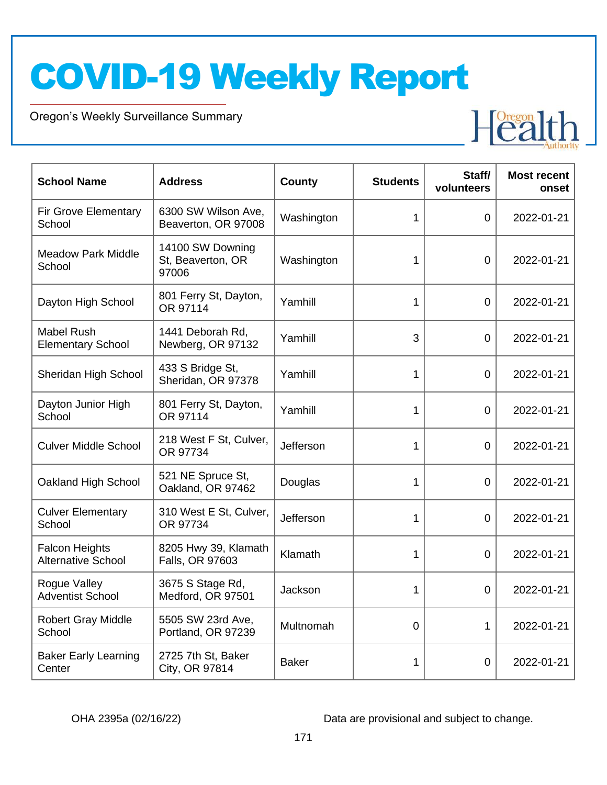Oregon's Weekly Surveillance Summary

Novel Coronavirus (COVID-19)



| <b>School Name</b>                                 | <b>Address</b>                                 | <b>County</b> | <b>Students</b> | Staff/<br>volunteers | <b>Most recent</b><br>onset |
|----------------------------------------------------|------------------------------------------------|---------------|-----------------|----------------------|-----------------------------|
| <b>Fir Grove Elementary</b><br>School              | 6300 SW Wilson Ave,<br>Beaverton, OR 97008     | Washington    | 1               | $\overline{0}$       | 2022-01-21                  |
| <b>Meadow Park Middle</b><br>School                | 14100 SW Downing<br>St, Beaverton, OR<br>97006 | Washington    | 1               | $\mathbf 0$          | 2022-01-21                  |
| Dayton High School                                 | 801 Ferry St, Dayton,<br>OR 97114              | Yamhill       | 1               | $\mathbf 0$          | 2022-01-21                  |
| <b>Mabel Rush</b><br><b>Elementary School</b>      | 1441 Deborah Rd,<br>Newberg, OR 97132          | Yamhill       | 3               | $\overline{0}$       | 2022-01-21                  |
| Sheridan High School                               | 433 S Bridge St,<br>Sheridan, OR 97378         | Yamhill       | 1               | $\mathbf 0$          | 2022-01-21                  |
| Dayton Junior High<br>School                       | 801 Ferry St, Dayton,<br>OR 97114              | Yamhill       | $\mathbf{1}$    | 0                    | 2022-01-21                  |
| <b>Culver Middle School</b>                        | 218 West F St, Culver,<br>OR 97734             | Jefferson     | 1               | 0                    | 2022-01-21                  |
| Oakland High School                                | 521 NE Spruce St,<br>Oakland, OR 97462         | Douglas       | 1               | 0                    | 2022-01-21                  |
| <b>Culver Elementary</b><br>School                 | 310 West E St, Culver,<br>OR 97734             | Jefferson     | 1               | $\overline{0}$       | 2022-01-21                  |
| <b>Falcon Heights</b><br><b>Alternative School</b> | 8205 Hwy 39, Klamath<br>Falls, OR 97603        | Klamath       | 1               | $\mathbf 0$          | 2022-01-21                  |
| Rogue Valley<br><b>Adventist School</b>            | 3675 S Stage Rd,<br>Medford, OR 97501          | Jackson       | 1               | 0                    | 2022-01-21                  |
| <b>Robert Gray Middle</b><br>School                | 5505 SW 23rd Ave,<br>Portland, OR 97239        | Multnomah     | $\Omega$        | 1                    | 2022-01-21                  |
| <b>Baker Early Learning</b><br>Center              | 2725 7th St, Baker<br>City, OR 97814           | <b>Baker</b>  | 1               | $\mathbf 0$          | 2022-01-21                  |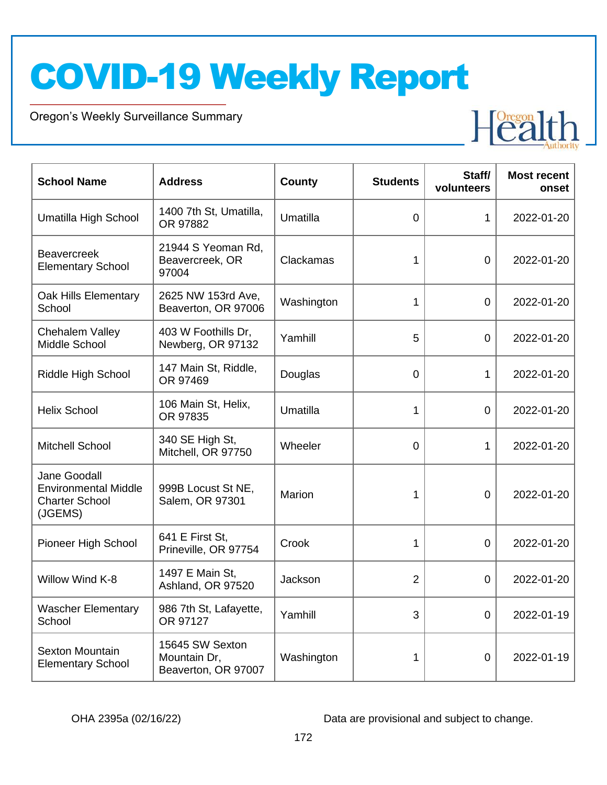Oregon's Weekly Surveillance Summary

Novel Coronavirus (COVID-19)



| <b>School Name</b>                                                              | <b>Address</b>                                         | <b>County</b> | <b>Students</b> | Staff/<br>volunteers | <b>Most recent</b><br>onset |
|---------------------------------------------------------------------------------|--------------------------------------------------------|---------------|-----------------|----------------------|-----------------------------|
| Umatilla High School                                                            | 1400 7th St, Umatilla,<br>OR 97882                     | Umatilla      | $\overline{0}$  | 1                    | 2022-01-20                  |
| <b>Beavercreek</b><br><b>Elementary School</b>                                  | 21944 S Yeoman Rd,<br>Beavercreek, OR<br>97004         | Clackamas     | 1               | $\overline{0}$       | 2022-01-20                  |
| Oak Hills Elementary<br>School                                                  | 2625 NW 153rd Ave,<br>Beaverton, OR 97006              | Washington    | 1               | $\overline{0}$       | 2022-01-20                  |
| <b>Chehalem Valley</b><br>Middle School                                         | 403 W Foothills Dr,<br>Newberg, OR 97132               | Yamhill       | 5               | $\mathbf 0$          | 2022-01-20                  |
| Riddle High School                                                              | 147 Main St, Riddle,<br>OR 97469                       | Douglas       | $\overline{0}$  | $\mathbf{1}$         | 2022-01-20                  |
| <b>Helix School</b>                                                             | 106 Main St, Helix,<br>OR 97835                        | Umatilla      | 1               | $\overline{0}$       | 2022-01-20                  |
| <b>Mitchell School</b>                                                          | 340 SE High St,<br>Mitchell, OR 97750                  | Wheeler       | $\overline{0}$  | 1                    | 2022-01-20                  |
| Jane Goodall<br><b>Environmental Middle</b><br><b>Charter School</b><br>(JGEMS) | 999B Locust St NE,<br>Salem, OR 97301                  | Marion        |                 | 0                    | 2022-01-20                  |
| Pioneer High School                                                             | 641 E First St,<br>Prineville, OR 97754                | Crook         | 1               | $\overline{0}$       | 2022-01-20                  |
| Willow Wind K-8                                                                 | 1497 E Main St,<br>Ashland, OR 97520                   | Jackson       | $\overline{2}$  | 0                    | 2022-01-20                  |
| <b>Wascher Elementary</b><br>School                                             | 986 7th St, Lafayette,<br>OR 97127                     | Yamhill       | 3               | 0                    | 2022-01-19                  |
| <b>Sexton Mountain</b><br><b>Elementary School</b>                              | 15645 SW Sexton<br>Mountain Dr,<br>Beaverton, OR 97007 | Washington    | 1               | $\mathbf 0$          | 2022-01-19                  |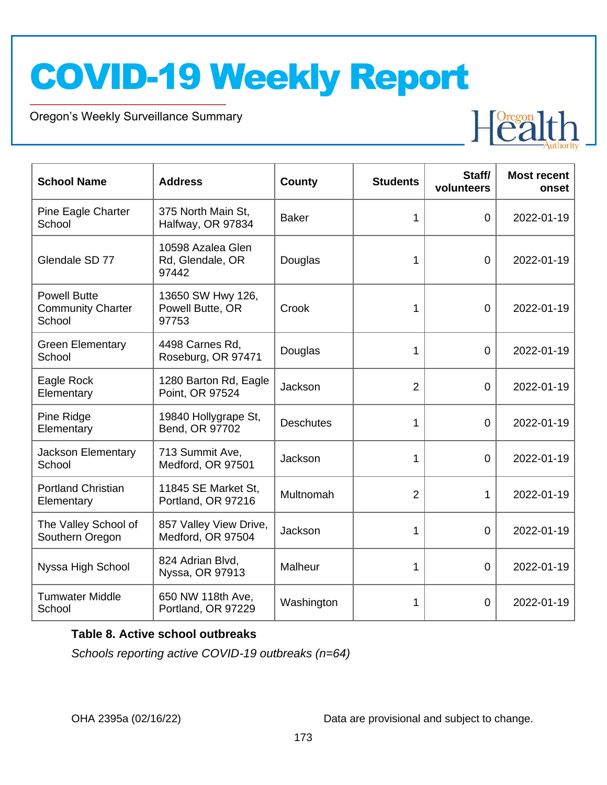Oregon's Weekly Surveillance Summary

Novel Coronavirus (COVID-19)



| <b>School Name</b>                                        | <b>Address</b>                                 | <b>County</b>    | <b>Students</b> | Staff/<br>volunteers | <b>Most recent</b><br>onset |
|-----------------------------------------------------------|------------------------------------------------|------------------|-----------------|----------------------|-----------------------------|
| Pine Eagle Charter<br>School                              | 375 North Main St,<br>Halfway, OR 97834        | <b>Baker</b>     | 1               | $\Omega$             | 2022-01-19                  |
| Glendale SD 77                                            | 10598 Azalea Glen<br>Rd, Glendale, OR<br>97442 | Douglas          | 1               | $\overline{0}$       | 2022-01-19                  |
| <b>Powell Butte</b><br><b>Community Charter</b><br>School | 13650 SW Hwy 126,<br>Powell Butte, OR<br>97753 | Crook            | 1               | $\overline{0}$       | 2022-01-19                  |
| <b>Green Elementary</b><br>School                         | 4498 Carnes Rd,<br>Roseburg, OR 97471          | Douglas          | 1               | $\Omega$             | 2022-01-19                  |
| Eagle Rock<br>Elementary                                  | 1280 Barton Rd, Eagle<br>Point, OR 97524       | Jackson          | $\overline{2}$  | $\overline{0}$       | 2022-01-19                  |
| Pine Ridge<br>Elementary                                  | 19840 Hollygrape St,<br>Bend, OR 97702         | <b>Deschutes</b> | 1               | $\overline{0}$       | 2022-01-19                  |
| <b>Jackson Elementary</b><br>School                       | 713 Summit Ave,<br>Medford, OR 97501           | Jackson          | 1               | $\overline{0}$       | 2022-01-19                  |
| <b>Portland Christian</b><br>Elementary                   | 11845 SE Market St,<br>Portland, OR 97216      | Multnomah        | 2               | 1                    | 2022-01-19                  |
| The Valley School of<br>Southern Oregon                   | 857 Valley View Drive,<br>Medford, OR 97504    | Jackson          | 1               | $\overline{0}$       | 2022-01-19                  |
| Nyssa High School                                         | 824 Adrian Blvd,<br>Nyssa, OR 97913            | Malheur          | 1               | $\overline{0}$       | 2022-01-19                  |
| <b>Tumwater Middle</b><br>School                          | 650 NW 118th Ave,<br>Portland, OR 97229        | Washington       | 1               | $\overline{0}$       | 2022-01-19                  |

#### **Table 8. Active school outbreaks**

*Schools reporting active COVID-19 outbreaks (n=64)*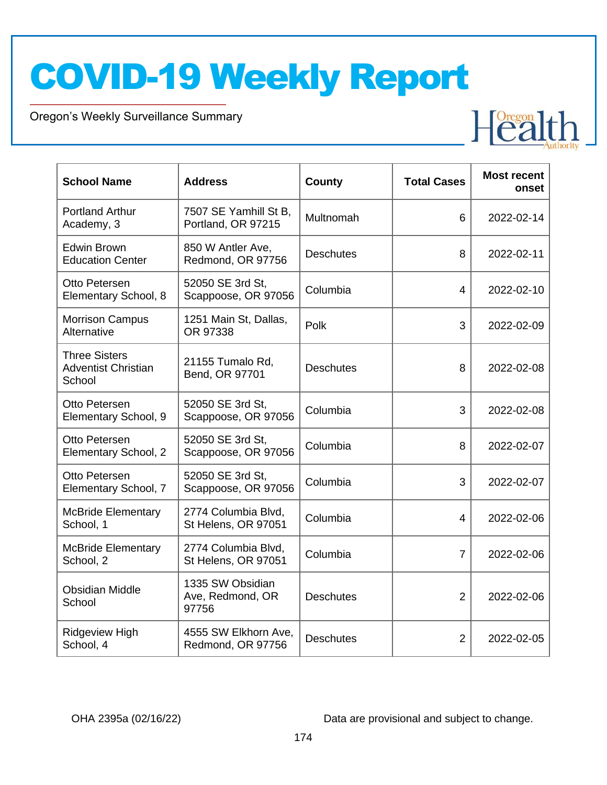Oregon's Weekly Surveillance Summary

Novel Coronavirus (COVID-19)

| <b>School Name</b>                                           | <b>Address</b>                                | County           | <b>Total Cases</b> | <b>Most recent</b><br>onset |
|--------------------------------------------------------------|-----------------------------------------------|------------------|--------------------|-----------------------------|
| <b>Portland Arthur</b><br>Academy, 3                         | 7507 SE Yamhill St B,<br>Portland, OR 97215   | Multnomah        | 6                  | 2022-02-14                  |
| <b>Edwin Brown</b><br><b>Education Center</b>                | 850 W Antler Ave,<br>Redmond, OR 97756        | <b>Deschutes</b> | 8                  | 2022-02-11                  |
| Otto Petersen<br>Elementary School, 8                        | 52050 SE 3rd St,<br>Scappoose, OR 97056       | Columbia         | 4                  | 2022-02-10                  |
| <b>Morrison Campus</b><br>Alternative                        | 1251 Main St, Dallas,<br>OR 97338             | Polk             | 3                  | 2022-02-09                  |
| <b>Three Sisters</b><br><b>Adventist Christian</b><br>School | 21155 Tumalo Rd,<br>Bend, OR 97701            | <b>Deschutes</b> | 8                  | 2022-02-08                  |
| Otto Petersen<br>Elementary School, 9                        | 52050 SE 3rd St,<br>Scappoose, OR 97056       | Columbia         | 3                  | 2022-02-08                  |
| Otto Petersen<br>Elementary School, 2                        | 52050 SE 3rd St,<br>Scappoose, OR 97056       | Columbia         | 8                  | 2022-02-07                  |
| Otto Petersen<br>Elementary School, 7                        | 52050 SE 3rd St,<br>Scappoose, OR 97056       | Columbia         | 3                  | 2022-02-07                  |
| <b>McBride Elementary</b><br>School, 1                       | 2774 Columbia Blvd,<br>St Helens, OR 97051    | Columbia         | 4                  | 2022-02-06                  |
| <b>McBride Elementary</b><br>School, 2                       | 2774 Columbia Blvd,<br>St Helens, OR 97051    | Columbia         | $\overline{7}$     | 2022-02-06                  |
| <b>Obsidian Middle</b><br>School                             | 1335 SW Obsidian<br>Ave, Redmond, OR<br>97756 | <b>Deschutes</b> | $\overline{2}$     | 2022-02-06                  |
| <b>Ridgeview High</b><br>School, 4                           | 4555 SW Elkhorn Ave,<br>Redmond, OR 97756     | <b>Deschutes</b> | $\overline{2}$     | 2022-02-05                  |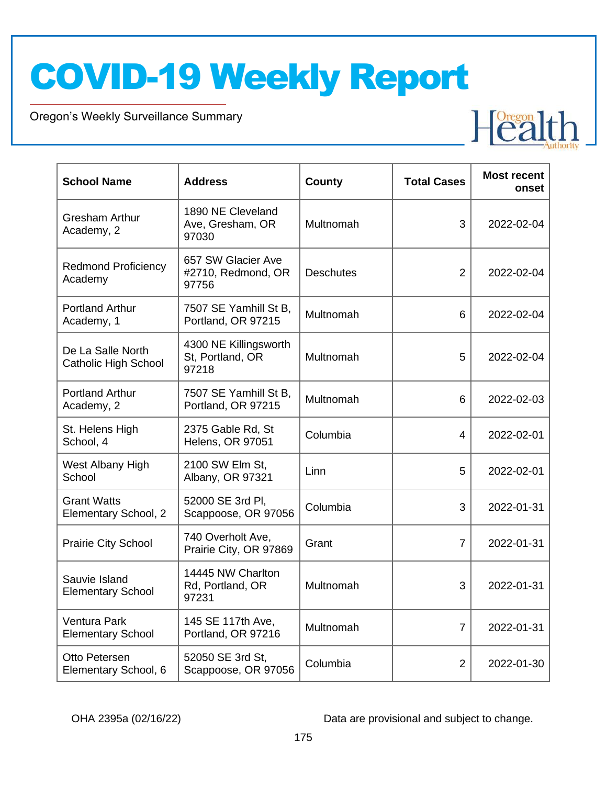Oregon's Weekly Surveillance Summary

Novel Coronavirus (COVID-19)



| <b>School Name</b>                               | <b>Address</b>                                     | <b>County</b>    | <b>Total Cases</b> | <b>Most recent</b><br>onset |
|--------------------------------------------------|----------------------------------------------------|------------------|--------------------|-----------------------------|
| <b>Gresham Arthur</b><br>Academy, 2              | 1890 NE Cleveland<br>Ave, Gresham, OR<br>97030     | Multnomah        | 3                  | 2022-02-04                  |
| <b>Redmond Proficiency</b><br>Academy            | 657 SW Glacier Ave<br>#2710, Redmond, OR<br>97756  | <b>Deschutes</b> | $\overline{2}$     | 2022-02-04                  |
| <b>Portland Arthur</b><br>Academy, 1             | 7507 SE Yamhill St B,<br>Portland, OR 97215        | Multnomah        | 6                  | 2022-02-04                  |
| De La Salle North<br><b>Catholic High School</b> | 4300 NE Killingsworth<br>St, Portland, OR<br>97218 | Multnomah        | 5                  | 2022-02-04                  |
| <b>Portland Arthur</b><br>Academy, 2             | 7507 SE Yamhill St B,<br>Portland, OR 97215        | Multnomah        | 6                  | 2022-02-03                  |
| St. Helens High<br>School, 4                     | 2375 Gable Rd, St<br><b>Helens, OR 97051</b>       | Columbia         | 4                  | 2022-02-01                  |
| West Albany High<br>School                       | 2100 SW Elm St,<br>Albany, OR 97321                | Linn             | 5                  | 2022-02-01                  |
| <b>Grant Watts</b><br>Elementary School, 2       | 52000 SE 3rd Pl,<br>Scappoose, OR 97056            | Columbia         | 3                  | 2022-01-31                  |
| <b>Prairie City School</b>                       | 740 Overholt Ave,<br>Prairie City, OR 97869        | Grant            | $\overline{7}$     | 2022-01-31                  |
| Sauvie Island<br><b>Elementary School</b>        | 14445 NW Charlton<br>Rd, Portland, OR<br>97231     | Multnomah        | 3                  | 2022-01-31                  |
| <b>Ventura Park</b><br><b>Elementary School</b>  | 145 SE 117th Ave,<br>Portland, OR 97216            | Multnomah        | $\overline{7}$     | 2022-01-31                  |
| Otto Petersen<br>Elementary School, 6            | 52050 SE 3rd St.<br>Scappoose, OR 97056            | Columbia         | $\overline{2}$     | 2022-01-30                  |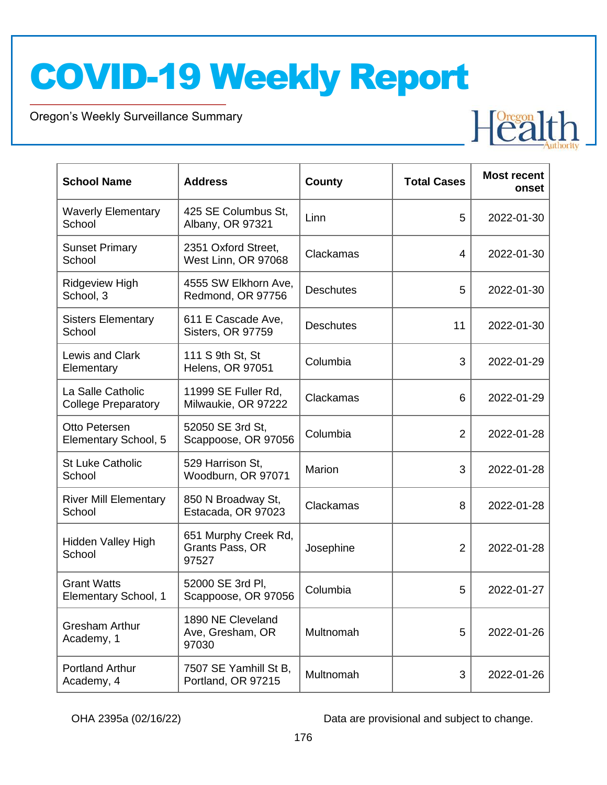Oregon's Weekly Surveillance Summary

Novel Coronavirus (COVID-19)

| <b>School Name</b>                              | <b>Address</b>                                   | <b>County</b>    | <b>Total Cases</b> | <b>Most recent</b><br>onset |
|-------------------------------------------------|--------------------------------------------------|------------------|--------------------|-----------------------------|
| <b>Waverly Elementary</b><br>School             | 425 SE Columbus St,<br>Albany, OR 97321          | Linn             | 5                  | 2022-01-30                  |
| <b>Sunset Primary</b><br>School                 | 2351 Oxford Street,<br>West Linn, OR 97068       | Clackamas        | 4                  | 2022-01-30                  |
| <b>Ridgeview High</b><br>School, 3              | 4555 SW Elkhorn Ave,<br>Redmond, OR 97756        | <b>Deschutes</b> | 5                  | 2022-01-30                  |
| <b>Sisters Elementary</b><br>School             | 611 E Cascade Ave,<br>Sisters, OR 97759          | <b>Deschutes</b> | 11                 | 2022-01-30                  |
| Lewis and Clark<br>Elementary                   | 111 S 9th St, St<br><b>Helens, OR 97051</b>      | Columbia         | 3                  | 2022-01-29                  |
| La Salle Catholic<br><b>College Preparatory</b> | 11999 SE Fuller Rd,<br>Milwaukie, OR 97222       | Clackamas        | 6                  | 2022-01-29                  |
| Otto Petersen<br>Elementary School, 5           | 52050 SE 3rd St,<br>Scappoose, OR 97056          | Columbia         | $\overline{2}$     | 2022-01-28                  |
| <b>St Luke Catholic</b><br>School               | 529 Harrison St,<br>Woodburn, OR 97071           | Marion           | 3                  | 2022-01-28                  |
| <b>River Mill Elementary</b><br>School          | 850 N Broadway St,<br>Estacada, OR 97023         | Clackamas        | 8                  | 2022-01-28                  |
| Hidden Valley High<br>School                    | 651 Murphy Creek Rd,<br>Grants Pass, OR<br>97527 | Josephine        | $\overline{2}$     | 2022-01-28                  |
| <b>Grant Watts</b><br>Elementary School, 1      | 52000 SE 3rd Pl,<br>Scappoose, OR 97056          | Columbia         | 5                  | 2022-01-27                  |
| <b>Gresham Arthur</b><br>Academy, 1             | 1890 NE Cleveland<br>Ave, Gresham, OR<br>97030   | Multnomah        | 5                  | 2022-01-26                  |
| <b>Portland Arthur</b><br>Academy, 4            | 7507 SE Yamhill St B,<br>Portland, OR 97215      | Multnomah        | 3                  | 2022-01-26                  |

OHA 2395a (02/16/22) Data are provisional and subject to change.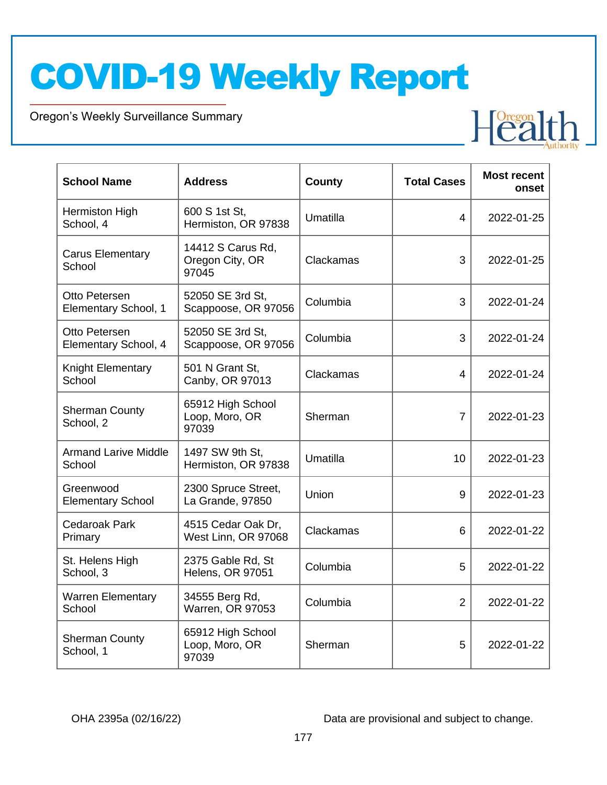Oregon's Weekly Surveillance Summary

Novel Coronavirus (COVID-19)

| <b>School Name</b>                    | <b>Address</b>                                | County    | <b>Total Cases</b> | <b>Most recent</b><br>onset |
|---------------------------------------|-----------------------------------------------|-----------|--------------------|-----------------------------|
| Hermiston High<br>School, 4           | 600 S 1st St,<br>Hermiston, OR 97838          | Umatilla  | 4                  | 2022-01-25                  |
| <b>Carus Elementary</b><br>School     | 14412 S Carus Rd,<br>Oregon City, OR<br>97045 | Clackamas | 3                  | 2022-01-25                  |
| Otto Petersen<br>Elementary School, 1 | 52050 SE 3rd St,<br>Scappoose, OR 97056       | Columbia  | 3                  | 2022-01-24                  |
| Otto Petersen<br>Elementary School, 4 | 52050 SE 3rd St,<br>Scappoose, OR 97056       | Columbia  | 3                  | 2022-01-24                  |
| Knight Elementary<br>School           | 501 N Grant St,<br>Canby, OR 97013            | Clackamas | 4                  | 2022-01-24                  |
| <b>Sherman County</b><br>School, 2    | 65912 High School<br>Loop, Moro, OR<br>97039  | Sherman   | $\overline{7}$     | 2022-01-23                  |
| <b>Armand Larive Middle</b><br>School | 1497 SW 9th St,<br>Hermiston, OR 97838        | Umatilla  | 10                 | 2022-01-23                  |
| Greenwood<br><b>Elementary School</b> | 2300 Spruce Street,<br>La Grande, 97850       | Union     | 9                  | 2022-01-23                  |
| <b>Cedaroak Park</b><br>Primary       | 4515 Cedar Oak Dr,<br>West Linn, OR 97068     | Clackamas | 6                  | 2022-01-22                  |
| St. Helens High<br>School, 3          | 2375 Gable Rd, St<br><b>Helens, OR 97051</b>  | Columbia  | 5                  | 2022-01-22                  |
| <b>Warren Elementary</b><br>School    | 34555 Berg Rd,<br><b>Warren, OR 97053</b>     | Columbia  | $\overline{2}$     | 2022-01-22                  |
| <b>Sherman County</b><br>School, 1    | 65912 High School<br>Loop, Moro, OR<br>97039  | Sherman   | 5                  | 2022-01-22                  |

OHA 2395a (02/16/22) Data are provisional and subject to change.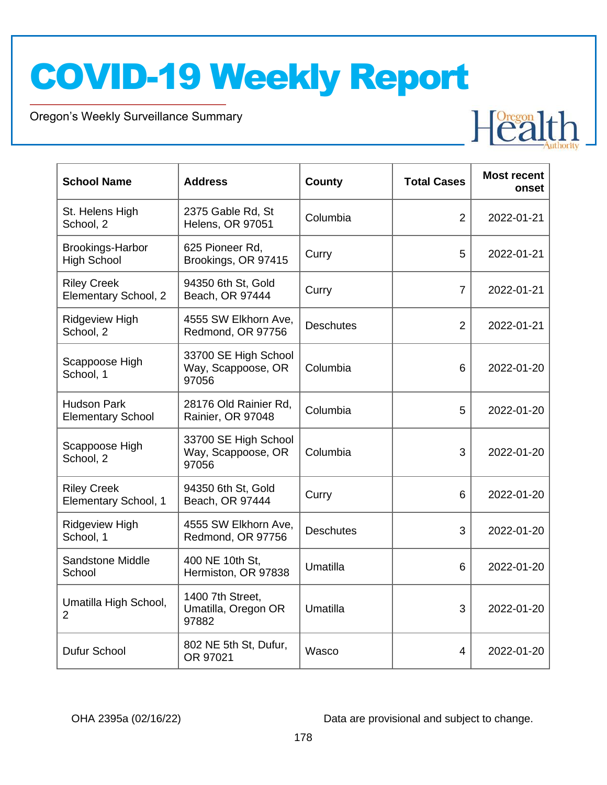Oregon's Weekly Surveillance Summary

Novel Coronavirus (COVID-19)

| <b>School Name</b>                             | <b>Address</b>                                      | County           | <b>Total Cases</b> | <b>Most recent</b><br>onset |
|------------------------------------------------|-----------------------------------------------------|------------------|--------------------|-----------------------------|
| St. Helens High<br>School, 2                   | 2375 Gable Rd, St<br>Helens, OR 97051               | Columbia         | $\overline{2}$     | 2022-01-21                  |
| <b>Brookings-Harbor</b><br><b>High School</b>  | 625 Pioneer Rd,<br>Brookings, OR 97415              | Curry            | 5                  | 2022-01-21                  |
| <b>Riley Creek</b><br>Elementary School, 2     | 94350 6th St, Gold<br>Beach, OR 97444               | Curry            | $\overline{7}$     | 2022-01-21                  |
| <b>Ridgeview High</b><br>School, 2             | 4555 SW Elkhorn Ave,<br>Redmond, OR 97756           | <b>Deschutes</b> | $\overline{2}$     | 2022-01-21                  |
| Scappoose High<br>School, 1                    | 33700 SE High School<br>Way, Scappoose, OR<br>97056 | Columbia         | 6                  | 2022-01-20                  |
| <b>Hudson Park</b><br><b>Elementary School</b> | 28176 Old Rainier Rd,<br>Rainier, OR 97048          | Columbia         | 5                  | 2022-01-20                  |
| Scappoose High<br>School, 2                    | 33700 SE High School<br>Way, Scappoose, OR<br>97056 | Columbia         | 3                  | 2022-01-20                  |
| <b>Riley Creek</b><br>Elementary School, 1     | 94350 6th St, Gold<br>Beach, OR 97444               | Curry            | 6                  | 2022-01-20                  |
| <b>Ridgeview High</b><br>School, 1             | 4555 SW Elkhorn Ave,<br>Redmond, OR 97756           | <b>Deschutes</b> | 3                  | 2022-01-20                  |
| <b>Sandstone Middle</b><br>School              | 400 NE 10th St,<br>Hermiston, OR 97838              | Umatilla         | 6                  | 2022-01-20                  |
| Umatilla High School,<br>2                     | 1400 7th Street,<br>Umatilla, Oregon OR<br>97882    | Umatilla         | 3                  | 2022-01-20                  |
| <b>Dufur School</b>                            | 802 NE 5th St, Dufur,<br>OR 97021                   | Wasco            | 4                  | 2022-01-20                  |

OHA 2395a (02/16/22) Data are provisional and subject to change.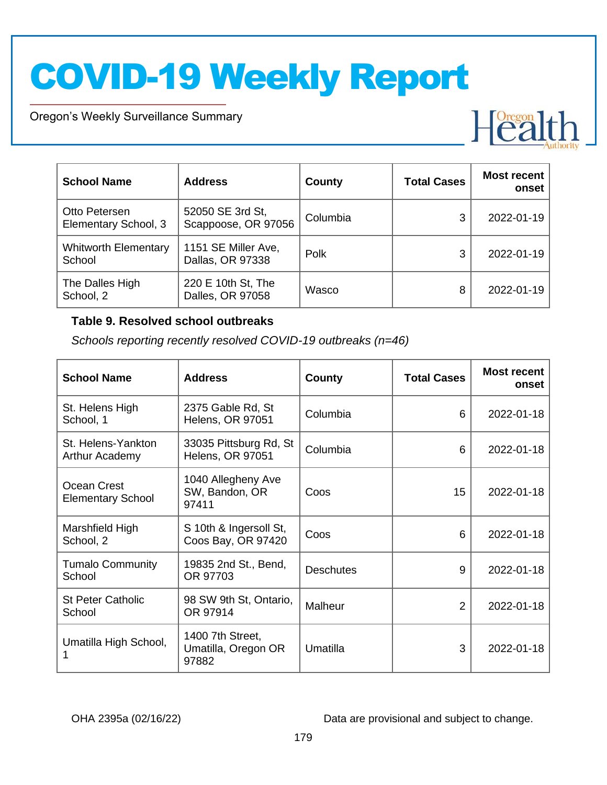Oregon's Weekly Surveillance Summary

Novel Coronavirus (COVID-19)



| <b>School Name</b>                    | <b>Address</b>                          | County   | <b>Total Cases</b> | <b>Most recent</b><br>onset |
|---------------------------------------|-----------------------------------------|----------|--------------------|-----------------------------|
| Otto Petersen<br>Elementary School, 3 | 52050 SE 3rd St,<br>Scappoose, OR 97056 | Columbia | 3                  | 2022-01-19                  |
| <b>Whitworth Elementary</b><br>School | 1151 SE Miller Ave,<br>Dallas, OR 97338 | Polk     | 3                  | 2022-01-19                  |
| The Dalles High<br>School, 2          | 220 E 10th St, The<br>Dalles, OR 97058  | Wasco    | 8                  | 2022-01-19                  |

#### **Table 9. Resolved school outbreaks**

*Schools reporting recently resolved COVID-19 outbreaks (n=46)*

| <b>School Name</b>                      | <b>Address</b>                                    | County           | <b>Total Cases</b> | <b>Most recent</b><br>onset |
|-----------------------------------------|---------------------------------------------------|------------------|--------------------|-----------------------------|
| St. Helens High<br>School, 1            | 2375 Gable Rd, St<br><b>Helens, OR 97051</b>      | Columbia         | 6                  | 2022-01-18                  |
| St. Helens-Yankton<br>Arthur Academy    | 33035 Pittsburg Rd, St<br><b>Helens, OR 97051</b> | Columbia         | 6                  | 2022-01-18                  |
| Ocean Crest<br><b>Elementary School</b> | 1040 Allegheny Ave<br>SW, Bandon, OR<br>97411     | Coos             | 15                 | 2022-01-18                  |
| Marshfield High<br>School, 2            | S 10th & Ingersoll St,<br>Coos Bay, OR 97420      | Coos             | 6                  | 2022-01-18                  |
| <b>Tumalo Community</b><br>School       | 19835 2nd St., Bend,<br>OR 97703                  | <b>Deschutes</b> | 9                  | 2022-01-18                  |
| <b>St Peter Catholic</b><br>School      | 98 SW 9th St, Ontario,<br>OR 97914                | Malheur          | 2                  | 2022-01-18                  |
| Umatilla High School,                   | 1400 7th Street,<br>Umatilla, Oregon OR<br>97882  | Umatilla         | 3                  | 2022-01-18                  |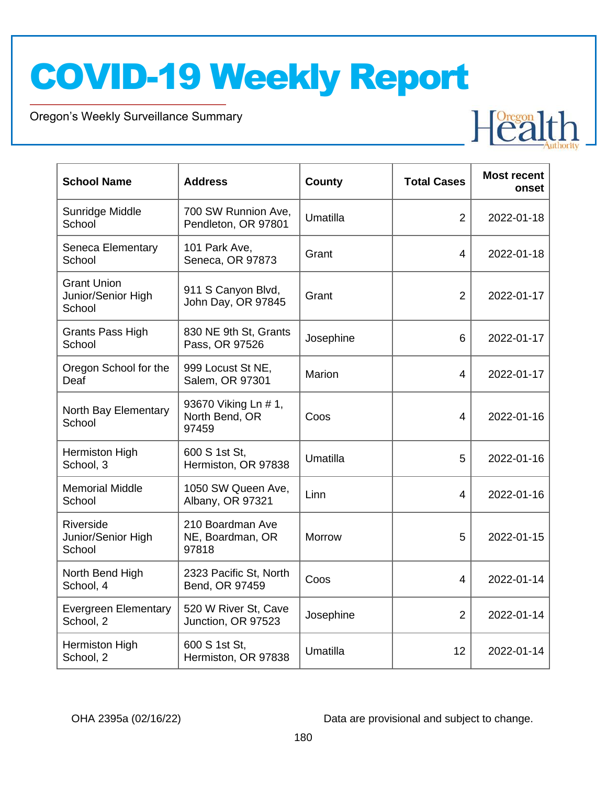Oregon's Weekly Surveillance Summary

Novel Coronavirus (COVID-19)

| <b>School Name</b>                                 | <b>Address</b>                                  | County        | <b>Total Cases</b> | <b>Most recent</b><br>onset |
|----------------------------------------------------|-------------------------------------------------|---------------|--------------------|-----------------------------|
| Sunridge Middle<br>School                          | 700 SW Runnion Ave,<br>Pendleton, OR 97801      | Umatilla      | $\overline{2}$     | 2022-01-18                  |
| Seneca Elementary<br>School                        | 101 Park Ave,<br>Seneca, OR 97873               | Grant         | 4                  | 2022-01-18                  |
| <b>Grant Union</b><br>Junior/Senior High<br>School | 911 S Canyon Blvd,<br>John Day, OR 97845        | Grant         | $\overline{2}$     | 2022-01-17                  |
| <b>Grants Pass High</b><br>School                  | 830 NE 9th St, Grants<br>Pass, OR 97526         | Josephine     | 6                  | 2022-01-17                  |
| Oregon School for the<br>Deaf                      | 999 Locust St NE,<br>Salem, OR 97301            | Marion        | $\overline{4}$     | 2022-01-17                  |
| North Bay Elementary<br>School                     | 93670 Viking Ln # 1,<br>North Bend, OR<br>97459 | Coos          | 4                  | 2022-01-16                  |
| <b>Hermiston High</b><br>School, 3                 | 600 S 1st St,<br>Hermiston, OR 97838            | Umatilla      | 5                  | 2022-01-16                  |
| <b>Memorial Middle</b><br>School                   | 1050 SW Queen Ave,<br>Albany, OR 97321          | Linn          | $\overline{4}$     | 2022-01-16                  |
| Riverside<br>Junior/Senior High<br>School          | 210 Boardman Ave<br>NE, Boardman, OR<br>97818   | <b>Morrow</b> | 5                  | 2022-01-15                  |
| North Bend High<br>School, 4                       | 2323 Pacific St, North<br>Bend, OR 97459        | Coos          | $\overline{4}$     | 2022-01-14                  |
| <b>Evergreen Elementary</b><br>School, 2           | 520 W River St, Cave<br>Junction, OR 97523      | Josephine     | $\overline{2}$     | 2022-01-14                  |
| Hermiston High<br>School, 2                        | 600 S 1st St,<br>Hermiston, OR 97838            | Umatilla      | 12                 | 2022-01-14                  |

OHA 2395a (02/16/22) Data are provisional and subject to change.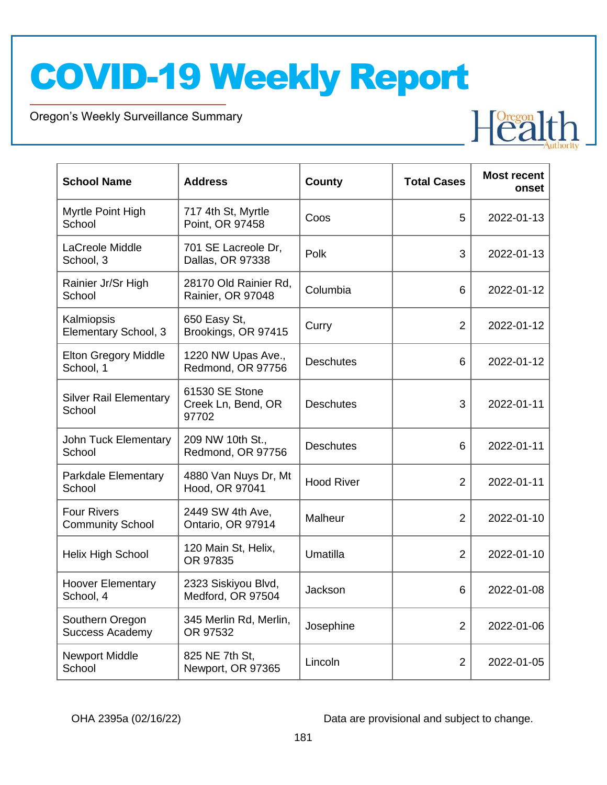Oregon's Weekly Surveillance Summary

Novel Coronavirus (COVID-19)

| <b>School Name</b>                            | <b>Address</b>                                | County            | <b>Total Cases</b> | <b>Most recent</b><br>onset |
|-----------------------------------------------|-----------------------------------------------|-------------------|--------------------|-----------------------------|
| Myrtle Point High<br>School                   | 717 4th St, Myrtle<br>Point, OR 97458         | Coos              | 5                  | 2022-01-13                  |
| LaCreole Middle<br>School, 3                  | 701 SE Lacreole Dr,<br>Dallas, OR 97338       | Polk              | 3                  | 2022-01-13                  |
| Rainier Jr/Sr High<br>School                  | 28170 Old Rainier Rd,<br>Rainier, OR 97048    | Columbia          | 6                  | 2022-01-12                  |
| Kalmiopsis<br>Elementary School, 3            | 650 Easy St,<br>Brookings, OR 97415           | Curry             | $\overline{2}$     | 2022-01-12                  |
| <b>Elton Gregory Middle</b><br>School, 1      | 1220 NW Upas Ave.,<br>Redmond, OR 97756       | <b>Deschutes</b>  | 6                  | 2022-01-12                  |
| <b>Silver Rail Elementary</b><br>School       | 61530 SE Stone<br>Creek Ln, Bend, OR<br>97702 | <b>Deschutes</b>  | 3                  | 2022-01-11                  |
| John Tuck Elementary<br>School                | 209 NW 10th St.,<br>Redmond, OR 97756         | <b>Deschutes</b>  | 6                  | 2022-01-11                  |
| Parkdale Elementary<br>School                 | 4880 Van Nuys Dr, Mt<br>Hood, OR 97041        | <b>Hood River</b> | $\overline{2}$     | 2022-01-11                  |
| <b>Four Rivers</b><br><b>Community School</b> | 2449 SW 4th Ave,<br>Ontario, OR 97914         | Malheur           | $\overline{2}$     | 2022-01-10                  |
| Helix High School                             | 120 Main St, Helix,<br>OR 97835               | Umatilla          | 2                  | 2022-01-10                  |
| <b>Hoover Elementary</b><br>School, 4         | 2323 Siskiyou Blvd,<br>Medford, OR 97504      | Jackson           | 6                  | 2022-01-08                  |
| Southern Oregon<br><b>Success Academy</b>     | 345 Merlin Rd, Merlin,<br>OR 97532            | Josephine         | $\overline{2}$     | 2022-01-06                  |
| <b>Newport Middle</b><br>School               | 825 NE 7th St,<br>Newport, OR 97365           | Lincoln           | 2                  | 2022-01-05                  |

OHA 2395a (02/16/22) Data are provisional and subject to change.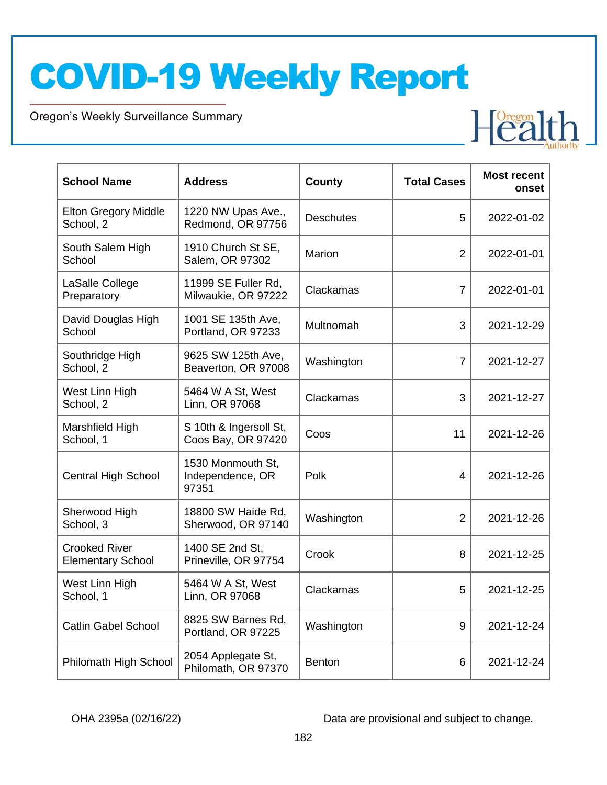Oregon's Weekly Surveillance Summary

Novel Coronavirus (COVID-19)

| <b>School Name</b>                               | <b>Address</b>                                 | <b>County</b>    | <b>Total Cases</b> | <b>Most recent</b><br>onset |
|--------------------------------------------------|------------------------------------------------|------------------|--------------------|-----------------------------|
| <b>Elton Gregory Middle</b><br>School, 2         | 1220 NW Upas Ave.,<br>Redmond, OR 97756        | <b>Deschutes</b> | 5                  | 2022-01-02                  |
| South Salem High<br>School                       | 1910 Church St SE,<br>Salem, OR 97302          | Marion           | $\overline{2}$     | 2022-01-01                  |
| LaSalle College<br>Preparatory                   | 11999 SE Fuller Rd,<br>Milwaukie, OR 97222     | Clackamas        | $\overline{7}$     | 2022-01-01                  |
| David Douglas High<br>School                     | 1001 SE 135th Ave,<br>Portland, OR 97233       | Multnomah        | 3                  | 2021-12-29                  |
| Southridge High<br>School, 2                     | 9625 SW 125th Ave,<br>Beaverton, OR 97008      | Washington       | $\overline{7}$     | 2021-12-27                  |
| West Linn High<br>School, 2                      | 5464 W A St, West<br>Linn, OR 97068            | Clackamas        | 3                  | 2021-12-27                  |
| Marshfield High<br>School, 1                     | S 10th & Ingersoll St,<br>Coos Bay, OR 97420   | Coos             | 11                 | 2021-12-26                  |
| <b>Central High School</b>                       | 1530 Monmouth St,<br>Independence, OR<br>97351 | Polk             | 4                  | 2021-12-26                  |
| Sherwood High<br>School, 3                       | 18800 SW Haide Rd,<br>Sherwood, OR 97140       | Washington       | $\overline{2}$     | 2021-12-26                  |
| <b>Crooked River</b><br><b>Elementary School</b> | 1400 SE 2nd St,<br>Prineville, OR 97754        | Crook            | 8                  | 2021-12-25                  |
| West Linn High<br>School, 1                      | 5464 W A St, West<br>Linn, OR 97068            | Clackamas        | 5                  | 2021-12-25                  |
| <b>Catlin Gabel School</b>                       | 8825 SW Barnes Rd,<br>Portland, OR 97225       | Washington       | 9                  | 2021-12-24                  |
| Philomath High School                            | 2054 Applegate St,<br>Philomath, OR 97370      | <b>Benton</b>    | 6                  | 2021-12-24                  |

OHA 2395a (02/16/22) Data are provisional and subject to change.